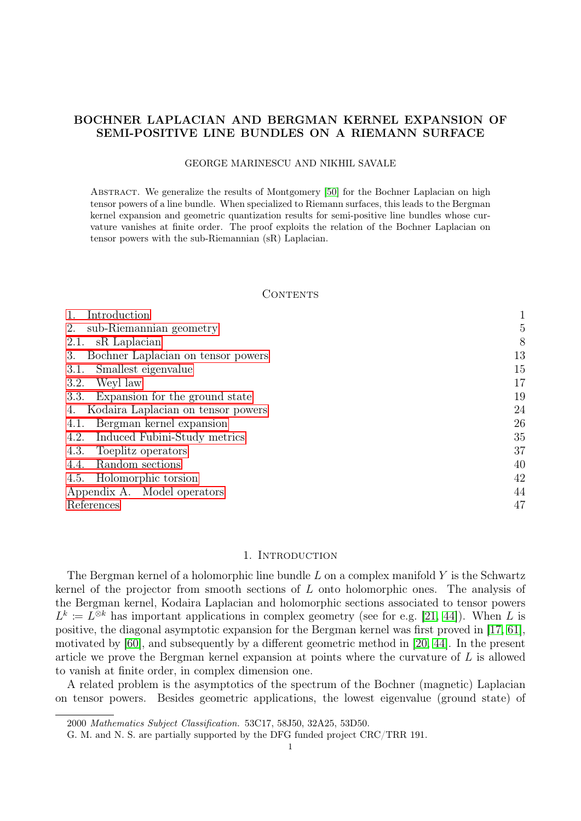# <span id="page-0-1"></span>BOCHNER LAPLACIAN AND BERGMAN KERNEL EXPANSION OF SEMI-POSITIVE LINE BUNDLES ON A RIEMANN SURFACE

#### GEORGE MARINESCU AND NIKHIL SAVALE

Abstract. We generalize the results of Montgomery [\[50\]](#page-48-0) for the Bochner Laplacian on high tensor powers of a line bundle. When specialized to Riemann surfaces, this leads to the Bergman kernel expansion and geometric quantization results for semi-positive line bundles whose curvature vanishes at finite order. The proof exploits the relation of the Bochner Laplacian on tensor powers with the sub-Riemannian (sR) Laplacian.

#### CONTENTS

| 1.<br>Introduction                       |    |
|------------------------------------------|----|
| 2.<br>sub-Riemannian geometry            | 5  |
| sR Laplacian<br>2.1.                     | 8  |
| Bochner Laplacian on tensor powers<br>3. | 13 |
| Smallest eigenvalue<br>3.1.              | 15 |
| Weyl law<br>3.2.                         | 17 |
| 3.3. Expansion for the ground state      | 19 |
| Kodaira Laplacian on tensor powers<br>4. | 24 |
| Bergman kernel expansion<br>4.1.         | 26 |
| 4.2.<br>Induced Fubini-Study metrics     | 35 |
| 4.3.<br>Toeplitz operators               | 37 |
| Random sections<br>4.4.                  | 40 |
| 4.5.<br>Holomorphic torsion              | 42 |
| Appendix A. Model operators              | 44 |
| References                               | 47 |
|                                          |    |

#### 1. INTRODUCTION

<span id="page-0-0"></span>The Bergman kernel of a holomorphic line bundle  $L$  on a complex manifold  $Y$  is the Schwartz kernel of the projector from smooth sections of L onto holomorphic ones. The analysis of the Bergman kernel, Kodaira Laplacian and holomorphic sections associated to tensor powers  $L^k := L^{\otimes k}$  has important applications in complex geometry (see for e.g. [\[21,](#page-47-0) [44\]](#page-48-1)). When L is positive, the diagonal asymptotic expansion for the Bergman kernel was first proved in [\[17,](#page-47-1) [61\]](#page-48-2), motivated by [\[60\]](#page-48-3), and subsequently by a different geometric method in [\[20,](#page-47-2) [44\]](#page-48-1). In the present article we prove the Bergman kernel expansion at points where the curvature of  $L$  is allowed to vanish at finite order, in complex dimension one.

A related problem is the asymptotics of the spectrum of the Bochner (magnetic) Laplacian on tensor powers. Besides geometric applications, the lowest eigenvalue (ground state) of

<sup>2000</sup> Mathematics Subject Classification. 53C17, 58J50, 32A25, 53D50.

G. M. and N. S. are partially supported by the DFG funded project CRC/TRR 191.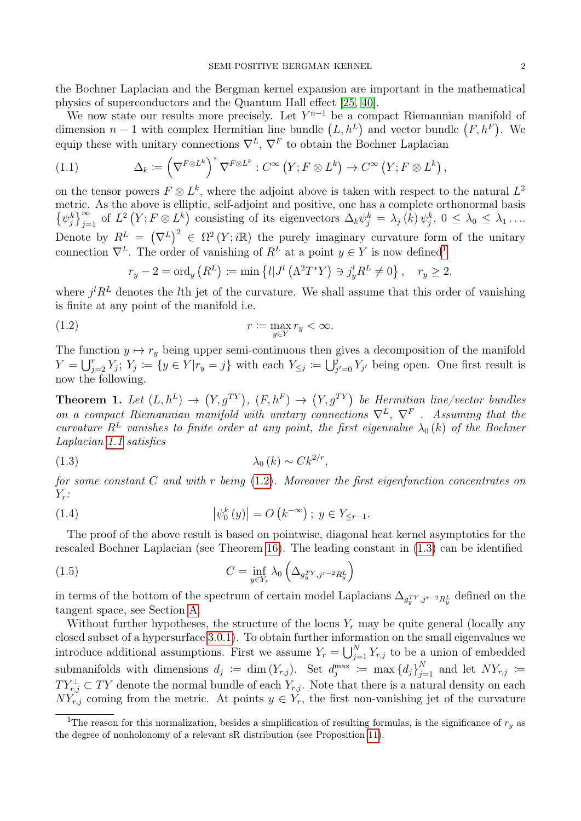the Bochner Laplacian and the Bergman kernel expansion are important in the mathematical physics of superconductors and the Quantum Hall effect [\[25,](#page-47-3) [40\]](#page-48-4).

We now state our results more precisely. Let  $Y^{n-1}$  be a compact Riemannian manifold of dimension  $n-1$  with complex Hermitian line bundle  $(L, h^L)$  and vector bundle  $(F, h^F)$ . We equip these with unitary connections  $\nabla^L$ ,  $\nabla^F$  to obtain the Bochner Laplacian

<span id="page-1-1"></span>(1.1) 
$$
\Delta_k := \left(\nabla^{F \otimes L^k}\right)^* \nabla^{F \otimes L^k} : C^{\infty} \left(Y; F \otimes L^k\right) \to C^{\infty} \left(Y; F \otimes L^k\right),
$$

on the tensor powers  $F \otimes L^k$ , where the adjoint above is taken with respect to the natural  $L^2$ metric. As the above is elliptic, self-adjoint and positive, one has a complete orthonormal basis  $\{\psi_j^k\}_{j=1}^{\infty}$  of  $L^2(Y; F \otimes L^k)$  consisting of its eigenvectors  $\Delta_k \psi_j^k = \lambda_j (k) \psi_j^k$ ,  $0 \leq \lambda_0 \leq \lambda_1 \ldots$ Denote by  $R^L = (\nabla^L)^2 \in \Omega^2(Y; i\mathbb{R})$  the purely imaginary curvature form of the unitary connection  $\nabla^L$ . The order of vanishing of  $R^L$  at a point  $y \in Y$  is now defined<sup>[1](#page-1-0)</sup>

<span id="page-1-2"></span>
$$
r_y - 2 = \text{ord}_y\left(R^L\right) := \min\left\{l|J^l\left(\Lambda^2 T^*Y\right) \ni j_y^l R^L \neq 0\right\}, \quad r_y \ge 2,
$$

where  $j^l R^L$  denotes the *l*th jet of the curvature. We shall assume that this order of vanishing is finite at any point of the manifold i.e.

$$
r := \max_{y \in Y} r_y < \infty.
$$

The function  $y \mapsto r_y$  being upper semi-continuous then gives a decomposition of the manifold  $Y = \bigcup_{j=2}^r Y_j$ ;  $Y_j \coloneqq \{y \in Y | r_y = j\}$  with each  $Y_{\leq j} \coloneqq \bigcup_{j'=0}^j Y_{j'}$  being open. One first result is now the following.

<span id="page-1-5"></span>**Theorem 1.** Let  $(L, h^L) \rightarrow (Y, g^{TY}), (F, h^F) \rightarrow (Y, g^{TY})$  be Hermitian line/vector bundles on a compact Riemannian manifold with unitary connections  $\nabla^L$ ,  $\nabla^F$ . Assuming that the curvature  $R^L$  vanishes to finite order at any point, the first eigenvalue  $\lambda_0(k)$  of the Bochner Laplacian [1.1](#page-1-1) satisfies

<span id="page-1-3"></span>
$$
\lambda_0(k) \sim C k^{2/r},
$$

for some constant C and with r being  $(1.2)$ . Moreover the first eigenfunction concentrates on  $Y_r$ :

<span id="page-1-4"></span>(1.4) 
$$
\left| \psi_0^k(y) \right| = O\left( k^{-\infty} \right); \ y \in Y_{\leq r-1}.
$$

The proof of the above result is based on pointwise, diagonal heat kernel asymptotics for the rescaled Bochner Laplacian (see Theorem [16\)](#page-15-0). The leading constant in [\(1.3\)](#page-1-3) can be identified

<span id="page-1-6"></span>(1.5) 
$$
C = \inf_{y \in Y_r} \lambda_0 \left( \Delta_{g_y^{TY}, j^{r-2} R_y^L} \right)
$$

in terms of the bottom of the spectrum of certain model Laplacians  $\Delta_{g_y^{TY}, j^{r-2}R_y^L}$  defined on the tangent space, see Section [A.](#page-43-0)

Without further hypotheses, the structure of the locus  $Y_r$  may be quite general (locally any closed subset of a hypersurface [3.0.1\)](#page-13-0). To obtain further information on the small eigenvalues we introduce additional assumptions. First we assume  $Y_r = \bigcup_{j=1}^N Y_{r,j}$  to be a union of embedded submanifolds with dimensions  $d_j := \dim(Y_{r,j})$ . Set  $d_j^{\max} := \max \{d_j\}_{j=1}^N$  and let  $NY_{r,j} :=$  $TY_{r,j}^{\perp} \subset TY$  denote the normal bundle of each  $Y_{r,j}$ . Note that there is a natural density on each  $NY_{r,i}$  coming from the metric. At points  $y \in Y_r$ , the first non-vanishing jet of the curvature

<span id="page-1-0"></span><sup>&</sup>lt;sup>1</sup>The reason for this normalization, besides a simplification of resulting formulas, is the significance of  $r_y$  as the degree of nonholonomy of a relevant sR distribution (see Proposition [11\)](#page-12-1).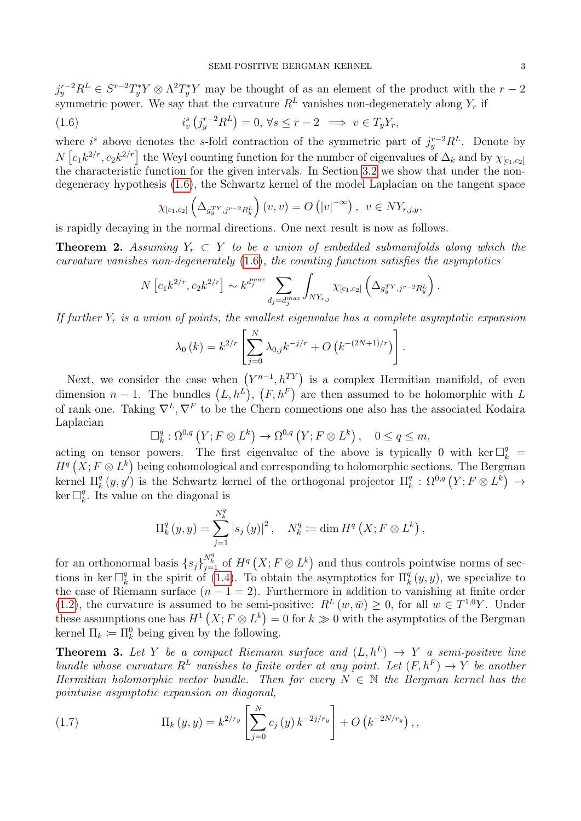$j_y^{r-2}R^L \in S^{r-2}T_y^*Y \otimes \Lambda^2T_y^*Y$  may be thought of as an element of the product with the  $r-2$ symmetric power. We say that the curvature  $R^L$  vanishes non-degenerately along  $Y_r$  if

(1.6) 
$$
i_v^s(j_y^{r-2}R^L) = 0, \forall s \le r-2 \implies v \in T_yY_r,
$$

where i<sup>s</sup> above denotes the s-fold contraction of the symmetric part of  $j_y^{r-2}R^L$ . Denote by  $N\left[c_1k^{2/r},c_2k^{2/r}\right]$  the Weyl counting function for the number of eigenvalues of  $\Delta_k$  and by  $\chi_{[c_1,c_2]}$ the characteristic function for the given intervals. In Section [3.2](#page-16-0) we show that under the nondegeneracy hypothesis [\(1.6\)](#page-2-0), the Schwartz kernel of the model Laplacian on the tangent space

<span id="page-2-0"></span>
$$
\chi_{[c_1,c_2]}\left(\Delta_{g_y^{TY},j^{r-2}R_y^L}\right)(v,v) = O\left(|v|^{-\infty}\right), \ v \in NY_{r,j,y},
$$

is rapidly decaying in the normal directions. One next result is now as follows.

<span id="page-2-2"></span>**Theorem 2.** Assuming  $Y_r \subset Y$  to be a union of embedded submanifolds along which the curvature vanishes non-degenerately [\(1.6\)](#page-2-0), the counting function satisfies the asymptotics

$$
N\left[c_{1}k^{2/r}, c_{2}k^{2/r}\right] \sim k^{d_j^{max}} \sum_{d_j=d_j^{max}} \int_{NY_{r,j}} \chi_{[c_1, c_2]} \left(\Delta_{g_j^{TY}, j^{r-2}R_y^L}\right).
$$

If further  $Y_r$  is a union of points, the smallest eigenvalue has a complete asymptotic expansion

$$
\lambda_0(k) = k^{2/r} \left[ \sum_{j=0}^N \lambda_{0,j} k^{-j/r} + O\left( k^{-(2N+1)/r} \right) \right].
$$

Next, we consider the case when  $(Y^{n-1}, h^{TY})$  is a complex Hermitian manifold, of even dimension  $n-1$ . The bundles  $(L, h^L)$ ,  $(F, h^F)$  are then assumed to be holomorphic with L of rank one. Taking  $\nabla^L, \nabla^F$  to be the Chern connections one also has the associated Kodaira Laplacian

$$
\Box_k^q : \Omega^{0,q} \left( Y; F \otimes L^k \right) \to \Omega^{0,q} \left( Y; F \otimes L^k \right), \quad 0 \le q \le m,
$$

acting on tensor powers. The first eigenvalue of the above is typically 0 with ker  $\Box_k^q =$  $H^q(X; F \otimes L^k)$  being cohomological and corresponding to holomorphic sections. The Bergman kernel  $\Pi_k^q$  $\frac{q}{k}(y, y')$  is the Schwartz kernel of the orthogonal projector  $\Pi_k^q$  $_{k}^{q}$  :  $\Omega^{0,q}\left( Y;F\otimes L^{k}\right) \rightarrow$  $\ker\Box^q_k$  $\frac{q}{k}$ . Its value on the diagonal is

$$
\Pi_{k}^{q}(y, y) = \sum_{j=1}^{N_{k}^{q}} |s_{j}(y)|^{2}, \quad N_{k}^{q} := \dim H^{q}(X; F \otimes L^{k}),
$$

for an orthonormal basis  $\{s_j\}_{j=1}^{N_R^q}$  of  $H^q(X; F \otimes L^k)$  and thus controls pointwise norms of sections in  $\ker \Box_k^q$  $\frac{q}{k}$  in the spirit of [\(1.4\)](#page-1-4). To obtain the asymptotics for  $\Pi_k^q$  $_{k}^{q}(y, y)$ , we specialize to the case of Riemann surface  $(n - 1 = 2)$ . Furthermore in addition to vanishing at finite order [\(1.2\)](#page-1-2), the curvature is assumed to be semi-positive:  $R^L(w, \bar{w}) \geq 0$ , for all  $w \in T^{1,0}Y$ . Under these assumptions one has  $H^1(X; F \otimes L^k) = 0$  for  $k \gg 0$  with the asymptotics of the Bergman kernel  $\Pi_k := \Pi_k^0$  being given by the following.

<span id="page-2-3"></span>**Theorem 3.** Let Y be a compact Riemann surface and  $(L, h^L) \rightarrow Y$  a semi-positive line bundle whose curvature  $R^L$  vanishes to finite order at any point. Let  $(F, h^F) \to Y$  be another Hermitian holomorphic vector bundle. Then for every  $N \in \mathbb{N}$  the Bergman kernel has the pointwise asymptotic expansion on diagonal,

<span id="page-2-1"></span>(1.7) 
$$
\Pi_k(y, y) = k^{2/r_y} \left[ \sum_{j=0}^N c_j(y) k^{-2j/r_y} \right] + O\left( k^{-2N/r_y} \right),
$$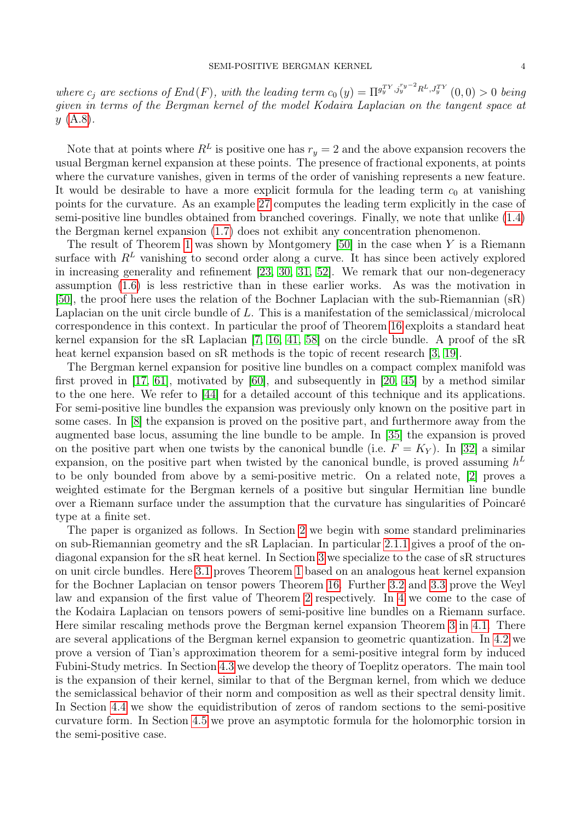where  $c_j$  are sections of  $End(F)$ , with the leading term  $c_0(y) = \Pi^{g_y^{T Y}, j_y^{T y - 2} R^L, J_y^{T Y}}(0,0) > 0$  being given in terms of the Bergman kernel of the model Kodaira Laplacian on the tangent space at  $y$  [\(A.8\)](#page-44-0).

Note that at points where  $R^L$  is positive one has  $r_y = 2$  and the above expansion recovers the usual Bergman kernel expansion at these points. The presence of fractional exponents, at points where the curvature vanishes, given in terms of the order of vanishing represents a new feature. It would be desirable to have a more explicit formula for the leading term  $c_0$  at vanishing points for the curvature. As an example [27](#page-33-0) computes the leading term explicitly in the case of semi-positive line bundles obtained from branched coverings. Finally, we note that unlike [\(1.4\)](#page-1-4) the Bergman kernel expansion [\(1.7\)](#page-2-1) does not exhibit any concentration phenomenon.

The result of Theorem [1](#page-1-5) was shown by Montgomery  $[50]$  in the case when Y is a Riemann surface with  $R<sup>L</sup>$  vanishing to second order along a curve. It has since been actively explored in increasing generality and refinement [\[23,](#page-47-4) [30,](#page-47-5) [31,](#page-47-6) [52\]](#page-48-5). We remark that our non-degeneracy assumption [\(1.6\)](#page-2-0) is less restrictive than in these earlier works. As was the motivation in [\[50\]](#page-48-0), the proof here uses the relation of the Bochner Laplacian with the sub-Riemannian (sR) Laplacian on the unit circle bundle of L. This is a manifestation of the semiclassical/microlocal correspondence in this context. In particular the proof of Theorem [16](#page-15-0) exploits a standard heat kernel expansion for the sR Laplacian [\[7,](#page-46-1) [16,](#page-47-7) [41,](#page-48-6) [58\]](#page-48-7) on the circle bundle. A proof of the sR heat kernel expansion based on sR methods is the topic of recent research [\[3,](#page-46-2) [19\]](#page-47-8).

The Bergman kernel expansion for positive line bundles on a compact complex manifold was first proved in [\[17,](#page-47-1) [61\]](#page-48-2), motivated by [\[60\]](#page-48-3), and subsequently in [\[20,](#page-47-2) [45\]](#page-48-8) by a method similar to the one here. We refer to [\[44\]](#page-48-1) for a detailed account of this technique and its applications. For semi-positive line bundles the expansion was previously only known on the positive part in some cases. In [\[8\]](#page-46-3) the expansion is proved on the positive part, and furthermore away from the augmented base locus, assuming the line bundle to be ample. In [\[35\]](#page-47-9) the expansion is proved on the positive part when one twists by the canonical bundle (i.e.  $F = K_Y$ ). In [\[32\]](#page-47-10) a similar expansion, on the positive part when twisted by the canonical bundle, is proved assuming  $h^L$ to be only bounded from above by a semi-positive metric. On a related note, [\[2\]](#page-46-4) proves a weighted estimate for the Bergman kernels of a positive but singular Hermitian line bundle over a Riemann surface under the assumption that the curvature has singularities of Poincaré type at a finite set.

The paper is organized as follows. In Section [2](#page-4-0) we begin with some standard preliminaries on sub-Riemannian geometry and the sR Laplacian. In particular [2.1.1](#page-8-0) gives a proof of the ondiagonal expansion for the sR heat kernel. In Section [3](#page-12-0) we specialize to the case of sR structures on unit circle bundles. Here [3.1](#page-14-0) proves Theorem [1](#page-1-5) based on an analogous heat kernel expansion for the Bochner Laplacian on tensor powers Theorem [16.](#page-15-0) Further [3.2](#page-16-0) and [3.3](#page-18-0) prove the Weyl law and expansion of the first value of Theorem [2](#page-2-2) respectively. In [4](#page-23-0) we come to the case of the Kodaira Laplacian on tensors powers of semi-positive line bundles on a Riemann surface. Here similar rescaling methods prove the Bergman kernel expansion Theorem [3](#page-2-3) in [4.1.](#page-25-0) There are several applications of the Bergman kernel expansion to geometric quantization. In [4.2](#page-34-0) we prove a version of Tian's approximation theorem for a semi-positive integral form by induced Fubini-Study metrics. In Section [4.3](#page-36-0) we develop the theory of Toeplitz operators. The main tool is the expansion of their kernel, similar to that of the Bergman kernel, from which we deduce the semiclassical behavior of their norm and composition as well as their spectral density limit. In Section [4.4](#page-39-0) we show the equidistribution of zeros of random sections to the semi-positive curvature form. In Section [4.5](#page-41-0) we prove an asymptotic formula for the holomorphic torsion in the semi-positive case.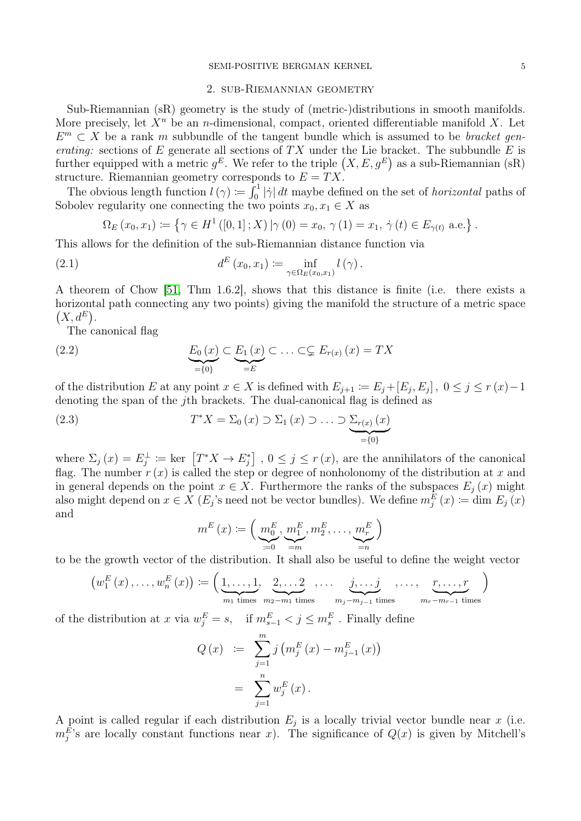#### SEMI-POSITIVE BERGMAN KERNEL 5

#### 2. sub-Riemannian geometry

<span id="page-4-0"></span>Sub-Riemannian (sR) geometry is the study of (metric-)distributions in smooth manifolds. More precisely, let  $X^n$  be an *n*-dimensional, compact, oriented differentiable manifold X. Let  $E^m \subset X$  be a rank m subbundle of the tangent bundle which is assumed to be bracket generating: sections of E generate all sections of  $TX$  under the Lie bracket. The subbundle E is further equipped with a metric  $g^E$ . We refer to the triple  $(X, E, g^E)$  as a sub-Riemannian (sR) structure. Riemannian geometry corresponds to  $E = TX$ .

The obvious length function  $l(\gamma) := \int_0^1 |\dot{\gamma}| dt$  maybe defined on the set of *horizontal* paths of Sobolev regularity one connecting the two points  $x_0, x_1 \in X$  as

<span id="page-4-2"></span>
$$
\Omega_E(x_0, x_1) \coloneqq \left\{ \gamma \in H^1([0, 1]; X) \, | \, \gamma(0) = x_0, \, \gamma(1) = x_1, \, \dot{\gamma}(t) \in E_{\gamma(t)} \text{ a.e.} \right\}.
$$

This allows for the definition of the sub-Riemannian distance function via

(2.1) 
$$
d^{E}(x_{0}, x_{1}) \coloneqq \inf_{\gamma \in \Omega_{E}(x_{0}, x_{1})} l(\gamma).
$$

A theorem of Chow [\[51,](#page-48-9) Thm 1.6.2], shows that this distance is finite (i.e. there exists a horizontal path connecting any two points) giving the manifold the structure of a metric space  $(X, d^E)$ .

<span id="page-4-1"></span>The canonical flag

(2.2) 
$$
\underbrace{E_0(x)}_{= \{0\}} \subset \underbrace{E_1(x)}_{=E} \subset \ldots \subset \subset E_{r(x)}(x) = TX
$$

of the distribution E at any point  $x \in X$  is defined with  $E_{j+1} \coloneqq E_j + [E_j, E_j]$ ,  $0 \le j \le r(x) - 1$ denoting the span of the jth brackets. The dual-canonical flag is defined as

(2.3) 
$$
T^*X = \Sigma_0(x) \supset \Sigma_1(x) \supset \ldots \supset \underbrace{\Sigma_{r(x)}(x)}_{=0}
$$

where  $\Sigma_j(x) = E_j^{\perp} := \text{ker } [T^*X \to E_j^*]$ ,  $0 \le j \le r(x)$ , are the annihilators of the canonical flag. The number  $r(x)$  is called the step or degree of nonholonomy of the distribution at x and in general depends on the point  $x \in X$ . Furthermore the ranks of the subspaces  $E_i(x)$  might also might depend on  $x \in X$  ( $E_j$ 's need not be vector bundles). We define  $m_j^E(x) \coloneqq \dim E_j(x)$ and

<span id="page-4-3"></span>
$$
m^{E}(x) := \left(\underbrace{m_0^{E}}_{:=0}, \underbrace{m_1^{E}}_{:=m}, m_2^{E}, \dots, \underbrace{m_r^{E}}_{:=n}\right)
$$

to be the growth vector of the distribution. It shall also be useful to define the weight vector

$$
\left(w_1^E(x), \ldots, w_n^E(x)\right) := \left(\underbrace{1, \ldots, 1}_{m_1 \text{ times}}, \underbrace{2, \ldots 2}_{m_2 - m_1 \text{ times}}, \ldots, \underbrace{j, \ldots j}_{m_j - m_{j-1} \text{ times}}, \ldots, \underbrace{r, \ldots, r}_{m_r - m_{r-1} \text{ times}}\right)
$$

of the distribution at x via  $w_j^E = s$ , if  $m_{s-1}^E < j \leq m_s^E$ . Finally define

$$
Q(x) := \sum_{j=1}^{m} j (m_j^{E}(x) - m_{j-1}^{E}(x))
$$
  
= 
$$
\sum_{j=1}^{n} w_j^{E}(x).
$$

A point is called regular if each distribution  $E_j$  is a locally trivial vector bundle near x (i.e.  $m_j^E$ 's are locally constant functions near x). The significance of  $Q(x)$  is given by Mitchell's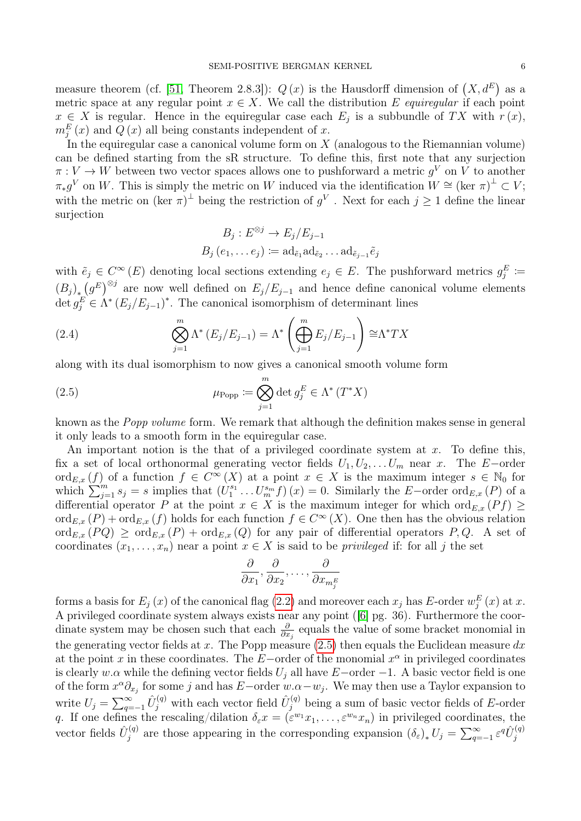measure theorem (cf. [\[51,](#page-48-9) Theorem 2.8.3]):  $Q(x)$  is the Hausdorff dimension of  $(X, d^E)$  as a metric space at any regular point  $x \in X$ . We call the distribution E equiregular if each point  $x \in X$  is regular. Hence in the equiregular case each  $E_j$  is a subbundle of TX with  $r(x)$ ,  $m_j^E(x)$  and  $Q(x)$  all being constants independent of x.

In the equiregular case a canonical volume form on  $X$  (analogous to the Riemannian volume) can be defined starting from the sR structure. To define this, first note that any surjection  $\pi: V \to W$  between two vector spaces allows one to pushforward a metric  $g^V$  on V to another  $\pi_* g^V$  on W. This is simply the metric on W induced via the identification  $W \cong (\ker \pi)^{\perp} \subset V;$ with the metric on (ker  $\pi$ )<sup> $\perp$ </sup> being the restriction of  $g^V$  . Next for each  $j \geq 1$  define the linear surjection

<span id="page-5-0"></span>
$$
B_j: E^{\otimes j} \to E_j/E_{j-1}
$$
  

$$
B_j(e_1, \dots e_j) \coloneqq \operatorname{ad}_{\tilde{e}_1} \operatorname{ad}_{\tilde{e}_2} \dots \operatorname{ad}_{\tilde{e}_{j-1}} \tilde{e}_j
$$

with  $\tilde{e}_j \in C^{\infty}(E)$  denoting local sections extending  $e_j \in E$ . The pushforward metrics  $g_j^E :=$  $(B_j)_*(g^E)^{\otimes j}$  are now well defined on  $E_j/E_{j-1}$  and hence define canonical volume elements  $\det g_j^E \in \Lambda^* (E_j/E_{j-1})^*$ . The canonical isomorphism of determinant lines

(2.4) 
$$
\bigotimes_{j=1}^{m} \Lambda^* (E_j/E_{j-1}) = \Lambda^* \left( \bigoplus_{j=1}^{m} E_j/E_{j-1} \right) \cong \Lambda^* TX
$$

along with its dual isomorphism to now gives a canonical smooth volume form

(2.5) 
$$
\mu_{\text{Pop}} \coloneqq \bigotimes_{j=1}^{m} \det g_{j}^{E} \in \Lambda^{*}(T^{*}X)
$$

known as the Popp volume form. We remark that although the definition makes sense in general it only leads to a smooth form in the equiregular case.

An important notion is the that of a privileged coordinate system at  $x$ . To define this, fix a set of local orthonormal generating vector fields  $U_1, U_2, \ldots U_m$  near x. The E–order ord<sub>E,x</sub> (f) of a function  $f \in C^{\infty}(X)$  at a point  $x \in X$  is the maximum integer  $s \in \mathbb{N}_0$  for which  $\sum_{j=1}^{m} s_j = s$  implies that  $(U_1^{s_1} \dots U_m^{s_m} f)(x) = 0$ . Similarly the E–order ord<sub>E,x</sub> (P) of a differential operator P at the point  $x \in X$  is the maximum integer for which ord $_{E,x}$  (Pf)  $\geq$  $\text{ord}_{E,x}(P) + \text{ord}_{E,x}(f)$  holds for each function  $f \in C^{\infty}(X)$ . One then has the obvious relation  $\text{ord}_{E,x}(PQ) \geq \text{ord}_{E,x}(P) + \text{ord}_{E,x}(Q)$  for any pair of differential operators  $P,Q$ . A set of coordinates  $(x_1, \ldots, x_n)$  near a point  $x \in X$  is said to be *privileged* if: for all j the set

$$
\frac{\partial}{\partial x_1}, \frac{\partial}{\partial x_2}, \dots, \frac{\partial}{\partial x_{m_j^E}}
$$

forms a basis for  $E_j(x)$  of the canonical flag [\(2.2\)](#page-4-1) and moreover each  $x_j$  has E-order  $w_j^E(x)$  at x. A privileged coordinate system always exists near any point ([\[6\]](#page-46-5) pg. 36). Furthermore the coordinate system may be chosen such that each  $\frac{\partial}{\partial x_j}$  equals the value of some bracket monomial in the generating vector fields at x. The Popp measure  $(2.5)$  then equals the Euclidean measure dx at the point x in these coordinates. The  $E$ -order of the monomial  $x^{\alpha}$  in privileged coordinates is clearly w. $\alpha$  while the defining vector fields  $U_i$  all have  $E$ −order −1. A basic vector field is one of the form  $x^{\alpha}\partial_{x_j}$  for some j and has  $E$ -order  $w.\alpha-w_j$ . We may then use a Taylor expansion to write  $U_j = \sum_{q=-1}^{\infty} \hat{U}_j^{(q)}$  with each vector field  $\hat{U}_j^{(q)}$  being a sum of basic vector fields of E-order q. If one defines the rescaling/dilation  $\delta_{\varepsilon} x = (\varepsilon^{w_1} x_1, \dots, \varepsilon^{w_n} x_n)$  in privileged coordinates, the vector fields  $\hat{U}_i^{(q)}$ <sup>(q)</sup> are those appearing in the corresponding expansion  $(\delta_{\varepsilon})_* U_j = \sum_{q=-1}^{\infty} \varepsilon^q \hat{U}_j^{(q)}$ j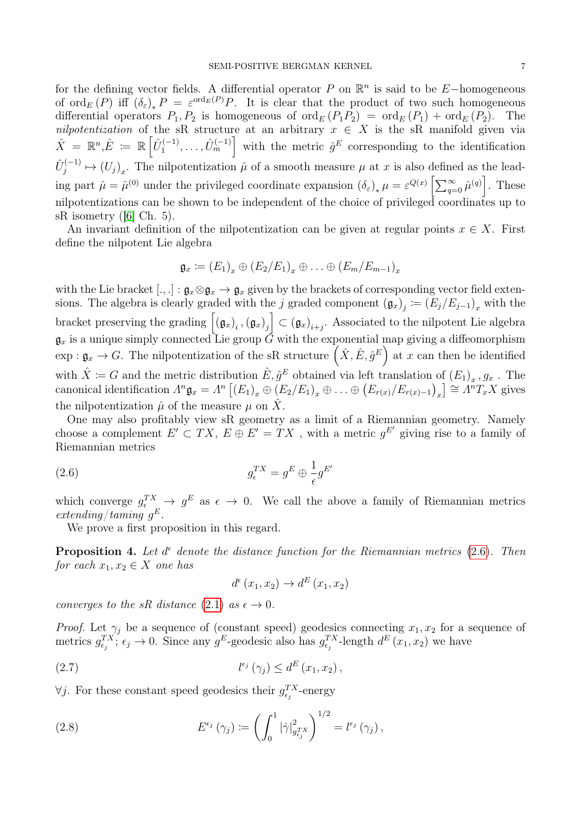for the defining vector fields. A differential operator P on  $\mathbb{R}^n$  is said to be E-homogeneous of  $\text{ord}_E(P)$  iff  $(\delta_{\varepsilon})_* P = \varepsilon^{\text{ord}_E(P)} P$ . It is clear that the product of two such homogeneous differential operators  $P_1, P_2$  is homogeneous of  $\text{ord}_E(P_1P_2) = \text{ord}_E(P_1) + \text{ord}_E(P_2)$ . The nilpotentization of the sR structure at an arbitrary  $x \in X$  is the sR manifold given via  $\hat{X} \;=\; \mathbb{R}^n, \hat{E} \;:=\; \mathbb{R}\left[\hat{U}^{(-1)}_1\right]$  $\hat{U}_1^{(-1)}, \ldots, \hat{U}_m^{(-1)}$  with the metric  $\hat{g}^E$  corresponding to the identification  $\hat{U}^{(-1)}_i$  $\hat{\mu}^{(-1)} \mapsto (U_j)_x$ . The nilpotentization  $\hat{\mu}$  of a smooth measure  $\mu$  at x is also defined as the leading part  $\hat{\mu} = \hat{\mu}^{(0)}$  under the privileged coordinate expansion  $(\delta_{\varepsilon})_* \mu = \varepsilon^{Q(x)} \left[ \sum_{q=0}^{\infty} \hat{\mu}^{(q)} \right]$ . These nilpotentizations can be shown to be independent of the choice of privileged coordinates up to sR isometry  $(|6| \text{ Ch. } 5)$ .

An invariant definition of the nilpotentization can be given at regular points  $x \in X$ . First define the nilpotent Lie algebra

$$
\mathfrak{g}_x \coloneqq (E_1)_x \oplus (E_2/E_1)_x \oplus \ldots \oplus (E_m/E_{m-1})_x
$$

with the Lie bracket [., .] :  $\mathfrak{g}_x \otimes \mathfrak{g}_x \to \mathfrak{g}_x$  given by the brackets of corresponding vector field extensions. The algebra is clearly graded with the j graded component  $(\mathfrak{g}_x)_j \coloneqq (E_j/E_{j-1})_x$  with the bracket preserving the grading  $[(\mathfrak{g}_x)_i, (\mathfrak{g}_x)_j] \subset (\mathfrak{g}_x)_{i+j}$ . Associated to the nilpotent Lie algebra  $\mathfrak{g}_x$  is a unique simply connected Lie group  $\vec{G}$  with the exponential map giving a diffeomorphism  $\exp: \mathfrak{g}_x \to G$ . The nilpotentization of the sR structure  $(\hat{X}, \hat{E}, \hat{g}^E)$  at x can then be identified with  $\hat{X} \coloneqq G$  and the metric distribution  $\hat{E}, \hat{g}^E$  obtained via left translation of  $(E_1)_x$ ,  $g_x$ . The canonical identification  $\Lambda^n \mathfrak{g}_x = \Lambda^n \left[ (E_1)_x \oplus (E_2/E_1)_x \oplus \ldots \oplus (E_{r(x)}/E_{r(x)-1})_x \right] \cong \Lambda^n T_x X$  gives the nilpotentization  $\hat{\mu}$  of the measure  $\mu$  on  $\hat{X}$ .

One may also profitably view sR geometry as a limit of a Riemannian geometry. Namely choose a complement  $E' \subset TX$ ,  $E \oplus E' = TX$ , with a metric  $g^{E'}$  giving rise to a family of Riemannian metrics

(2.6) 
$$
g_{\epsilon}^{TX} = g^{E} \oplus \frac{1}{\epsilon} g^{E'}
$$

which converge  $g_{\epsilon}^{TX} \to g^{E}$  as  $\epsilon \to 0$ . We call the above a family of Riemannian metrics  $extending/taming g<sup>E</sup>$ .

We prove a first proposition in this regard.

<span id="page-6-3"></span>**Proposition 4.** Let  $d^{\epsilon}$  denote the distance function for the Riemannian metrics [\(2.6\)](#page-6-0). Then for each  $x_1, x_2 \in X$  one has

<span id="page-6-1"></span><span id="page-6-0"></span>
$$
d^{\epsilon}(x_1, x_2) \to d^E(x_1, x_2)
$$

converges to the sR distance  $(2.1)$  as  $\epsilon \rightarrow 0$ .

*Proof.* Let  $\gamma_j$  be a sequence of (constant speed) geodesics connecting  $x_1, x_2$  for a sequence of metrics  $g_{\epsilon_j}^{TX}$ ;  $\epsilon_j \to 0$ . Since any  $g^E$ -geodesic also has  $g_{\epsilon_j}^{TX}$ -length  $d^E(x_1, x_2)$  we have

$$
l^{\epsilon_j}(\gamma_j) \leq d^E(x_1, x_2),
$$

 $\forall j$ . For these constant speed geodesics their  $g_{\epsilon_j}^{TX}$ -energy

<span id="page-6-2"></span>(2.8) 
$$
E^{\epsilon_j}(\gamma_j) \coloneqq \left(\int_0^1 |\dot{\gamma}|^2_{g_{\epsilon_j}^{TX}}\right)^{1/2} = l^{\epsilon_j}(\gamma_j),
$$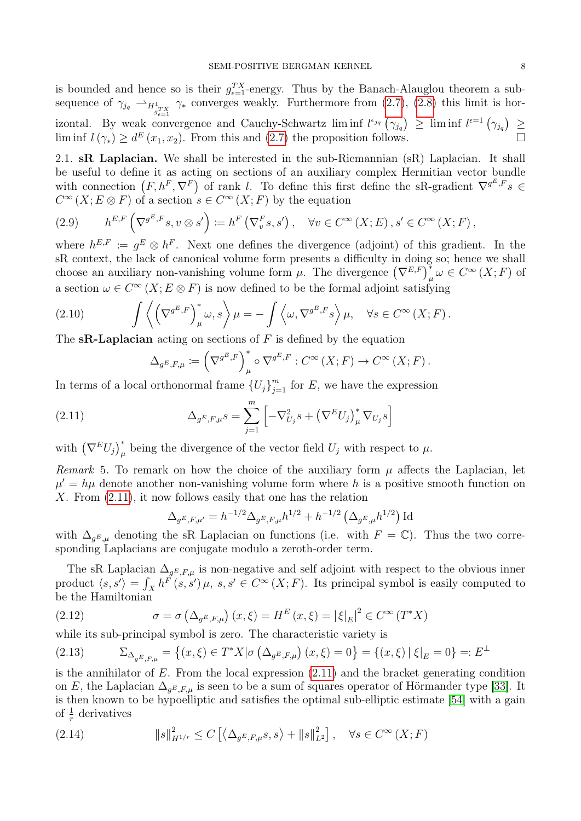is bounded and hence so is their  $g_{\epsilon=1}^{TX}$ -energy. Thus by the Banach-Alauglou theorem a subsequence of  $\gamma_{j_q} \rightharpoonup_{H_{g \mathcal{I}, X}^1} \gamma_*$  converges weakly. Furthermore from [\(2.7\)](#page-6-1), [\(2.8\)](#page-6-2) this limit is horizontal. By weak convergence and Cauchy-Schwartz lim inf  $l^{\epsilon_{jq}}(\gamma_{jq}) \geq \liminf l^{\epsilon=1}(\gamma_{jq}) \geq$  $\liminf l(\gamma_*) \geq d^E(x_1, x_2)$ . From this and  $(2.7)$  the proposition follows.

<span id="page-7-0"></span>2.1. sR Laplacian. We shall be interested in the sub-Riemannian (sR) Laplacian. It shall be useful to define it as acting on sections of an auxiliary complex Hermitian vector bundle with connection  $(F, h^F, \nabla^F)$  of rank l. To define this first define the sR-gradient  $\nabla^{g^E, F} s \in$  $C^{\infty}(X; E \otimes F)$  of a section  $s \in C^{\infty}(X; F)$  by the equation

(2.9) 
$$
h^{E,F}\left(\nabla^{g^E,F}s, v\otimes s'\right) := h^F\left(\nabla_v^F s, s'\right), \quad \forall v \in C^\infty\left(X;E\right), s' \in C^\infty\left(X;F\right),
$$

where  $h^{E,F} := g^E \otimes h^F$ . Next one defines the divergence (adjoint) of this gradient. In the sR context, the lack of canonical volume form presents a difficulty in doing so; hence we shall choose an auxiliary non-vanishing volume form  $\mu$ . The divergence  $(\nabla^{E,F})^*_{\mu} \omega \in C^{\infty}(X;F)$  of a section  $\omega \in C^{\infty}(X; E \otimes F)$  is now defined to be the formal adjoint satisfying

(2.10) 
$$
\int \left\langle \left(\nabla^{g^E,F}\right)^*_{\mu}\omega, s \right\rangle \mu = -\int \left\langle \omega, \nabla^{g^E,F} s \right\rangle \mu, \quad \forall s \in C^{\infty}(X;F).
$$

The **sR-Laplacian** acting on sections of  $F$  is defined by the equation

<span id="page-7-1"></span>
$$
\Delta_{g^E, F, \mu} := \left(\nabla^{g^E, F}\right)^*_{\mu} \circ \nabla^{g^E, F} : C^{\infty}(X; F) \to C^{\infty}(X; F).
$$

In terms of a local orthonormal frame  $\{U_j\}_{j=1}^m$  for E, we have the expression

(2.11) 
$$
\Delta_{g^E, F, \mu} s = \sum_{j=1}^m \left[ -\nabla_{U_j}^2 s + (\nabla^E U_j)_\mu^* \nabla_{U_j} s \right]
$$

with  $(\nabla^E U_j)_\mu^*$  being the divergence of the vector field  $U_j$  with respect to  $\mu$ .

Remark 5. To remark on how the choice of the auxiliary form  $\mu$  affects the Laplacian, let  $\mu' = h\mu$  denote another non-vanishing volume form where h is a positive smooth function on X. From  $(2.11)$ , it now follows easily that one has the relation

$$
\Delta_{g^E, F, \mu'} = h^{-1/2} \Delta_{g^E, F, \mu} h^{1/2} + h^{-1/2} \left( \Delta_{g^E, \mu} h^{1/2} \right) \text{Id}
$$

with  $\Delta_{g^E,\mu}$  denoting the sR Laplacian on functions (i.e. with  $F = \mathbb{C}$ ). Thus the two corresponding Laplacians are conjugate modulo a zeroth-order term.

The sR Laplacian  $\Delta_{g^E,F,\mu}$  is non-negative and self adjoint with respect to the obvious inner product  $\langle s, s' \rangle = \int_X h^F(s, s') \mu$ ,  $s, s' \in C^\infty(X; F)$ . Its principal symbol is easily computed to be the Hamiltonian

(2.12) 
$$
\sigma = \sigma \left( \Delta_{g^E, F, \mu} \right) (x, \xi) = H^E (x, \xi) = |\xi|_E|^2 \in C^\infty (T^* X)
$$

while its sub-principal symbol is zero. The characteristic variety is

<span id="page-7-2"></span>
$$
(2.13) \qquad \Sigma_{\Delta_{g^E, F, \mu}} = \left\{ (x, \xi) \in T^* X | \sigma \left( \Delta_{g^E, F, \mu} \right) (x, \xi) = 0 \right\} = \left\{ (x, \xi) \, \middle| \, \xi \right\}_E = 0 \right\} =: E^{\perp}
$$

is the annihilator of  $E$ . From the local expression  $(2.11)$  and the bracket generating condition on E, the Laplacian  $\Delta_{g^E,F,\mu}$  is seen to be a sum of squares operator of Hörmander type [\[33\]](#page-47-11). It is then known to be hypoelliptic and satisfies the optimal sub-elliptic estimate [\[54\]](#page-48-10) with a gain of  $\frac{1}{r}$  derivatives

<span id="page-7-3"></span>(2.14) 
$$
||s||_{H^{1/r}}^2 \leq C \left[ \left\langle \Delta_{g^E, F, \mu} s, s \right\rangle + ||s||_{L^2}^2 \right], \quad \forall s \in C^\infty(X; F)
$$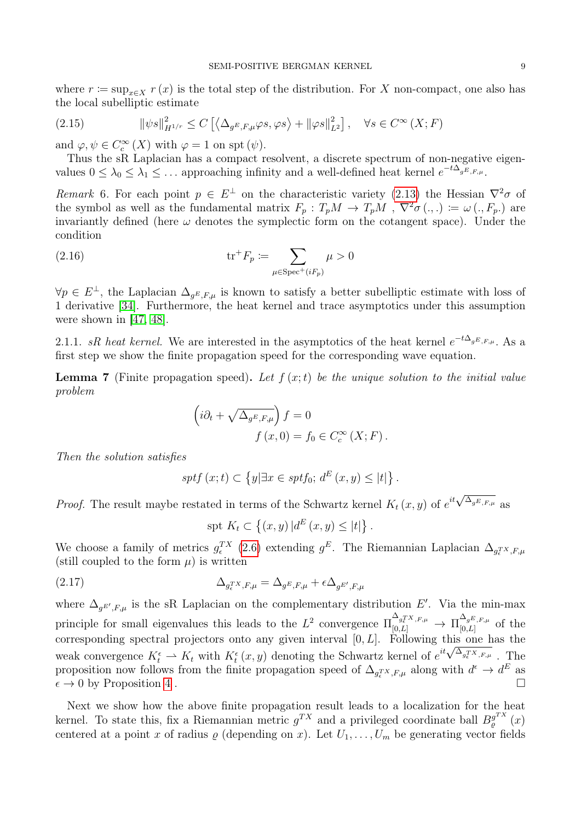where  $r \coloneqq \sup_{x \in X} r(x)$  is the total step of the distribution. For X non-compact, one also has the local subelliptic estimate

<span id="page-8-2"></span>(2.15) 
$$
\|\psi s\|_{H^{1/r}}^2 \le C\left[\left\langle \Delta_{g^E,F,\mu}\varphi s,\varphi s\right\rangle + \|\varphi s\|_{L^2}^2\right], \quad \forall s \in C^\infty(X;F)
$$

and  $\varphi, \psi \in C_c^{\infty}(X)$  with  $\varphi = 1$  on spt  $(\psi)$ .

Thus the sR Laplacian has a compact resolvent, a discrete spectrum of non-negative eigenvalues  $0 \leq \lambda_0 \leq \lambda_1 \leq \ldots$  approaching infinity and a well-defined heat kernel  $e^{-t\Delta_g E_{,F,\mu}}$ .

Remark 6. For each point  $p \in E^{\perp}$  on the characteristic variety [\(2.13\)](#page-7-2) the Hessian  $\nabla^2 \sigma$  of the symbol as well as the fundamental matrix  $F_p : T_pM \to T_pM$ ,  $\nabla^2 \sigma (.,.) := \omega (., F_p.)$  are invariantly defined (here  $\omega$  denotes the symplectic form on the cotangent space). Under the condition

(2.16) 
$$
\operatorname{tr}^+ F_p := \sum_{\mu \in \operatorname{Spec}^+(iF_p)} \mu > 0
$$

 $\forall p \in E^{\perp}$ , the Laplacian  $\Delta_{g^E,F,\mu}$  is known to satisfy a better subelliptic estimate with loss of 1 derivative [\[34\]](#page-47-12). Furthermore, the heat kernel and trace asymptotics under this assumption were shown in [\[47,](#page-48-11) [48\]](#page-48-12).

<span id="page-8-0"></span>2.1.1. sR heat kernel. We are interested in the asymptotics of the heat kernel  $e^{-t\Delta_g E_{,F,\mu}}$ . As a first step we show the finite propagation speed for the corresponding wave equation.

<span id="page-8-1"></span>**Lemma 7** (Finite propagation speed). Let  $f(x;t)$  be the unique solution to the initial value problem

<span id="page-8-3"></span>
$$
\left(i\partial_t + \sqrt{\Delta_{g^E,F,\mu}}\right) f = 0
$$
  

$$
f(x,0) = f_0 \in C_c^{\infty}(X;F).
$$

Then the solution satisfies

$$
sptf(x;t) \subset \left\{y|\exists x \in sptf_0; d^E(x,y) \leq |t|\right\}.
$$

*Proof.* The result maybe restated in terms of the Schwartz kernel  $K_t(x, y)$  of  $e^{it\sqrt{\Delta_g E_{,F,\mu}}}$  as

spt  $K_t \subset \{(x, y) | d^E(x, y) \leq |t| \}$ .

We choose a family of metrics  $g_{\epsilon}^{TX}$  [\(2.6\)](#page-6-0) extending  $g^{E}$ . The Riemannian Laplacian  $\Delta_{g_{\epsilon}^{TX},F,\mu}$ (still coupled to the form  $\mu$ ) is written

(2.17) 
$$
\Delta_{g_{\epsilon}^{T}X,F,\mu} = \Delta_{g^{E},F,\mu} + \epsilon \Delta_{g^{E'},F,\mu}
$$

where  $\Delta_{g^{E'},F,\mu}$  is the sR Laplacian on the complementary distribution E'. Via the min-max principle for small eigenvalues this leads to the  $L^2$  convergence  $\Pi_{[0,L]}^{\Delta_{g_k^T X,F,\mu}} \to \Pi_{[0,L]}^{\Delta_{g_E^T,F,\mu}}$  $\overline{C}_{[0,L]}^{\sigma E,F,\mu}$  of the corresponding spectral projectors onto any given interval  $[0, L]$ . Following this one has the corresponding spectral projectors onto any given interval [0, L]. Following this one has the veak convergence  $K_t^{\epsilon} \to K_t$  with  $K_t^{\epsilon}(x, y)$  denoting the Schwartz kernel of  $e^{it\sqrt{\Delta_{g_{\epsilon}^{TX,F,\mu}}}}$ . The proposition now follows from the finite propagation speed of  $\Delta_{g_{\epsilon}^{T}X,F,\mu}$  along with  $d^{\epsilon} \to d^{E}$  as  $\epsilon \to 0$  by Proposition [4](#page-6-3).

Next we show how the above finite propagation result leads to a localization for the heat kernel. To state this, fix a Riemannian metric  $g^{TX}$  and a privileged coordinate ball  $B_g^{g^{TX}}$  $\int_{\varrho}^{g^{I,\Lambda}}(x)$ centered at a point x of radius  $\varrho$  (depending on x). Let  $U_1, \ldots, U_m$  be generating vector fields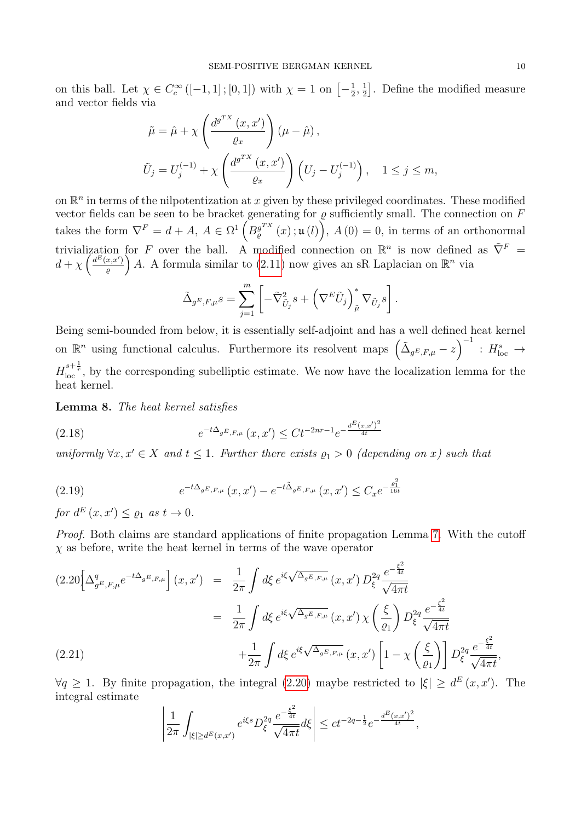on this ball. Let  $\chi \in C_c^{\infty}([-1,1]; [0,1])$  with  $\chi = 1$  on  $\left[-\frac{1}{2}\right]$  $\frac{1}{2}, \frac{1}{2}$  $\frac{1}{2}$ . Define the modified measure and vector fields via

$$
\tilde{\mu} = \hat{\mu} + \chi \left( \frac{d^{g^{TX}}(x, x')}{\varrho_x} \right) (\mu - \hat{\mu}),
$$
  

$$
\tilde{U}_j = U_j^{(-1)} + \chi \left( \frac{d^{g^{TX}}(x, x')}{\varrho_x} \right) \left( U_j - U_j^{(-1)} \right), \quad 1 \le j \le m,
$$

on  $\mathbb{R}^n$  in terms of the nilpotentization at x given by these privileged coordinates. These modified vector fields can be seen to be bracket generating for  $\rho$  sufficiently small. The connection on  $F$ takes the form  $\nabla^F = d + A$ ,  $A \in \Omega^1 \left( B_o^{g^{TX}} \right)$  $g_{\varrho}^{g^{TX}}(x); \mathfrak{u}(l)$ ,  $A(0) = 0$ , in terms of an orthonormal trivialization for F over the ball. A modified connection on  $\mathbb{R}^n$  is now defined as  $\tilde{\nabla}^F$  =  $d+\chi\left(\frac{d^{E}(x,x')}{a}\right)$  $\left(\frac{x,x'}{e}\right)$  A. A formula similar to [\(2.11\)](#page-7-1) now gives an sR Laplacian on  $\mathbb{R}^n$  via

<span id="page-9-1"></span>
$$
\tilde{\Delta}_{g^E,F,\mu} s = \sum_{j=1}^m \left[ -\tilde{\nabla}^2_{\tilde{U}_j} s + \left( \nabla^E \tilde{U}_j \right)^*_{\tilde{\mu}} \nabla_{\tilde{U}_j} s \right].
$$

Being semi-bounded from below, it is essentially self-adjoint and has a well defined heat kernel on  $\mathbb{R}^n$  using functional calculus. Furthermore its resolvent maps  $(\tilde{\Delta}_{g^E,F,\mu}-z)^{-1}$ :  $H_{\text{loc}}^s \to$  $H^{s+\frac{1}{r}}_{\text{loc}}$ , by the corresponding subelliptic estimate. We now have the localization lemma for the heat kernel.

<span id="page-9-3"></span>Lemma 8. The heat kernel satisfies

(2.18) 
$$
e^{-t\Delta_{g^{E,F,\mu}}}(x,x') \leq Ct^{-2nr-1}e^{-\frac{d^{E}(x,x')^{2}}{4t}}
$$

uniformly  $\forall x, x' \in X$  and  $t \leq 1$ . Further there exists  $\rho_1 > 0$  (depending on x) such that

<span id="page-9-2"></span>(2.19) 
$$
e^{-t\Delta_{g^{E,F,\mu}}}(x,x') - e^{-t\tilde{\Delta}_{g^{E,F,\mu}}}(x,x') \leq C_{x}e^{-\frac{\varrho_{1}^{2}}{16t}}
$$

for  $d^E(x, x') \leq \varrho_1$  as  $t \to 0$ .

Proof. Both claims are standard applications of finite propagation Lemma [7.](#page-8-1) With the cutoff  $\chi$  as before, write the heat kernel in terms of the wave operator

<span id="page-9-0"></span>
$$
(2.20\left[\Delta_{g^{E},F,\mu}^{q}e^{-t\Delta_{g^{E},F,\mu}}\right](x,x') = \frac{1}{2\pi}\int d\xi \, e^{i\xi\sqrt{\Delta_{g^{E},F,\mu}}}(x,x') \, D_{\xi}^{2q} \frac{e^{-\frac{\xi^{2}}{4t}}}{\sqrt{4\pi t}}
$$
\n
$$
= \frac{1}{2\pi}\int d\xi \, e^{i\xi\sqrt{\Delta_{g^{E},F,\mu}}}(x,x') \, \chi\left(\frac{\xi}{\varrho_{1}}\right) D_{\xi}^{2q} \frac{e^{-\frac{\xi^{2}}{4t}}}{\sqrt{4\pi t}}
$$
\n
$$
+ \frac{1}{2\pi}\int d\xi \, e^{i\xi\sqrt{\Delta_{g^{E},F,\mu}}}(x,x') \left[1 - \chi\left(\frac{\xi}{\varrho_{1}}\right)\right] D_{\xi}^{2q} \frac{e^{-\frac{\xi^{2}}{4t}}}{\sqrt{4\pi t}},
$$

 $\forall q \geq 1$ . By finite propagation, the integral [\(2.20\)](#page-9-0) maybe restricted to  $|\xi| \geq d^{E}(x, x')$ . The integral estimate

$$
\left|\frac{1}{2\pi}\int_{|\xi|\geq d^{E}(x,x')}e^{i\xi s}D_{\xi}^{2q}\frac{e^{-\frac{\xi^{2}}{4t}}}{\sqrt{4\pi t}}d\xi\right|\leq ct^{-2q-\frac{1}{2}}e^{-\frac{d^{E}(x,x')^{2}}{4t}},
$$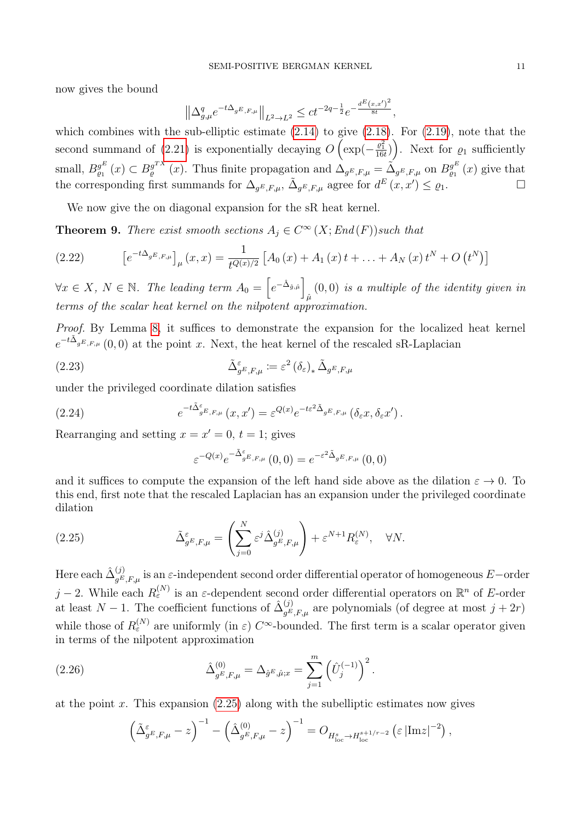now gives the bound

$$
\left\|\Delta_{g,\mu}^q e^{-t\Delta_{gE,F,\mu}}\right\|_{L^2\to L^2} \le ct^{-2q-\frac{1}{2}}e^{-\frac{d^E(x,x')^2}{8t}},
$$

which combines with the sub-elliptic estimate  $(2.14)$  to give  $(2.18)$ . For  $(2.19)$ , note that the second summand of [\(2.21\)](#page-9-0) is exponentially decaying  $O\left(\exp(-\frac{\varrho_1^2}{16t})\right)$ . Next for  $\varrho_1$  sufficiently small,  $B_{\rho_1}^{g^E}$  $g_{\rho_1}^{g^E}(x) \subset B_{\varrho}^{g^{TX}}$  $g^{g^{TX}}_g(x)$ . Thus finite propagation and  $\Delta_{g^E,F,\mu} = \tilde{\Delta}_{g^E,F,\mu}$  on  $B^{g^E}_{g_1}$  $\int_{\varrho_1}^{\varrho^L} (x)$  give that the corresponding first summands for  $\Delta_{g^E,F,\mu}$ ,  $\tilde{\Delta}_{g^E,F,\mu}$  agree for  $d^E(x,x') \leq \varrho_1$ .

We now give the on diagonal expansion for the sR heat kernel.

<span id="page-10-2"></span>**Theorem 9.** There exist smooth sections  $A_j \in C^{\infty}(X; End(F))$  such that

<span id="page-10-1"></span>(2.22) 
$$
\left[e^{-t\Delta_{g^{E,F,\mu}}}\right]_{\mu}(x,x) = \frac{1}{t^{Q(x)/2}}\left[A_0(x) + A_1(x)t + \ldots + A_N(x)t^N + O(t^N)\right]
$$

 $\forall x \in X, N \in \mathbb{N}$ . The leading term  $A_0 = \left[ e^{-\hat{\Delta}_{\hat{g},\hat{\mu}}} \right]$  $\hat{\mu}^{(0,0)}$  is a multiple of the identity given in terms of the scalar heat kernel on the nilpotent approximation.

Proof. By Lemma [8,](#page-9-3) it suffices to demonstrate the expansion for the localized heat kernel  $e^{-t\tilde{\Delta}_g E, F, \mu}(0,0)$  at the point x. Next, the heat kernel of the rescaled sR-Laplacian

(2.23) 
$$
\tilde{\Delta}_{g^E,F,\mu}^{\varepsilon} := \varepsilon^2 \left( \delta_{\varepsilon} \right)_* \tilde{\Delta}_{g^E,F,\mu}
$$

under the privileged coordinate dilation satisfies

(2.24) 
$$
e^{-t\tilde{\Delta}_{g^E,F,\mu}^{\varepsilon}}(x,x') = \varepsilon^{Q(x)}e^{-t\varepsilon^2\tilde{\Delta}_{g^E,F,\mu}}(\delta_{\varepsilon}x,\delta_{\varepsilon}x').
$$

Rearranging and setting  $x = x' = 0, t = 1$ ; gives

<span id="page-10-3"></span><span id="page-10-0"></span>
$$
\varepsilon^{-Q(x)}e^{-\tilde{\Delta}_{gE,F,\mu}^{\varepsilon}}(0,0)=e^{-\varepsilon^{2}\tilde{\Delta}_{gE,F,\mu}}(0,0)
$$

and it suffices to compute the expansion of the left hand side above as the dilation  $\varepsilon \to 0$ . To this end, first note that the rescaled Laplacian has an expansion under the privileged coordinate dilation

(2.25) 
$$
\tilde{\Delta}_{g^E,F,\mu}^{\varepsilon} = \left(\sum_{j=0}^N \varepsilon^j \hat{\Delta}_{g^E,F,\mu}^{(j)}\right) + \varepsilon^{N+1} R_{\varepsilon}^{(N)}, \quad \forall N.
$$

Here each  $\hat{\Delta}^{(j)}_{g^E,F,\mu}$  is an  $\varepsilon$ -independent second order differential operator of homogeneous  $E-$ order  $j-2$ . While each  $R_{\varepsilon}^{(N)}$  is an  $\varepsilon$ -dependent second order differential operators on  $\mathbb{R}^n$  of E-order at least N – 1. The coefficient functions of  $\hat{\Delta}_{g^E,F,\mu}^{(j)}$  are polynomials (of degree at most  $j + 2r$ ) while those of  $R_{\varepsilon}^{(N)}$  are uniformly (in  $\varepsilon$ )  $C^{\infty}$ -bounded. The first term is a scalar operator given in terms of the nilpotent approximation

(2.26) 
$$
\hat{\Delta}_{g^E,F,\mu}^{(0)} = \Delta_{\hat{g}^E,\hat{\mu};x} = \sum_{j=1}^m \left(\hat{U}_j^{(-1)}\right)^2.
$$

at the point  $x$ . This expansion  $(2.25)$  along with the subelliptic estimates now gives

<span id="page-10-4"></span>
$$
\left(\tilde{\Delta}_{g^E,F,\mu}^{\varepsilon} - z\right)^{-1} - \left(\hat{\Delta}_{g^E,F,\mu}^{(0)} - z\right)^{-1} = O_{H_{\text{loc}}^s \to H_{\text{loc}}^{s+1/r-2}}\left(\varepsilon |\text{Im} z|^{-2}\right),
$$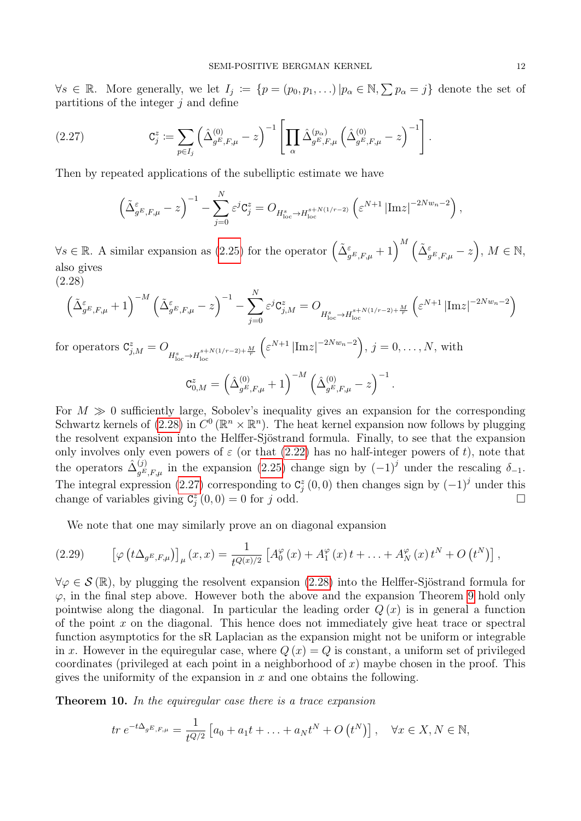$\forall s \in \mathbb{R}$ . More generally, we let  $I_j := \{p = (p_0, p_1, \ldots) | p_\alpha \in \mathbb{N}, \sum p_\alpha = j\}$  denote the set of partitions of the integer  $i$  and define

(2.27) 
$$
\mathbf{C}_j^z := \sum_{p \in I_j} \left( \hat{\Delta}_{g^E, F, \mu}^{(0)} - z \right)^{-1} \left[ \prod_{\alpha} \hat{\Delta}_{g^E, F, \mu}^{(p_{\alpha})} \left( \hat{\Delta}_{g^E, F, \mu}^{(0)} - z \right)^{-1} \right].
$$

Then by repeated applications of the subelliptic estimate we have

<span id="page-11-1"></span>
$$
\left(\tilde{\Delta}_{g^E,F,\mu}^{\varepsilon}-z\right)^{-1}-\sum_{j=0}^N \varepsilon^j \mathbf{C}_j^z=O_{H_{\text{loc}}^s\to H_{\text{loc}}^{s+N(1/r-2)}}\left(\varepsilon^{N+1}\left|\text{Im}z\right|^{-2Nw_n-2}\right),
$$

 $\forall s \in \mathbb{R}$ . A similar expansion as [\(2.25\)](#page-10-0) for the operator  $(\tilde{\Delta}_{g^E,F,\mu}^{\varepsilon}+1)$ <sup>M</sup>  $(\tilde{\Delta}_{g^E,F,\mu}^{\varepsilon}-z)$ ,  $M \in \mathbb{N}$ , also gives (2.28)

<span id="page-11-0"></span>
$$
\left(\tilde{\Delta}_{g^E,F,\mu}^{\varepsilon}+1\right)^{-M}\left(\tilde{\Delta}_{g^E,F,\mu}^{\varepsilon}-z\right)^{-1}-\sum_{j=0}^N\varepsilon^j\mathbf{C}_{j,M}^z=O_{H_{\mathrm{loc}}^{s\to H_{\mathrm{loc}}^{s+N(1/r-2)+\frac{M}{r}}}\left(\varepsilon^{N+1}\left|\mathrm{Im}z\right|^{-2Nw_n-2}\right)
$$

for operators  $C_{j,M}^z = O$ <br> $H_{\text{loc}}^s \to H_{\text{loc}}^{s+N(1/r-2)+\frac{M}{r}}$  $\left(\varepsilon^{N+1}|\text{Im}z|^{-2Nw_n-2}\right), j=0,\ldots,N, \text{ with }$  $\mathtt{C}_{0,M}^{z}=\left( \hat{\Delta}_{g^{E},F,\mu}^{(0)}+1\right) ^{-M}\left( \hat{\Delta}_{g^{E},F,\mu}^{(0)}-z\right) ^{-1}.$ 

For  $M \gg 0$  sufficiently large, Sobolev's inequality gives an expansion for the corresponding Schwartz kernels of  $(2.28)$  in  $C^0(\mathbb{R}^n \times \mathbb{R}^n)$ . The heat kernel expansion now follows by plugging the resolvent expansion into the Helffer-Sjöstrand formula. Finally, to see that the expansion only involves only even powers of  $\varepsilon$  (or that  $(2.22)$  has no half-integer powers of t), note that the operators  $\hat{\Delta}_{g^E,F,\mu}^{(j)}$  in the expansion [\(2.25\)](#page-10-0) change sign by  $(-1)^j$  under the rescaling  $\delta_{-1}$ . The integral expression [\(2.27\)](#page-11-1) corresponding to  $C_j^z(0,0)$  then changes sign by  $(-1)^j$  under this change of variables giving  $C_j^z(0,0) = 0$  for j odd.

<span id="page-11-2"></span>We note that one may similarly prove an on diagonal expansion

(2.29) 
$$
\left[ \varphi \left( t \Delta_{g^E, F, \mu} \right) \right]_{\mu} (x, x) = \frac{1}{t^{Q(x)/2}} \left[ A_0^{\varphi} (x) + A_1^{\varphi} (x) t + \ldots + A_N^{\varphi} (x) t^N + O \left( t^N \right) \right],
$$

 $\forall \varphi \in \mathcal{S}(\mathbb{R})$ , by plugging the resolvent expansion [\(2.28\)](#page-11-0) into the Helffer-Sjöstrand formula for  $\varphi$ , in the final step above. However both the above and the expansion Theorem [9](#page-10-2) hold only pointwise along the diagonal. In particular the leading order  $Q(x)$  is in general a function of the point  $x$  on the diagonal. This hence does not immediately give heat trace or spectral function asymptotics for the sR Laplacian as the expansion might not be uniform or integrable in x. However in the equiregular case, where  $Q(x) = Q$  is constant, a uniform set of privileged coordinates (privileged at each point in a neighborhood of  $x$ ) maybe chosen in the proof. This gives the uniformity of the expansion in  $x$  and one obtains the following.

<span id="page-11-3"></span>Theorem 10. In the equiregular case there is a trace expansion

$$
tr e^{-t\Delta_{gE,F,\mu}} = \frac{1}{t^{Q/2}} \left[ a_0 + a_1 t + \ldots + a_N t^N + O(t^N) \right], \quad \forall x \in X, N \in \mathbb{N},
$$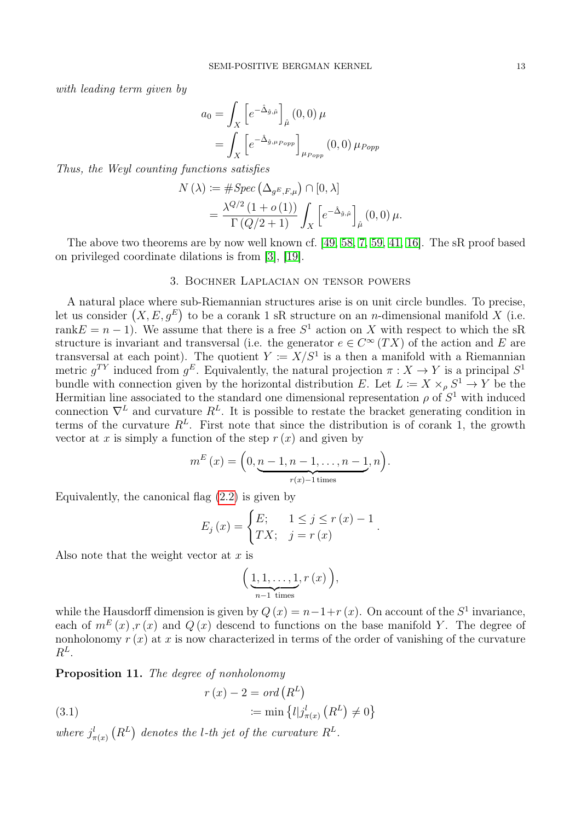with leading term given by

$$
a_0 = \int_X \left[ e^{-\hat{\Delta}_{\hat{g},\hat{\mu}}} \right]_{\hat{\mu}} (0,0) \,\mu
$$
  
= 
$$
\int_X \left[ e^{-\hat{\Delta}_{\hat{g},\mu_{Pop}}} \right]_{\mu_{Pop}} (0,0) \,\mu_{Pop}
$$

Thus, the Weyl counting functions satisfies

$$
N(\lambda) := #Spec \left( \Delta_{g^E, F, \mu} \right) \cap [0, \lambda]
$$
  
= 
$$
\frac{\lambda^{Q/2} (1 + o(1))}{\Gamma(Q/2 + 1)} \int_X \left[ e^{-\hat{\Delta}_{\hat{g}, \hat{\mu}}} \right]_{\hat{\mu}} (0, 0) \mu.
$$

The above two theorems are by now well known cf. [\[49,](#page-48-13) [58,](#page-48-7) [7,](#page-46-1) [59,](#page-48-14) [41,](#page-48-6) [16\]](#page-47-7). The sR proof based on privileged coordinate dilations is from [\[3\]](#page-46-2), [\[19\]](#page-47-8).

#### 3. Bochner Laplacian on tensor powers

<span id="page-12-0"></span>A natural place where sub-Riemannian structures arise is on unit circle bundles. To precise, let us consider  $(X, E, g^E)$  to be a corank 1 sR structure on an *n*-dimensional manifold X (i.e. rank $E = n - 1$ ). We assume that there is a free  $S<sup>1</sup>$  action on X with respect to which the sR structure is invariant and transversal (i.e. the generator  $e \in C^{\infty}(TX)$  of the action and E are transversal at each point). The quotient  $Y := X/S^1$  is a then a manifold with a Riemannian metric  $g^{TY}$  induced from  $g^E$ . Equivalently, the natural projection  $\pi: X \to Y$  is a principal  $S^1$ bundle with connection given by the horizontal distribution E. Let  $L := X \times_{\rho} S^1 \to Y$  be the Hermitian line associated to the standard one dimensional representation  $\rho$  of  $S^1$  with induced connection  $\nabla^L$  and curvature  $R^L$ . It is possible to restate the bracket generating condition in terms of the curvature  $R^L$ . First note that since the distribution is of corank 1, the growth vector at x is simply a function of the step  $r(x)$  and given by

$$
m^{E}(x) = \left(0, \underbrace{n-1, n-1, \dots, n-1}_{r(x)-1 \text{ times}}, n\right).
$$

Equivalently, the canonical flag  $(2.2)$  is given by

$$
E_j(x) = \begin{cases} E; & 1 \le j \le r(x) - 1 \\ TX; & j = r(x) \end{cases}
$$

.

Also note that the weight vector at  $x$  is

$$
\left(\underbrace{1,1,\ldots,1}_{n-1 \text{ times}},r(x)\right),
$$

while the Hausdorff dimension is given by  $Q(x) = n - 1 + r(x)$ . On account of the  $S<sup>1</sup>$  invariance, each of  $m^{E}(x)$ ,  $r(x)$  and  $Q(x)$  descend to functions on the base manifold Y. The degree of nonholonomy  $r(x)$  at x is now characterized in terms of the order of vanishing of the curvature  $R^L$ .

<span id="page-12-1"></span>Proposition 11. The degree of nonholonomy

(3.1) 
$$
r(x) - 2 = ord(R^{L})
$$

$$
:= min \{l | j_{\pi(x)}^{l}(R^{L}) \neq 0 \}
$$

where  $j_{\pi(x)}^l(R^L)$  denotes the l-th jet of the curvature  $R^L$ .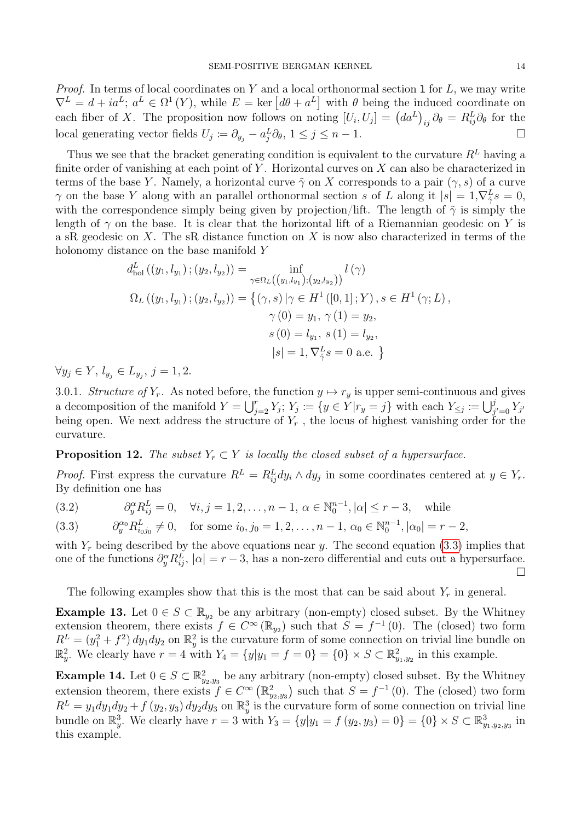*Proof.* In terms of local coordinates on Y and a local orthonormal section 1 for  $L$ , we may write  $\nabla^L = d + ia^L$ ;  $a^L \in \Omega^1(Y)$ , while  $E = \text{ker} [d\theta + a^L]$  with  $\theta$  being the induced coordinate on each fiber of X. The proposition now follows on noting  $[U_i, U_j] = (da^L)_{ij} \partial_\theta = R_{ij}^L \partial_\theta$  for the local generating vector fields  $U_j := \partial_{y_j} - a_j^L \partial_{\theta}$ ,  $1 \le j \le n - 1$ .

Thus we see that the bracket generating condition is equivalent to the curvature  $R<sup>L</sup>$  having a finite order of vanishing at each point of Y. Horizontal curves on  $X$  can also be characterized in terms of the base Y. Namely, a horizontal curve  $\tilde{\gamma}$  on X corresponds to a pair  $(\gamma, s)$  of a curve  $\gamma$  on the base Y along with an parallel orthonormal section s of L along it  $|s| = 1$ ,  $\nabla_{\dot{\gamma}}^L s = 0$ , with the correspondence simply being given by projection/lift. The length of  $\tilde{\gamma}$  is simply the length of  $\gamma$  on the base. It is clear that the horizontal lift of a Riemannian geodesic on Y is a sR geodesic on X. The sR distance function on X is now also characterized in terms of the holonomy distance on the base manifold Y

$$
d_{hol}^{L}((y_1, l_{y_1}); (y_2, l_{y_2})) = \inf_{\gamma \in \Omega_L((y_1, l_{y_1}); (y_2, l_{y_2}))} l(\gamma)
$$
  

$$
\Omega_L((y_1, l_{y_1}); (y_2, l_{y_2})) = \{(\gamma, s) | \gamma \in H^1([0, 1]; Y), s \in H^1(\gamma; L),
$$
  

$$
\gamma(0) = y_1, \gamma(1) = y_2,
$$
  

$$
s(0) = l_{y_1}, s(1) = l_{y_2},
$$
  

$$
|s| = 1, \nabla_{\gamma}^{L} s = 0 \text{ a.e. }
$$

 $\forall y_j \in Y, l_{y_j} \in L_{y_j}, j = 1, 2.$ 

<span id="page-13-0"></span>3.0.1. Structure of  $Y_r$ . As noted before, the function  $y \mapsto r_y$  is upper semi-continuous and gives a decomposition of the manifold  $Y = \bigcup_{j=2}^r Y_j$ ;  $Y_j \coloneqq \{y \in Y | r_y = j\}$  with each  $Y_{\leq j} \coloneqq \bigcup_{j'=0}^j Y_{j'}$ being open. We next address the structure of  $Y_r$ , the locus of highest vanishing order for the curvature.

## <span id="page-13-2"></span>**Proposition 12.** The subset  $Y_r \subset Y$  is locally the closed subset of a hypersurface.

*Proof.* First express the curvature  $R^L = R_{ij}^L dy_i \wedge dy_j$  in some coordinates centered at  $y \in Y_r$ . By definition one has

(3.2)  $\partial_y^{\alpha} R_{ij}^L = 0, \quad \forall i, j = 1, 2, \dots, n - 1, \alpha \in \mathbb{N}_0^{n-1}, |\alpha| \le r - 3, \quad \text{while}$ 

<span id="page-13-1"></span>
$$
(3.3) \t\t \partial_y^{\alpha_0} R_{i_0 j_0}^L \neq 0, \t\t \text{for some } i_0, j_0 = 1, 2, \dots, n-1, \alpha_0 \in \mathbb{N}_0^{n-1}, |\alpha_0| = r-2,
$$

with  $Y_r$  being described by the above equations near y. The second equation [\(3.3\)](#page-13-1) implies that one of the functions  $\partial_y^{\alpha} R_{ij}^L$ ,  $|\alpha| = r - 3$ , has a non-zero differential and cuts out a hypersurface.  $\Box$ 

The following examples show that this is the most that can be said about  $Y_r$  in general.

**Example 13.** Let  $0 \in S \subset \mathbb{R}_v$  be any arbitrary (non-empty) closed subset. By the Whitney extension theorem, there exists  $f \in C^{\infty}(\mathbb{R}_{y_2})$  such that  $S = f^{-1}(0)$ . The (closed) two form  $R^L = (y_1^2 + f^2) dy_1 dy_2$  on  $\mathbb{R}^2_y$  is the curvature form of some connection on trivial line bundle on  $\mathbb{R}^2_y$ . We clearly have  $r = 4$  with  $Y_4 = \{y | y_1 = f = 0\} = \{0\} \times S \subset \mathbb{R}^2_{y_1, y_2}$  in this example.

**Example 14.** Let  $0 \in S \subset \mathbb{R}^2_{y_2,y_3}$  be any arbitrary (non-empty) closed subset. By the Whitney extension theorem, there exists  $f \in C^{\infty}(\mathbb{R}^2_{y_2,y_3})$  such that  $S = f^{-1}(0)$ . The (closed) two form  $R^L = y_1 dy_1 dy_2 + f(y_2, y_3) dy_2 dy_3$  on  $\mathbb{R}^3_y$  is the curvature form of some connection on trivial line bundle on  $\mathbb{R}^3_y$ . We clearly have  $r = 3$  with  $Y_3 = \{y | y_1 = f (y_2, y_3) = 0\} = \{0\} \times S \subset \mathbb{R}^3_{y_1, y_2, y_3}$  in this example.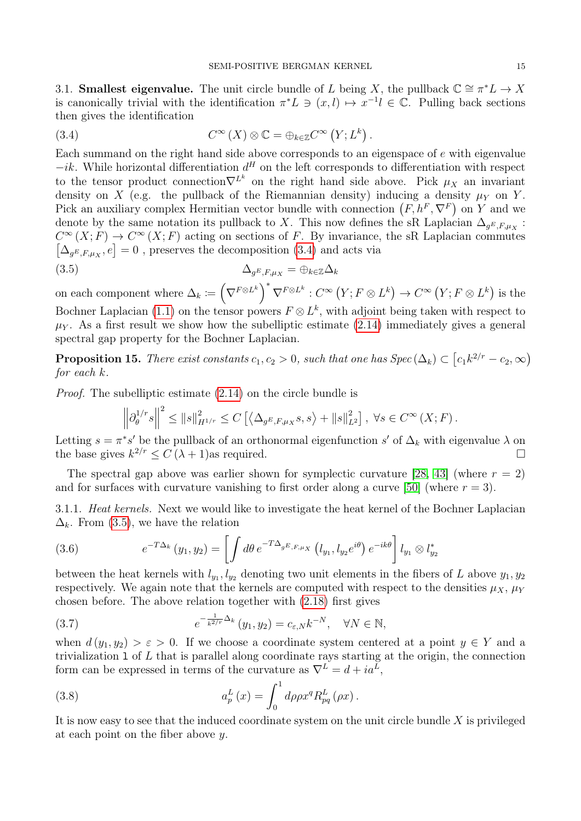<span id="page-14-0"></span>3.1. **Smallest eigenvalue.** The unit circle bundle of L being X, the pullback  $\mathbb{C} \cong \pi^*L \to X$ is canonically trivial with the identification  $\pi^* L \ni (x, l) \mapsto x^{-1} l \in \mathbb{C}$ . Pulling back sections then gives the identification

<span id="page-14-1"></span>(3.4) 
$$
C^{\infty}(X) \otimes \mathbb{C} = \bigoplus_{k \in \mathbb{Z}} C^{\infty}(Y; L^{k}).
$$

Each summand on the right hand side above corresponds to an eigenspace of e with eigenvalue  $-ik$ . While horizontal differentiation  $d<sup>H</sup>$  on the left corresponds to differentiation with respect to the tensor product connection $\nabla^{L^k}$  on the right hand side above. Pick  $\mu_X$  an invariant density on X (e.g. the pullback of the Riemannian density) inducing a density  $\mu_Y$  on Y. Pick an auxiliary complex Hermitian vector bundle with connection  $(F, h^F, \nabla^F)$  on Y and we denote by the same notation its pullback to X. This now defines the sR Laplacian  $\Delta_{g^E,F,\mu_X}$ :  $C^{\infty}(X;F) \to C^{\infty}(X;F)$  acting on sections of F. By invariance, the sR Laplacian commutes  $\left[ \Delta_{g^E, F, \mu_X}, e \right] = 0$ , preserves the decomposition [\(3.4\)](#page-14-1) and acts via

<span id="page-14-2"></span>(3.5) 
$$
\Delta_{g^E, F, \mu_X} = \bigoplus_{k \in \mathbb{Z}} \Delta_k
$$

on each component where  $\Delta_k := (\nabla^{F \otimes L^k})^* \nabla^{F \otimes L^k} : C^\infty(Y; F \otimes L^k) \to C^\infty(Y; F \otimes L^k)$  is the Bochner Laplacian [\(1.1\)](#page-1-1) on the tensor powers  $F \otimes L^k$ , with adjoint being taken with respect to  $\mu_Y$ . As a first result we show how the subelliptic estimate [\(2.14\)](#page-7-3) immediately gives a general spectral gap property for the Bochner Laplacian.

<span id="page-14-5"></span>**Proposition 15.** There exist constants  $c_1, c_2 > 0$ , such that one has  $Spec(\Delta_k) \subset [c_1k^{2/r} - c_2, \infty)$ for each k.

Proof. The subelliptic estimate [\(2.14\)](#page-7-3) on the circle bundle is

$$
\left\|\partial_{\theta}^{1/r}s\right\|^2 \leq \|s\|_{H^{1/r}}^2 \leq C\left[\left\langle \Delta_{g^E,F,\mu_X}s,s\right\rangle + \|s\|_{L^2}^2\right],\ \forall s\in C^\infty\left(X;F\right).
$$

Letting  $s = \pi^* s'$  be the pullback of an orthonormal eigenfunction s' of  $\Delta_k$  with eigenvalue  $\lambda$  on the base gives  $k^{2/r} \leq C(\lambda+1)$  as required.

The spectral gap above was earlier shown for symplectic curvature [\[28,](#page-47-13) [43\]](#page-48-15) (where  $r = 2$ ) and for surfaces with curvature vanishing to first order along a curve [\[50\]](#page-48-0) (where  $r = 3$ ).

3.1.1. Heat kernels. Next we would like to investigate the heat kernel of the Bochner Laplacian  $\Delta_k$ . From [\(3.5\)](#page-14-2), we have the relation

<span id="page-14-3"></span>(3.6) 
$$
e^{-T\Delta_k}(y_1, y_2) = \left[ \int d\theta \, e^{-T\Delta_g E, F, \mu_X} \left( l_{y_1}, l_{y_2} e^{i\theta} \right) e^{-ik\theta} \right] l_{y_1} \otimes l_{y_2}^*
$$

between the heat kernels with  $l_{y_1}, l_{y_2}$  denoting two unit elements in the fibers of L above  $y_1, y_2$ respectively. We again note that the kernels are computed with respect to the densities  $\mu_X$ ,  $\mu_Y$ chosen before. The above relation together with [\(2.18\)](#page-9-1) first gives

<span id="page-14-6"></span>(3.7) 
$$
e^{-\frac{1}{k^{2/r}}\Delta_k}(y_1, y_2) = c_{\varepsilon, N}k^{-N}, \quad \forall N \in \mathbb{N},
$$

when  $d(y_1, y_2) > \varepsilon > 0$ . If we choose a coordinate system centered at a point  $y \in Y$  and a trivialization  $1$  of  $L$  that is parallel along coordinate rays starting at the origin, the connection form can be expressed in terms of the curvature as  $\nabla^L = d + i a^L$ ,

<span id="page-14-4"></span>(3.8) 
$$
a_p^L(x) = \int_0^1 d\rho \rho x^q R_{pq}^L(\rho x).
$$

It is now easy to see that the induced coordinate system on the unit circle bundle X is privileged at each point on the fiber above y.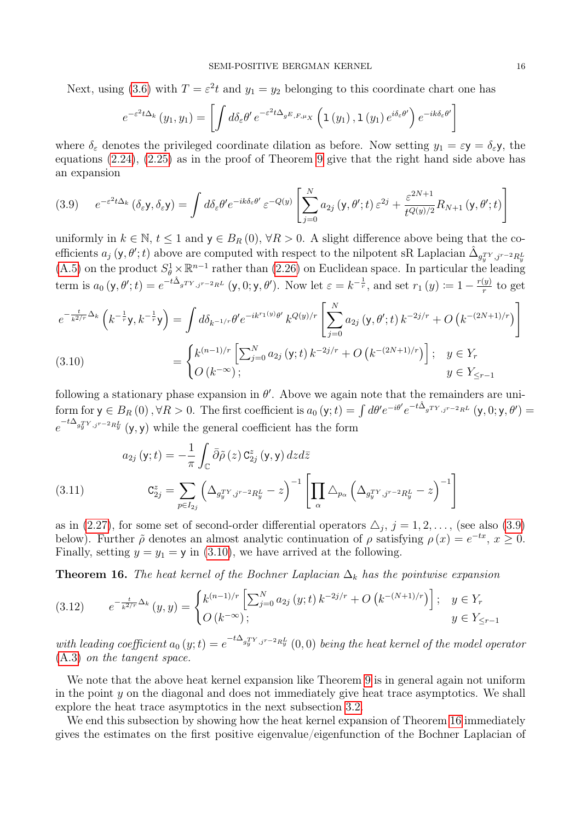Next, using [\(3.6\)](#page-14-3) with  $T = \varepsilon^2 t$  and  $y_1 = y_2$  belonging to this coordinate chart one has

$$
e^{-\varepsilon^{2}t\Delta_{k}}\left(y_{1}, y_{1}\right) = \left[\int d\delta_{\varepsilon} \theta' e^{-\varepsilon^{2}t\Delta_{g}E, F, \mu_{X}}\left(1\left(y_{1}\right), 1\left(y_{1}\right) e^{i\delta_{\varepsilon} \theta'}\right) e^{-ik\delta_{\varepsilon} \theta'}\right]
$$

where  $\delta_{\varepsilon}$  denotes the privileged coordinate dilation as before. Now setting  $y_1 = \varepsilon y = \delta_{\varepsilon} y$ , the equations [\(2.24\)](#page-10-3), [\(2.25\)](#page-10-0) as in the proof of Theorem [9](#page-10-2) give that the right hand side above has an expansion

<span id="page-15-1"></span>
$$
(3.9) \qquad e^{-\varepsilon^2 t \Delta_k} \left( \delta_{\varepsilon} y, \delta_{\varepsilon} y \right) = \int d \delta_{\varepsilon} \theta' e^{-ik \delta_{\varepsilon} \theta'} \, \varepsilon^{-Q(y)} \left[ \sum_{j=0}^N a_{2j} \left( y, \theta'; t \right) \varepsilon^{2j} + \frac{\varepsilon^{2N+1}}{t^{Q(y)/2}} R_{N+1} \left( y, \theta'; t \right) \right]
$$

uniformly in  $k \in \mathbb{N}$ ,  $t \leq 1$  and  $y \in B_R(0)$ ,  $\forall R > 0$ . A slight difference above being that the coefficients  $a_j(y, \theta';t)$  above are computed with respect to the nilpotent sR Laplacian  $\hat{\Delta}_{g_y^{TY},j^{r-2}R_y^L}$ [\(A.5\)](#page-44-1) on the product  $S^1_{\theta} \times \mathbb{R}^{n-1}$  rather than [\(2.26\)](#page-10-4) on Euclidean space. In particular the leading term is  $a_0(y, \theta';t) = e^{-t\hat{\Delta}_g T Y_{,j}r-2_RL} (y, 0; y, \theta')$ . Now let  $\varepsilon = k^{-\frac{1}{r}}$ , and set  $r_1(y) := 1 - \frac{r(y)}{r}$  $\frac{(y)}{r}$  to get

$$
e^{-\frac{t}{k^{2/r}}\Delta_k} \left( k^{-\frac{1}{r}} \mathsf{y}, k^{-\frac{1}{r}} \mathsf{y} \right) = \int d\delta_{k^{-1/r}} \theta' e^{-ik^{r_1(y)}\theta'} k^{Q(y)/r} \left[ \sum_{j=0}^N a_{2j} \left( \mathsf{y}, \theta'; t \right) k^{-2j/r} + O\left( k^{-(2N+1)/r} \right) \right]
$$
  
\n
$$
= \begin{cases} k^{(n-1)/r} \left[ \sum_{j=0}^N a_{2j} \left( \mathsf{y}; t \right) k^{-2j/r} + O\left( k^{-(2N+1)/r} \right) \right]; & y \in Y_r \\ O\left( k^{-\infty} \right); & y \in Y_{\leq r-1} \end{cases}
$$

<span id="page-15-2"></span>following a stationary phase expansion in  $\theta'$ . Above we again note that the remainders are uniform for  $\mathsf{y} \in B_R(0)$  ,  $\forall R > 0$ . The first coefficient is  $a_0(\mathsf{y}; t) = \int d\theta' e^{-i\theta'} e^{-t\hat{\Delta}_g T Y_{,j}r - 2_R L} (\mathsf{y}, 0; \mathsf{y}, \theta') =$  $e^{-t\Delta_{g_y^{TY},j^{r-2}R_y^L}}$  (y, y) while the general coefficient has the form

<span id="page-15-3"></span>(3.11) 
$$
a_{2j} (y;t) = -\frac{1}{\pi} \int_{\mathbb{C}} \bar{\partial} \tilde{\rho}(z) C_{2j}^{z} (y,y) dz d\bar{z}
$$

$$
C_{2j}^{z} = \sum_{p \in I_{2j}} \left( \Delta_{g_{y}^{TY}, j^{r-2}R_{y}^{L}} - z \right)^{-1} \left[ \prod_{\alpha} \Delta_{p_{\alpha}} \left( \Delta_{g_{y}^{TY}, j^{r-2}R_{y}^{L}} - z \right)^{-1} \right]
$$

as in [\(2.27\)](#page-11-1), for some set of second-order differential operators  $\Delta_j$ ,  $j = 1, 2, \ldots$ , (see also [\(3.9\)](#page-15-1) below). Further  $\tilde{\rho}$  denotes an almost analytic continuation of  $\rho$  satisfying  $\rho(x) = e^{-tx}$ ,  $x \ge 0$ . Finally, setting  $y = y_1 = y$  in [\(3.10\)](#page-15-2), we have arrived at the following.

<span id="page-15-0"></span>**Theorem 16.** The heat kernel of the Bochner Laplacian  $\Delta_k$  has the pointwise expansion

<span id="page-15-4"></span>
$$
(3.12) \qquad e^{-\frac{t}{k^{2/r}}\Delta_k}(y,y) = \begin{cases} k^{(n-1)/r} \left[ \sum_{j=0}^N a_{2j}(y;t) \, k^{-2j/r} + O\left(k^{-(N+1)/r}\right) \right]; & y \in Y_r\\ O\left(k^{-\infty}\right); & y \in Y_{\leq r-1} \end{cases}
$$

with leading coefficient  $a_0(y;t) = e^{-t\Delta_{g_y^TY,jr-2R_y^L}}(0,0)$  being the heat kernel of the model operator [\(A.3\)](#page-43-1) on the tangent space.

We note that the above heat kernel expansion like Theorem [9](#page-10-2) is in general again not uniform in the point  $y$  on the diagonal and does not immediately give heat trace asymptotics. We shall explore the heat trace asymptotics in the next subsection [3.2.](#page-16-0)

We end this subsection by showing how the heat kernel expansion of Theorem [16](#page-15-0) immediately gives the estimates on the first positive eigenvalue/eigenfunction of the Bochner Laplacian of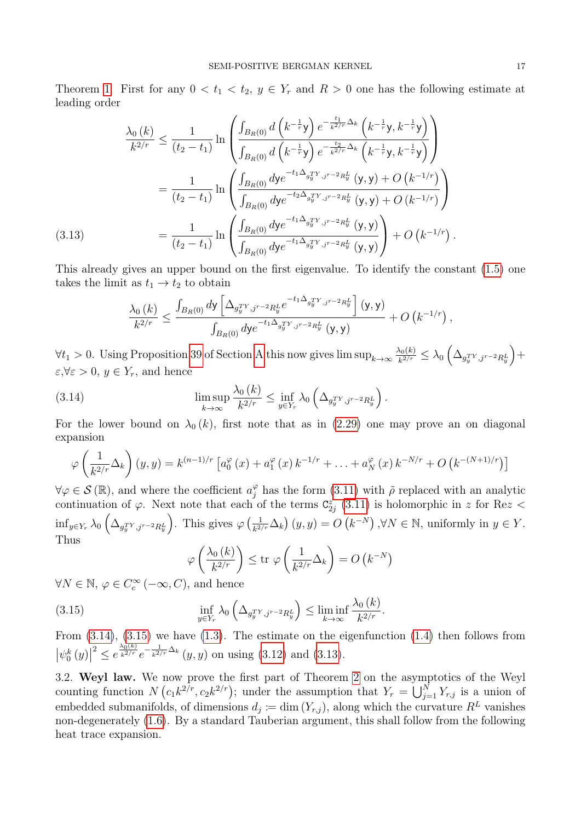Theorem [1.](#page-1-5) First for any  $0 < t_1 < t_2$ ,  $y \in Y_r$  and  $R > 0$  one has the following estimate at leading order

$$
\frac{\lambda_{0}(k)}{k^{2/r}} \leq \frac{1}{(t_{2}-t_{1})} \ln \left( \frac{\int_{B_{R}(0)} d\left(k^{-\frac{1}{r}}\mathbf{y}\right) e^{-\frac{t_{1}}{k^{2/r}}\Delta_{k}}\left(k^{-\frac{1}{r}}\mathbf{y},k^{-\frac{1}{r}}\mathbf{y}\right)}{\int_{B_{R}(0)} d\left(k^{-\frac{1}{r}}\mathbf{y}\right) e^{-\frac{t_{2}}{k^{2/r}}\Delta_{k}}\left(k^{-\frac{1}{r}}\mathbf{y},k^{-\frac{1}{r}}\mathbf{y}\right)} \right) \n= \frac{1}{(t_{2}-t_{1})} \ln \left( \frac{\int_{B_{R}(0)} d\mathbf{y} e^{-t_{1}\Delta_{g_{y}^{TV},j^{r-2}R_{y}^{L}}\left(\mathbf{y},\mathbf{y}\right)+O\left(k^{-1/r}\right)}{\int_{B_{R}(0)} d\mathbf{y} e^{-t_{2}\Delta_{g_{y}^{TV},j^{r-2}R_{y}^{L}}\left(\mathbf{y},\mathbf{y}\right)+O\left(k^{-1/r}\right)} \right) \n= \frac{1}{(t_{2}-t_{1})} \ln \left( \frac{\int_{B_{R}(0)} d\mathbf{y} e^{-t_{1}\Delta_{g_{y}^{TV},j^{r-2}R_{y}^{L}}\left(\mathbf{y},\mathbf{y}\right)}{\int_{B_{R}(0)} d\mathbf{y} e^{-t_{1}\Delta_{g_{y}^{TV},j^{r-2}R_{y}^{L}}\left(\mathbf{y},\mathbf{y}\right)}\right) + O\left(k^{-1/r}\right).
$$
\n(3.13)

<span id="page-16-3"></span>This already gives an upper bound on the first eigenvalue. To identify the constant [\(1.5\)](#page-1-6) one takes the limit as  $t_1 \rightarrow t_2$  to obtain

<span id="page-16-1"></span>
$$
\frac{\lambda_0(k)}{k^{2/r}} \le \frac{\int_{B_R(0)} d\mathsf{y} \left[ \Delta_{g_y^{TY}, j^{r-2} R_y^L} e^{-t_1 \Delta_{g_y^{TY}, j^{r-2} R_y^L}} \right] (\mathsf{y}, \mathsf{y})}{\int_{B_R(0)} d\mathsf{y} e^{-t_1 \Delta_{g_y^{TY}, j^{r-2} R_y^L}} (\mathsf{y}, \mathsf{y})} + O\left(k^{-1/r}\right),
$$

 $\forall t_1 > 0$ . Using Proposition [39](#page-45-0) of Section [A](#page-43-0) this now gives  $\limsup_{k \to \infty} \frac{\lambda_0(k)}{k^{2/r}}$  $\frac{\lambda_0(k)}{k^{2/r}} \leq \lambda_0 \left( \Delta_{g_y^{TY}, j^{r-2} R_y^L} \right) +$  $\varepsilon, \forall \varepsilon > 0, y \in Y_r$ , and hence

(3.14) 
$$
\limsup_{k \to \infty} \frac{\lambda_0(k)}{k^{2/r}} \leq \inf_{y \in Y_r} \lambda_0 \left( \Delta_{g_y^{TY}, j^{r-2} R_y^L} \right).
$$

For the lower bound on  $\lambda_0 (k)$ , first note that as in [\(2.29\)](#page-11-2) one may prove an on diagonal expansion

$$
\varphi\left(\frac{1}{k^{2/r}}\Delta_k\right)(y,y) = k^{(n-1)/r} \left[a_0^{\varphi}(x) + a_1^{\varphi}(x) k^{-1/r} + \ldots + a_N^{\varphi}(x) k^{-N/r} + O\left(k^{-(N+1)/r}\right)\right]
$$

 $\forall \varphi \in \mathcal{S}(\mathbb{R})$ , and where the coefficient  $a_j^{\varphi}$  has the form  $(3.11)$  with  $\tilde{\rho}$  replaced with an analytic continuation of  $\varphi$ . Next note that each of the terms  $C_{2j}^z$  [\(3.11\)](#page-15-3) is holomorphic in z for Rez <  $\inf_{y \in Y_r} \lambda_0 \left( \Delta_{g_y^{TY}, j^{r-2} R_y^L} \right)$ . This gives  $\varphi \left( \frac{1}{k^2} \right)$  $\frac{1}{k^{2/r}}\Delta_k(y, y) = O(k^{-N}), \forall N \in \mathbb{N}, \text{ uniformly in } y \in Y.$ Thus

<span id="page-16-2"></span>
$$
\varphi\left(\frac{\lambda_0(k)}{k^{2/r}}\right) \le \text{tr } \varphi\left(\frac{1}{k^{2/r}}\Delta_k\right) = O\left(k^{-N}\right)
$$

 $\forall N \in \mathbb{N}, \varphi \in C_c^{\infty}(-\infty, C)$ , and hence

(3.15) 
$$
\inf_{y \in Y_r} \lambda_0 \left( \Delta_{g_y^{TY}, j^{r-2} R_y^L} \right) \leq \liminf_{k \to \infty} \frac{\lambda_0(k)}{k^{2/r}}.
$$

From [\(3.14\)](#page-16-1), [\(3.15\)](#page-16-2) we have [\(1.3\)](#page-1-3). The estimate on the eigenfunction [\(1.4\)](#page-1-4) then follows from  $\left|\psi_0^k\left(y\right)\right|$  $2 \leq e^{\frac{\lambda_0(k)}{k^{2/r}} e^{-\frac{1}{k^{2/r}}\Delta_k}(y, y)$  on using [\(3.12\)](#page-15-4) and [\(3.13\)](#page-16-3).

<span id="page-16-0"></span>3.2. Weyl law. We now prove the first part of Theorem [2](#page-2-2) on the asymptotics of the Weyl counting function  $N(c_1k^{2/r}, c_2k^{2/r})$ ; under the assumption that  $Y_r = \bigcup_{j=1}^N Y_{r,j}$  is a union of embedded submanifolds, of dimensions  $d_j := \dim(Y_{r,j})$ , along which the curvature  $R^L$  vanishes non-degenerately [\(1.6\)](#page-2-0). By a standard Tauberian argument, this shall follow from the following heat trace expansion.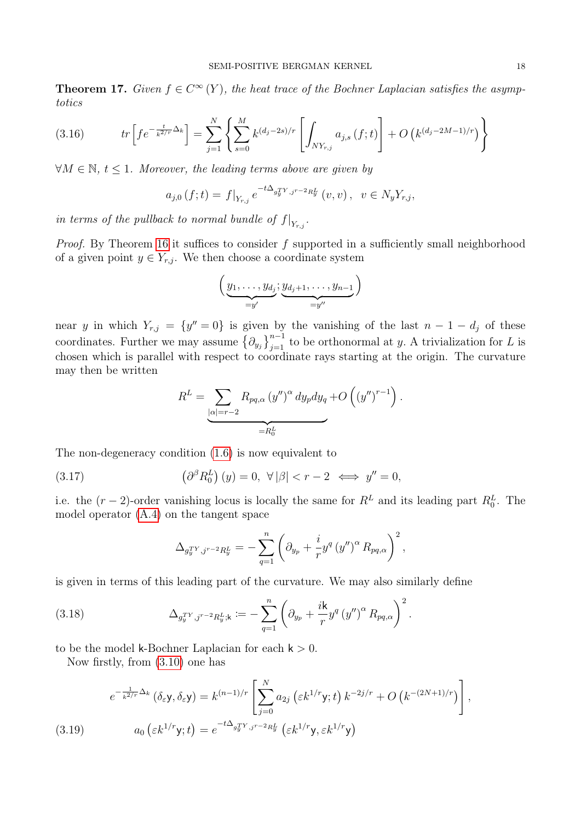**Theorem 17.** Given  $f \in C^{\infty}(Y)$ , the heat trace of the Bochner Laplacian satisfies the asymptotics

<span id="page-17-3"></span>(3.16) 
$$
tr\left[f e^{-\frac{t}{k^{2/r}}\Delta_k}\right] = \sum_{j=1}^N \left\{ \sum_{s=0}^M k^{(d_j-2s)/r} \left[ \int_{NY_{r,j}} a_{j,s}(f;t) \right] + O\left( k^{(d_j-2M-1)/r} \right) \right\}
$$

 $\forall M \in \mathbb{N}, t \leq 1$ . Moreover, the leading terms above are given by

$$
a_{j,0}(f;t) = f|_{Y_{r,j}} e^{-t\Delta_{g_y^T Y, j^{r-2}R_y^L}}(v, v), \ v \in N_y Y_{r,j},
$$

in terms of the pullback to normal bundle of  $f|_{Y_{r,j}}$ .

*Proof.* By Theorem [16](#page-15-0) it suffices to consider  $f$  supported in a sufficiently small neighborhood of a given point  $y \in Y_{r,j}$ . We then choose a coordinate system

$$
\left(\underbrace{y_1,\ldots,y_{d_j}}_{=y'};\underbrace{y_{d_j+1},\ldots,y_{n-1}}_{=y''}\right)
$$

near y in which  $Y_{r,j} = \{y'' = 0\}$  is given by the vanishing of the last  $n-1-d_j$  of these coordinates. Further we may assume  $\{\partial_{y_j}\}_{j=1}^{n-1}$  to be orthonormal at y. A trivialization for L is chosen which is parallel with respect to coordinate rays starting at the origin. The curvature may then be written

$$
R^{L} = \underbrace{\sum_{|\alpha|=r-2} R_{pq,\alpha} (y'')^{\alpha} dy_{p} dy_{q}}_{=R_{0}^{L}} + O\left((y'')^{r-1}\right).
$$

The non-degeneracy condition [\(1.6\)](#page-2-0) is now equivalent to

(3.17) 
$$
\left(\partial^{\beta} R_0^L\right)(y) = 0, \ \forall \ |\beta| < r - 2 \iff y'' = 0,
$$

i.e. the  $(r-2)$ -order vanishing locus is locally the same for  $R<sup>L</sup>$  and its leading part  $R_0<sup>L</sup>$ . The model operator [\(A.4\)](#page-43-2) on the tangent space

<span id="page-17-1"></span><span id="page-17-0"></span>
$$
\Delta_{g_y^{TY},j^{r-2}R_y^L} = -\sum_{q=1}^n \left( \partial_{y_p} + \frac{i}{r} y^q (y'')^{\alpha} R_{pq,\alpha} \right)^2,
$$

is given in terms of this leading part of the curvature. We may also similarly define

(3.18) 
$$
\Delta_{g_y^{TY}, j^{r-2}R_y^L; k} := -\sum_{q=1}^n \left( \partial_{y_p} + \frac{i k}{r} y^q (y'')^{\alpha} R_{pq, \alpha} \right)^2.
$$

to be the model k-Bochner Laplacian for each  $k > 0$ .

Now firstly, from [\(3.10\)](#page-15-2) one has

<span id="page-17-2"></span>
$$
e^{-\frac{1}{k^{2/r}}\Delta_k}(\delta_{\varepsilon} \mathbf{y}, \delta_{\varepsilon} \mathbf{y}) = k^{(n-1)/r} \left[ \sum_{j=0}^N a_{2j} \left( \varepsilon k^{1/r} \mathbf{y}; t \right) k^{-2j/r} + O\left( k^{-(2N+1)/r} \right) \right],
$$
  
(3.19) 
$$
a_0 \left( \varepsilon k^{1/r} \mathbf{y}; t \right) = e^{-t \Delta_{g_y} T Y_{,j} r - 2R_y^L} \left( \varepsilon k^{1/r} \mathbf{y}, \varepsilon k^{1/r} \mathbf{y} \right)
$$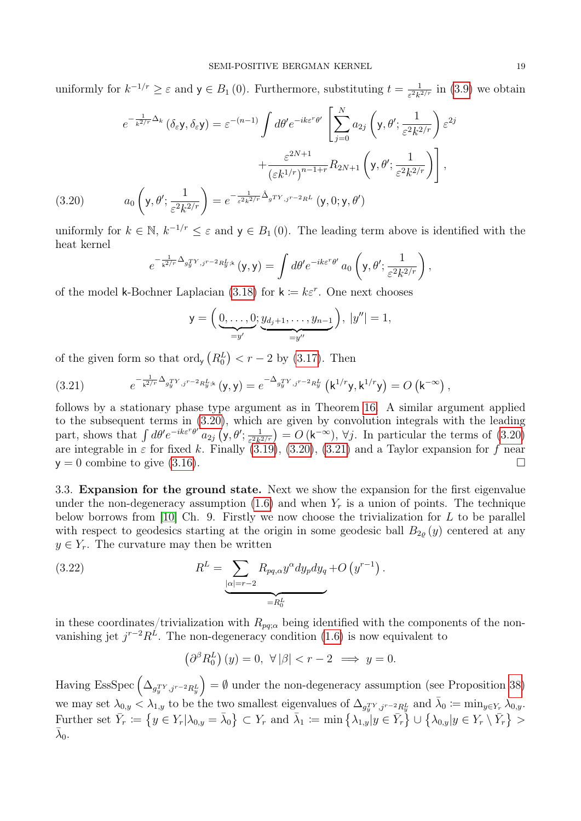uniformly for  $k^{-1/r} \geq \varepsilon$  and  $y \in B_1(0)$ . Furthermore, substituting  $t = \frac{1}{\varepsilon^2 k^2}$  $\frac{1}{\varepsilon^2 k^{2/r}}$  in [\(3.9\)](#page-15-1) we obtain

$$
e^{-\frac{1}{k^{2/r}}\Delta_k}(\delta_{\varepsilon}\mathbf{y}, \delta_{\varepsilon}\mathbf{y}) = \varepsilon^{-(n-1)} \int d\theta' e^{-ik\varepsilon^r\theta'} \left[ \sum_{j=0}^N a_{2j} \left( \mathbf{y}, \theta'; \frac{1}{\varepsilon^2 k^{2/r}} \right) \varepsilon^{2j} + \frac{\varepsilon^{2N+1}}{(\varepsilon k^{1/r})^{n-1+r}} R_{2N+1} \left( \mathbf{y}, \theta'; \frac{1}{\varepsilon^2 k^{2/r}} \right) \right],
$$
\n(3.20) 
$$
a_0 \left( \mathbf{y}, \theta'; \frac{1}{\varepsilon^2 k^{2/r}} \right) = e^{-\frac{1}{\varepsilon^2 k^{2/r}} \hat{\Delta}_g T Y, j^{r-2} R^L} \left( \mathbf{y}, 0; \mathbf{y}, \theta' \right)
$$

<span id="page-18-1"></span>

uniformly for  $k \in \mathbb{N}$ ,  $k^{-1/r} \leq \varepsilon$  and  $\mathsf{y} \in B_1(0)$ . The leading term above is identified with the heat kernel

$$
e^{-\frac{1}{k^{2/r}}\Delta_{g_y^{TY},j^{r-2}R_y^L;k}}(\mathsf{y},\mathsf{y})=\int d\theta' e^{-ik\varepsilon^{r}\theta'} a_0\left(\mathsf{y},\theta';\frac{1}{\varepsilon^{2}k^{2/r}}\right),
$$

of the model k-Bochner Laplacian [\(3.18\)](#page-17-0) for  $\mathsf{k} := k\varepsilon^r$ . One next chooses

$$
y = \left(\underbrace{0, \ldots, 0}_{=y'}; \underbrace{y_{d_j+1}, \ldots, y_{n-1}}_{=y''}\right), |y''| = 1,
$$

of the given form so that  $\text{ord}_{\mathsf{y}}\left(R_0^L\right) < r - 2$  by [\(3.17\)](#page-17-1). Then

<span id="page-18-2"></span>(3.21) 
$$
e^{-\frac{1}{k^{2/r}}\Delta_{g_y^{TV},j^{r-2}R_y^{L,k}}}(y,y)=e^{-\Delta_{g_y^{TV},j^{r-2}R_y^{L}}}(k^{1/r}y,k^{1/r}y)=O(k^{-\infty}),
$$

follows by a stationary phase type argument as in Theorem [16.](#page-15-0) A similar argument applied to the subsequent terms in [\(3.20\)](#page-18-1), which are given by convolution integrals with the leading part, shows that  $\int d\theta' e^{-ik\varepsilon^T\theta'} a_{2j} (\mathsf{y}, \theta'; \frac{1}{\varepsilon^2 k^2})$  $\frac{1}{\epsilon^{2}k^{2/r}}$  =  $O(k^{-\infty}), \forall j$ . In particular the terms of [\(3.20\)](#page-18-1) are integrable in  $\varepsilon$  for fixed k. Finally [\(3.19\)](#page-17-2), [\(3.20\)](#page-18-1), [\(3.21\)](#page-18-2) and a Taylor expansion for f near  $y = 0$  combine to give [\(3.16\)](#page-17-3).

<span id="page-18-0"></span>3.3. Expansion for the ground state. Next we show the expansion for the first eigenvalue under the non-degeneracy assumption  $(1.6)$  and when  $Y_r$  is a union of points. The technique below borrows from  $[10]$  Ch. 9. Firstly we now choose the trivialization for  $L$  to be parallel with respect to geodesics starting at the origin in some geodesic ball  $B_{2\rho}(y)$  centered at any  $y \in Y_r$ . The curvature may then be written

(3.22) 
$$
R^{L} = \underbrace{\sum_{|\alpha| = r-2} R_{pq,\alpha} y^{\alpha} dy_{p} dy_{q}}_{= R_{0}^{L}} + O(y^{r-1}).
$$

in these coordinates/trivialization with  $R_{pq;\alpha}$  being identified with the components of the nonvanishing jet  $j^{r-2}R^L$ . The non-degeneracy condition [\(1.6\)](#page-2-0) is now equivalent to

<span id="page-18-3"></span>
$$
\left(\partial^{\beta} R_0^L\right)(y) = 0, \ \forall \, |\beta| < r - 2 \implies y = 0.
$$

Having EssSpec  $(\Delta_{g_y^{TY},j^{r-2}R_y^L}) = \emptyset$  under the non-degeneracy assumption (see Proposition [38\)](#page-45-1) we may set  $\lambda_{0,y} \leq \lambda_{1,y}$  to be the two smallest eigenvalues of  $\Delta_{g_y^{TY},j^{r-2}R_y^L}$  and  $\bar{\lambda}_0 := \min_{y \in Y_r} \lambda_{0,y}$ . Further set  $\bar{Y}_r := \left\{ y \in Y_r | \lambda_{0,y} = \bar{\lambda}_0 \right\} \subset Y_r$  and  $\bar{\lambda}_1 := \min \left\{ \lambda_{1,y} | y \in \bar{Y}_r \right\} \cup \left\{ \lambda_{0,y} | y \in Y_r \setminus \bar{Y}_r \right\} >$  $\bar{\lambda}_0$ .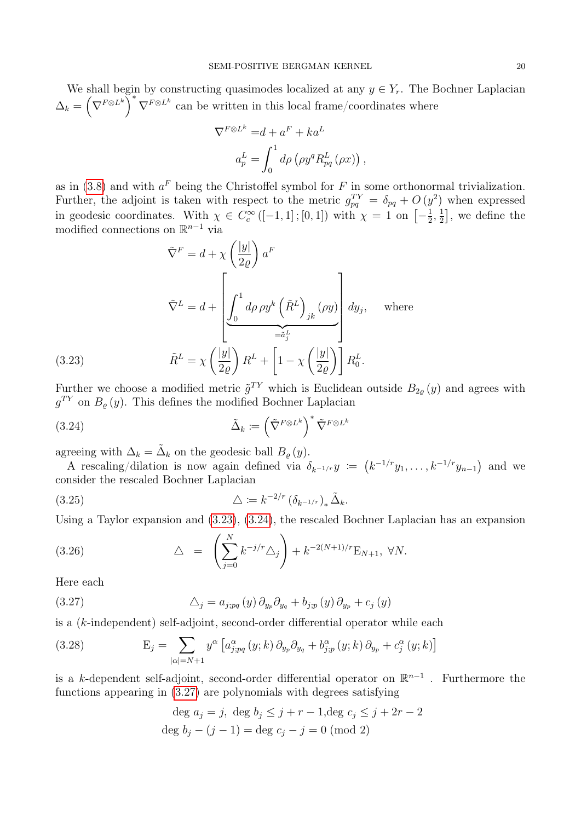We shall begin by constructing quasimodes localized at any  $y \in Y_r$ . The Bochner Laplacian  $\Delta_k = \left(\nabla^{F \otimes L^k}\right)^* \nabla^{F \otimes L^k}$  can be written in this local frame/coordinates where

$$
\nabla^{F \otimes L^k} = d + a^F + ka^L
$$

$$
a_p^L = \int_0^1 d\rho \left(\rho y^q R_{pq}^L \left(\rho x\right)\right),
$$

as in [\(3.8\)](#page-14-4) and with  $a^F$  being the Christoffel symbol for F in some orthonormal trivialization. Further, the adjoint is taken with respect to the metric  $g_{pq}^{TY} = \delta_{pq} + O(y^2)$  when expressed in geodesic coordinates. With  $\chi \in C_c^{\infty}([-1,1]; [0,1])$  with  $\chi = 1$  on  $\left[-\frac{1}{2}, \frac{1}{2}\right]$  $\frac{1}{2}, \frac{1}{2}$  $\frac{1}{2}$ , we define the modified connections on  $\mathbb{R}^{n-1}$  via

$$
\tilde{\nabla}^{F} = d + \chi \left(\frac{|y|}{2\varrho}\right) a^{F}
$$
\n
$$
\tilde{\nabla}^{L} = d + \left[\underbrace{\int_{0}^{1} d\rho \, \rho y^{k} \left(\tilde{R}^{L}\right)_{jk} (\rho y)}_{=\tilde{a}_{j}^{L}}\right] dy_{j}, \quad \text{where}
$$
\n(3.23)\n
$$
\tilde{R}^{L} = \chi \left(\frac{|y|}{2\varrho}\right) R^{L} + \left[1 - \chi \left(\frac{|y|}{2\varrho}\right)\right] R_{0}^{L}.
$$

<span id="page-19-0"></span>Further we choose a modified metric  $\tilde{g}^{TY}$  which is Euclidean outside  $B_{2\varrho}(y)$  and agrees with  $g^{TY}$  on  $B_{\varrho}(y)$ . This defines the modified Bochner Laplacian

<span id="page-19-1"></span>(3.24) 
$$
\tilde{\Delta}_k := \left(\tilde{\nabla}^{F \otimes L^k}\right)^* \tilde{\nabla}^{F \otimes L^k}
$$

agreeing with  $\Delta_k = \tilde{\Delta}_k$  on the geodesic ball  $B_{\varrho}(y)$ .

A rescaling/dilation is now again defined via  $\delta_{k^{-1/r}}y := (k^{-1/r}y_1, \ldots, k^{-1/r}y_{n-1})$  and we consider the rescaled Bochner Laplacian

<span id="page-19-4"></span>
$$
\Delta := k^{-2/r} \left( \delta_{k^{-1/r}} \right)_* \tilde{\Delta}_k.
$$

Using a Taylor expansion and [\(3.23\)](#page-19-0), [\(3.24\)](#page-19-1), the rescaled Bochner Laplacian has an expansion

<span id="page-19-5"></span>(3.26) 
$$
\Delta = \left( \sum_{j=0}^{N} k^{-j/r} \Delta_j \right) + k^{-2(N+1)/r} E_{N+1}, \ \forall N.
$$

Here each

<span id="page-19-2"></span>(3.27) 
$$
\Delta_j = a_{j;pq}(y) \partial_{y_p} \partial_{y_q} + b_{j;p}(y) \partial_{y_p} + c_j(y)
$$

is a (k-independent) self-adjoint, second-order differential operator while each

(3.28) 
$$
E_j = \sum_{|\alpha|=N+1} y^{\alpha} \left[ a_{j;pq}^{\alpha} (y;k) \partial_{y_p} \partial_{y_q} + b_{j;p}^{\alpha} (y;k) \partial_{y_p} + c_j^{\alpha} (y;k) \right]
$$

is a k-dependent self-adjoint, second-order differential operator on  $\mathbb{R}^{n-1}$ . Furthermore the functions appearing in [\(3.27\)](#page-19-2) are polynomials with degrees satisfying

<span id="page-19-3"></span>
$$
\deg a_j = j, \deg b_j \le j + r - 1, \deg c_j \le j + 2r - 2
$$
  

$$
\deg b_j - (j - 1) = \deg c_j - j = 0 \pmod{2}
$$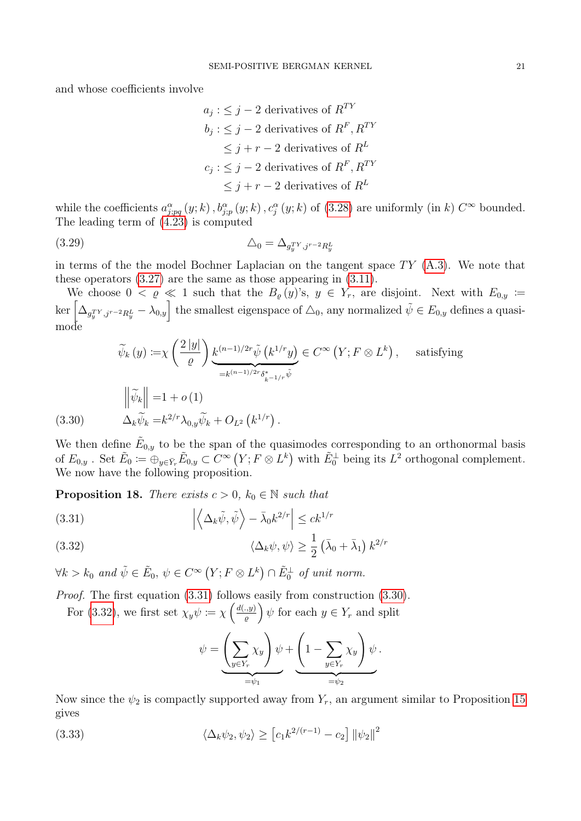and whose coefficients involve

<span id="page-20-3"></span>
$$
a_j : \leq j - 2 \text{ derivatives of } R^{TY}
$$
  
\n
$$
b_j : \leq j - 2 \text{ derivatives of } R^F, R^{TY}
$$
  
\n
$$
\leq j + r - 2 \text{ derivatives of } R^L
$$
  
\n
$$
c_j : \leq j - 2 \text{ derivatives of } R^F, R^{TY}
$$
  
\n
$$
\leq j + r - 2 \text{ derivatives of } R^L
$$

while the coefficients  $a_{j:pq}^{\alpha}(y;k)$ ,  $b_{j:p}^{\alpha}(y;k)$ ,  $c_j^{\alpha}(y;k)$  of [\(3.28\)](#page-19-3) are uniformly (in k)  $C^{\infty}$  bounded. The leading term of [\(4.23\)](#page-27-0) is computed

$$
\Delta_0 = \Delta_{g_y^{TY}, j^{r-2}R_y^L}
$$

in terms of the the model Bochner Laplacian on the tangent space  $TY$  [\(A.3\)](#page-43-1). We note that these operators [\(3.27\)](#page-19-2) are the same as those appearing in [\(3.11\)](#page-15-3).

We choose  $0 < \varrho \ll 1$  such that the  $B_{\varrho}(y)$ 's,  $y \in Y_r$ , are disjoint. Next with  $E_{0,y}$  :=  $\text{ker}\left[\Delta_{g_y^{TY},j^{r-2}R_y^L}-\lambda_{0,y}\right]$  the smallest eigenspace of  $\triangle_0$ , any normalized  $\tilde{\psi}\in E_{0,y}$  defines a quasimode

$$
\widetilde{\psi}_{k}(y) \coloneqq \chi \left(\frac{2|y|}{\varrho}\right) \underbrace{k^{(n-1)/2r} \widetilde{\psi}(k^{1/r}y)}_{=k^{(n-1)/2r} \delta_{k-1/r}^{*} \widetilde{\psi}} \in C^{\infty}(Y; F \otimes L^{k}), \quad \text{satisfying}
$$
\n
$$
\left\|\widetilde{\psi}_{k}\right\| = 1 + o(1)
$$
\n
$$
\Delta_{k} \widetilde{\psi}_{k} = k^{2/r} \lambda_{0,y} \widetilde{\psi}_{k} + O_{L^{2}}\left(k^{1/r}\right).
$$

<span id="page-20-1"></span>We then define  $\tilde{E}_{0,y}$  to be the span of the quasimodes corresponding to an orthonormal basis of  $E_{0,y}$  . Set  $\tilde{E}_0 := \bigoplus_{y \in \bar{Y}_r} \tilde{E}_{0,y} \subset C^{\infty} (Y; F \otimes L^k)$  with  $\tilde{E}_0^{\perp}$  being its  $L^2$  orthogonal complement. We now have the following proposition.

**Proposition 18.** There exists  $c > 0$ ,  $k_0 \in \mathbb{N}$  such that

<span id="page-20-0"></span>(3.31) 
$$
\left| \left\langle \Delta_k \tilde{\psi}, \tilde{\psi} \right\rangle - \bar{\lambda}_0 k^{2/r} \right| \leq c k^{1/r}
$$

<span id="page-20-2"></span>(3.32) 
$$
\langle \Delta_k \psi, \psi \rangle \geq \frac{1}{2} \left( \bar{\lambda}_0 + \bar{\lambda}_1 \right) k^{2/r}
$$

 $\forall k > k_0 \text{ and } \tilde{\psi} \in \tilde{E}_0, \, \psi \in C^{\infty} \left( Y; F \otimes L^k \right) \cap \tilde{E}_0^{\perp} \text{ of unit norm}.$ 

Proof. The first equation [\(3.31\)](#page-20-0) follows easily from construction [\(3.30\)](#page-20-1).

For [\(3.32\)](#page-20-2), we first set  $\chi_y \psi := \chi \left( \frac{d(x,y)}{g(x,y)} \right)$  $(\frac{y}{\varrho})\psi$  for each  $y \in Y_r$  and split

<span id="page-20-4"></span>
$$
\psi = \underbrace{\left(\sum_{y \in Y_r} \chi_y\right) \psi}_{= \psi_1} + \underbrace{\left(1 - \sum_{y \in Y_r} \chi_y\right) \psi}_{= \psi_2}.
$$

Now since the  $\psi_2$  is compactly supported away from  $Y_r$ , an argument similar to Proposition [15](#page-14-5) gives

(3.33) 
$$
\langle \Delta_k \psi_2, \psi_2 \rangle \geq [c_1 k^{2/(r-1)} - c_2] ||\psi_2||^2
$$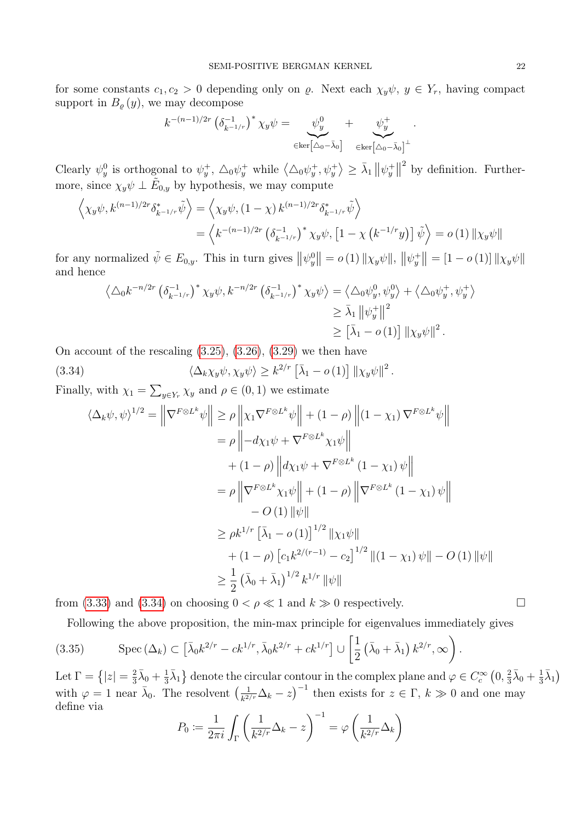for some constants  $c_1, c_2 > 0$  depending only on  $\varrho$ . Next each  $\chi_y \psi, y \in Y_r$ , having compact support in  $B_{\rho}(y)$ , we may decompose

$$
k^{-(n-1)/2r} \left(\delta_{k^{-1}/r}^{-1}\right)^* \chi_y \psi = \underbrace{\psi_y^0}_{\in \ker \left[\Delta_0 - \bar{\lambda}_0\right]} + \underbrace{\psi_y^+}_{\in \ker \left[\Delta_0 - \bar{\lambda}_0\right]^{\perp}}.
$$

Clearly  $\psi_y^0$  is orthogonal to  $\psi_y^+$ ,  $\triangle_0 \psi_y^+$  while  $\langle \triangle_0 \psi_y^+, \psi_y^+ \rangle \ge \bar{\lambda}_1 ||\psi_y^+||$ <sup>2</sup> by definition. Furthermore, since  $\chi_y \psi \perp \tilde{E}_{0,y}$  by hypothesis, we may compute

$$
\left\langle \chi_y \psi, k^{(n-1)/2r} \delta_{k-1/r}^* \tilde{\psi} \right\rangle = \left\langle \chi_y \psi, (1-\chi) k^{(n-1)/2r} \delta_{k-1/r}^* \tilde{\psi} \right\rangle
$$
  
=  $\left\langle k^{-(n-1)/2r} \left( \delta_{k-1/r}^{-1} \right)^* \chi_y \psi, \left[ 1 - \chi \left( k^{-1/r} y \right) \right] \tilde{\psi} \right\rangle = o(1) \left\| \chi_y \psi \right\|$ 

for any normalized  $\tilde{\psi} \in E_{0,y}$ . This in turn gives  $\|\psi_y^0\| = o(1) \|\chi_y \psi\|$ ,  $\|\psi_y^+\| = [1 - o(1)] \|\chi_y \psi\|$ and hence

$$
\langle \triangle_0 k^{-n/2r} \left( \delta_{k^{-1}/r}^{-1} \right)^* \chi_y \psi, k^{-n/2r} \left( \delta_{k^{-1}/r}^{-1} \right)^* \chi_y \psi \rangle = \langle \triangle_0 \psi_y^0, \psi_y^0 \rangle + \langle \triangle_0 \psi_y^+, \psi_y^+ \rangle
$$
  
\n
$$
\geq \bar{\lambda}_1 ||\psi_y^+||^2
$$
  
\n
$$
\geq |\bar{\lambda}_1 - o(1)| ||\chi_y \psi||^2.
$$

On account of the rescaling  $(3.25)$ ,  $(3.26)$ ,  $(3.29)$  we then have

(3.34)  $\langle \Delta_k \chi_y \psi, \chi_y \psi \rangle \geq k^{2/r} \left[ \bar{\lambda}_1 - o(1) \right] ||\chi_y \psi||^2$ .

Finally, with  $\chi_1 = \sum_{y \in Y_r} \chi_y$  and  $\rho \in (0, 1)$  we estimate

<span id="page-21-0"></span>
$$
\langle \Delta_k \psi, \psi \rangle^{1/2} = \left\| \nabla^{F \otimes L^k} \psi \right\| \ge \rho \left\| \chi_1 \nabla^{F \otimes L^k} \psi \right\| + (1 - \rho) \left\| (1 - \chi_1) \nabla^{F \otimes L^k} \psi \right\|
$$
  
\n
$$
= \rho \left\| -d\chi_1 \psi + \nabla^{F \otimes L^k} \chi_1 \psi \right\|
$$
  
\n
$$
+ (1 - \rho) \left\| d\chi_1 \psi + \nabla^{F \otimes L^k} (1 - \chi_1) \psi \right\|
$$
  
\n
$$
= \rho \left\| \nabla^{F \otimes L^k} \chi_1 \psi \right\| + (1 - \rho) \left\| \nabla^{F \otimes L^k} (1 - \chi_1) \psi \right\|
$$
  
\n
$$
- O(1) \left\| \psi \right\|
$$
  
\n
$$
\ge \rho k^{1/r} \left[ \bar{\lambda}_1 - o(1) \right]^{1/2} \left\| \chi_1 \psi \right\|
$$
  
\n
$$
+ (1 - \rho) \left[ c_1 k^{2/(r-1)} - c_2 \right]^{1/2} \left\| (1 - \chi_1) \psi \right\| - O(1) \left\| \psi \right\|
$$
  
\n
$$
\ge \frac{1}{2} \left( \bar{\lambda}_0 + \bar{\lambda}_1 \right)^{1/2} k^{1/r} \left\| \psi \right\|
$$

from [\(3.33\)](#page-20-4) and [\(3.34\)](#page-21-0) on choosing  $0 < \rho \ll 1$  and  $k \gg 0$  respectively.

Following the above proposition, the min-max principle for eigenvalues immediately gives

<span id="page-21-1"></span>
$$
(3.35) \qquad \operatorname{Spec} \left( \Delta_k \right) \subset \left[ \bar{\lambda}_0 k^{2/r} - c k^{1/r}, \bar{\lambda}_0 k^{2/r} + c k^{1/r} \right] \cup \left[ \frac{1}{2} \left( \bar{\lambda}_0 + \bar{\lambda}_1 \right) k^{2/r}, \infty \right).
$$

Let  $\Gamma = \{|z| = \frac{2}{3}\}$  $\frac{2}{3}\overline{\lambda}_0 + \frac{1}{3}$  $\frac{1}{3}\bar{\lambda}_1$ } denote the circular contour in the complex plane and  $\varphi \in C_c^{\infty}(0, \frac{2}{3})$  $\frac{2}{3}\overline{\lambda}_0 + \frac{1}{3}$  $\frac{1}{3}\overline{\lambda}_1$ with  $\varphi = 1$  near  $\bar{\lambda}_0$ . The resolvent  $\left(\frac{1}{k^2}\right)$  $\frac{1}{k^{2/r}}\Delta_k - z$ <sup>-1</sup> then exists for  $z \in \Gamma$ ,  $k \gg 0$  and one may define via

$$
P_0 := \frac{1}{2\pi i} \int_{\Gamma} \left( \frac{1}{k^{2/r}} \Delta_k - z \right)^{-1} = \varphi \left( \frac{1}{k^{2/r}} \Delta_k \right)
$$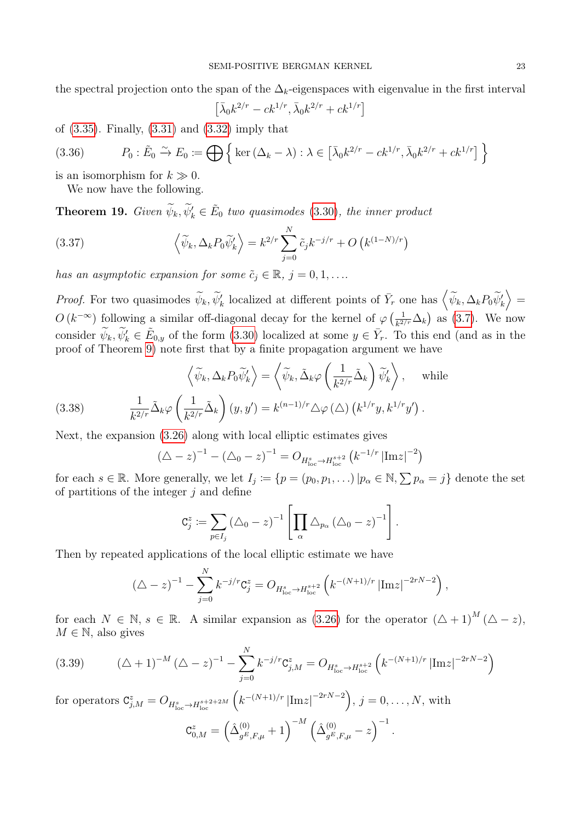the spectral projection onto the span of the  $\Delta_k$ -eigenspaces with eigenvalue in the first interval

$$
\left[\bar{\lambda}_0 k^{2/r} - c k^{1/r}, \bar{\lambda}_0 k^{2/r} + c k^{1/r}\right]
$$

of [\(3.35\)](#page-21-1). Finally, [\(3.31\)](#page-20-0) and [\(3.32\)](#page-20-2) imply that

<span id="page-22-2"></span>(3.36) 
$$
P_0: \tilde{E}_0 \xrightarrow{\sim} E_0 := \bigoplus \left\{ \ker (\Delta_k - \lambda) : \lambda \in \left[ \bar{\lambda}_0 k^{2/r} - c k^{1/r}, \bar{\lambda}_0 k^{2/r} + c k^{1/r} \right] \right\}
$$

is an isomorphism for  $k \gg 0$ .

We now have the following.

**Theorem 19.** Given  $\widetilde{\psi}_k, \widetilde{\psi}'_k \in \widetilde{E}_0$  two quasimodes [\(3.30\)](#page-20-1), the inner product

(3.37) 
$$
\left\langle \widetilde{\psi}_k, \Delta_k P_0 \widetilde{\psi}'_k \right\rangle = k^{2/r} \sum_{j=0}^N \widetilde{c}_j k^{-j/r} + O\left( k^{(1-N)/r} \right)
$$

has an asymptotic expansion for some  $\tilde{c}_j \in \mathbb{R}, j = 0, 1, \ldots$ .

Proof. For two quasimodes  $\widetilde{\psi}_k, \widetilde{\psi}'_k$  localized at different points of  $\overline{Y}_r$  one has  $\left\langle \widetilde{\psi}_k, \Delta_k P_0 \widetilde{\psi}'_k \right\rangle =$  $O(k^{-\infty})$  following a similar off-diagonal decay for the kernel of  $\varphi\left(\frac{1}{k^2}\right)$  $\frac{1}{k^{2/r}}\Delta_k$ ) as [\(3.7\)](#page-14-6). We now consider  $\widetilde{\psi}_k, \widetilde{\psi}'_k \in \widetilde{E}_{0,y}$  of the form  $(3.30)$  localized at some  $y \in \overline{Y}_r$ . To this end (and as in the proof of Theorem [9\)](#page-10-2) note first that by a finite propagation argument we have

<span id="page-22-1"></span>(3.38) 
$$
\left\langle \widetilde{\psi}_k, \Delta_k P_0 \widetilde{\psi}'_k \right\rangle = \left\langle \widetilde{\psi}_k, \widetilde{\Delta}_k \varphi \left( \frac{1}{k^{2/r}} \widetilde{\Delta}_k \right) \widetilde{\psi}'_k \right\rangle, \text{ while}
$$

$$
\overline{\psi}_k^{2/r} \widetilde{\Delta}_k \varphi \left( \frac{1}{k^{2/r}} \widetilde{\Delta}_k \right) (y, y') = k^{(n-1)/r} \Delta \varphi \left( \Delta \right) \left( k^{1/r} y, k^{1/r} y' \right).
$$

Next, the expansion [\(3.26\)](#page-19-5) along with local elliptic estimates gives

$$
(\Delta - z)^{-1} - (\Delta_0 - z)^{-1} = O_{H_{\text{loc}}^s \to H_{\text{loc}}^{s+2}} \left( k^{-1/r} |\text{Im} z|^{-2} \right)
$$

for each  $s \in \mathbb{R}$ . More generally, we let  $I_j := \{p = (p_0, p_1, \ldots) | p_\alpha \in \mathbb{N}, \sum p_\alpha = j\}$  denote the set of partitions of the integer  $j$  and define

$$
\mathbf{C}_j^z \coloneqq \sum_{p \in I_j} (\triangle_0 - z)^{-1} \left[ \prod_{\alpha} \triangle_{p_\alpha} (\triangle_0 - z)^{-1} \right].
$$

Then by repeated applications of the local elliptic estimate we have

$$
(\Delta - z)^{-1} - \sum_{j=0}^{N} k^{-j/r} C_j^z = O_{H_{\text{loc}}^s \to H_{\text{loc}}^{s+2}} \left( k^{-(N+1)/r} |\text{Im} z|^{-2rN-2} \right),
$$

for each  $N \in \mathbb{N}$ ,  $s \in \mathbb{R}$ . A similar expansion as [\(3.26\)](#page-19-5) for the operator  $(\triangle + 1)^M (\triangle - z)$ ,  $M \in \mathbb{N}$ , also gives

<span id="page-22-0"></span>
$$
(3.39) \qquad (\triangle + 1)^{-M} \left( \triangle - z \right)^{-1} - \sum_{j=0}^{N} k^{-j/r} \mathbf{C}_{j,M}^{z} = O_{H_{\text{loc}}^{s} \to H_{\text{loc}}^{s+2}} \left( k^{-(N+1)/r} \left| \text{Im} z \right|^{-2rN-2} \right)
$$

for operators  $C_{j,M}^z = O_{H_{loc}^s \to H_{loc}^{s+2+2M}}\left(k^{-(N+1)/r} |\text{Im}z|^{-2rN-2}\right), j = 0, \ldots, N$ , with  $\mathtt{C}_{0,M}^{z}=\left( \hat{\Delta}_{g^{E},F,\mu}^{(0)}+1\right) ^{-M}\left( \hat{\Delta}_{g^{E},F,\mu}^{(0)}-z\right) ^{-1}.$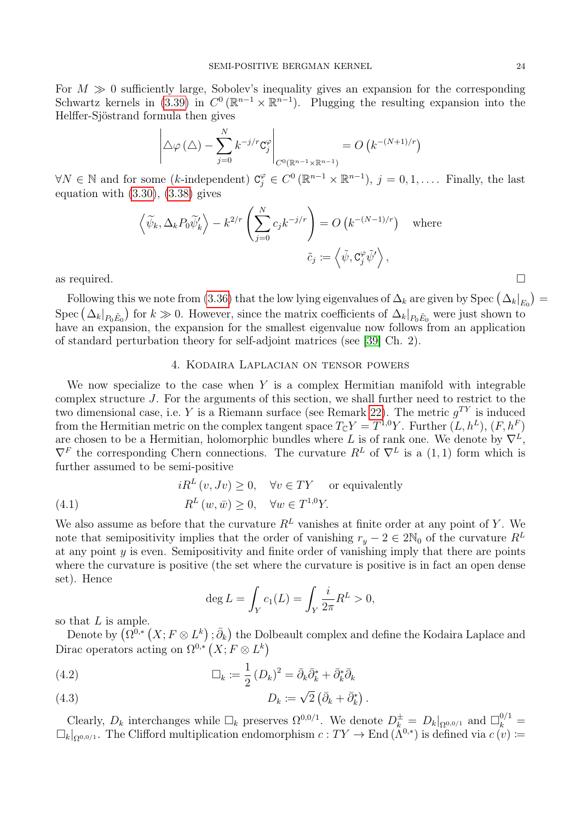For  $M \gg 0$  sufficiently large, Sobolev's inequality gives an expansion for the corresponding Schwartz kernels in [\(3.39\)](#page-22-0) in  $C^0(\mathbb{R}^{n-1}\times\mathbb{R}^{n-1})$ . Plugging the resulting expansion into the Helffer-Sjöstrand formula then gives

$$
\left|\Delta\varphi\left(\triangle\right)-\sum_{j=0}^{N}k^{-j/r}\mathbf{C}_{j}^{\varphi}\right|_{C^{0}(\mathbb{R}^{n-1}\times\mathbb{R}^{n-1})}=O\left(k^{-(N+1)/r}\right)
$$

 $\forall N \in \mathbb{N}$  and for some (k-independent)  $C_j^{\varphi} \in C^0(\mathbb{R}^{n-1} \times \mathbb{R}^{n-1}), j = 0, 1, \ldots$ . Finally, the last equation with  $(3.30)$ ,  $(3.38)$  gives

$$
\left\langle \widetilde{\psi}_k, \Delta_k P_0 \widetilde{\psi}'_k \right\rangle - k^{2/r} \left( \sum_{j=0}^N c_j k^{-j/r} \right) = O\left( k^{-(N-1)/r} \right) \quad \text{where}
$$
  

$$
\widetilde{c}_j := \left\langle \widetilde{\psi}, \mathbf{C}_j^{\varphi} \widetilde{\psi}' \right\rangle,
$$
as required.

Following this we note from [\(3.36\)](#page-22-2) that the low lying eigenvalues of  $\Delta_k$  are given by Spec  $(\Delta_k|_{E_0}) =$ Spec  $(\Delta_k|_{P_0\tilde{E}_0})$  for  $k \gg 0$ . However, since the matrix coefficients of  $\Delta_k|_{P_0\tilde{E}_0}$  were just shown to have an expansion, the expansion for the smallest eigenvalue now follows from an application of standard perturbation theory for self-adjoint matrices (see [\[39\]](#page-48-16) Ch. 2).

### 4. Kodaira Laplacian on tensor powers

<span id="page-23-0"></span>We now specialize to the case when  $Y$  is a complex Hermitian manifold with integrable complex structure J. For the arguments of this section, we shall further need to restrict to the two dimensional case, i.e. Y is a Riemann surface (see Remark [22\)](#page-25-1). The metric  $g^{TY}$  is induced from the Hermitian metric on the complex tangent space  $T_{\mathbb{C}}Y = T^{1,0}Y$ . Further  $(L, h^L), (F, h^F)$ are chosen to be a Hermitian, holomorphic bundles where L is of rank one. We denote by  $\nabla^L$ ,  $\nabla^F$  the corresponding Chern connections. The curvature  $R^L$  of  $\nabla^L$  is a  $(1,1)$  form which is further assumed to be semi-positive

<span id="page-23-2"></span>(4.1) 
$$
iR^{L}(v, Jv) \ge 0, \quad \forall v \in TY \quad \text{or equivalently}
$$

$$
R^{L}(w, \bar{w}) \ge 0, \quad \forall w \in T^{1,0}Y.
$$

We also assume as before that the curvature  $R^L$  vanishes at finite order at any point of Y. We note that semipositivity implies that the order of vanishing  $r_y - 2 \in 2\mathbb{N}_0$  of the curvature  $R^L$ at any point  $y$  is even. Semipositivity and finite order of vanishing imply that there are points where the curvature is positive (the set where the curvature is positive is in fact an open dense set). Hence

$$
\deg L = \int_Y c_1(L) = \int_Y \frac{i}{2\pi} R^L > 0,
$$

so that L is ample.

Denote by  $(\Omega^{0,*}\left(X;F\otimes L^k\right); \bar{\partial}_k)$  the Dolbeault complex and define the Kodaira Laplace and Dirac operators acting on  $\Omega^{0,*}(X; F \otimes L^k)$ 

(4.2) 
$$
\Box_k \coloneqq \frac{1}{2} (D_k)^2 = \bar{\partial}_k \bar{\partial}_k^* + \bar{\partial}_k^* \bar{\partial}_k
$$

<span id="page-23-1"></span>(4.3) 
$$
D_k := \sqrt{2} \left( \bar{\partial}_k + \bar{\partial}_k^* \right).
$$

Clearly,  $D_k$  interchanges while  $\Box_k$  preserves  $\Omega^{0,0/1}$ . We denote  $D_k^{\pm} = D_k|_{\Omega^{0,0/1}}$  and  $\Box_k^{0/1} =$  $\Box_k|_{\Omega^{0,0/1}}$ . The Clifford multiplication endomorphism  $c: TY \to \text{End}(\Lambda^{0,*})$  is defined via  $c(v) \coloneqq$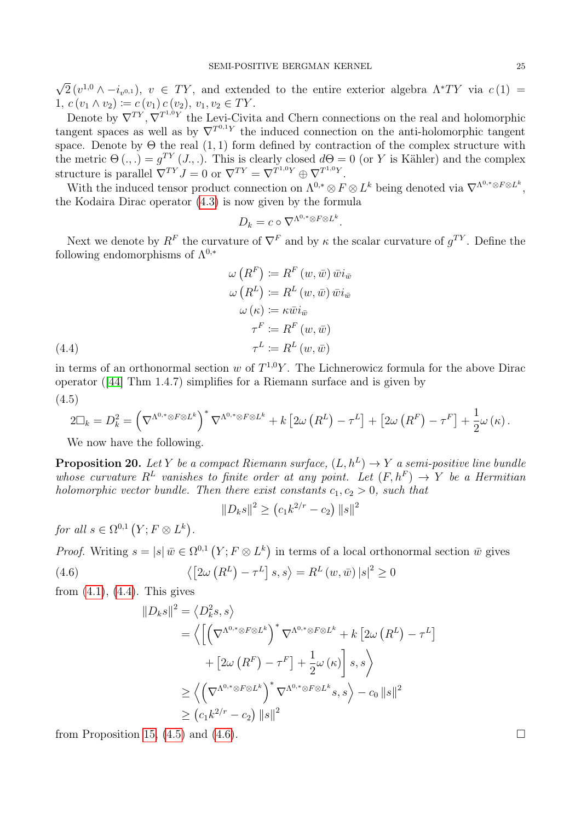√  $\overline{2}(v^{1,0}\wedge-i_{v^{0,1}}), v\in TY$ , and extended to the entire exterior algebra  $\Lambda^*TY$  via  $c(1)=$  $1, c (v_1 \wedge v_2) \coloneqq c (v_1) c (v_2), v_1, v_2 \in TY.$ 

Denote by  $\nabla^{TY}$ ,  $\nabla^{T^{1,0}Y}$  the Levi-Civita and Chern connections on the real and holomorphic tangent spaces as well as by  $\nabla^{T^{0,1}Y}$  the induced connection on the anti-holomorphic tangent space. Denote by  $\Theta$  the real  $(1, 1)$  form defined by contraction of the complex structure with the metric  $\Theta(.)$ ,  $= g^{TY}(J,.)$ . This is clearly closed  $d\Theta = 0$  (or Y is Kähler) and the complex structure is parallel  $\nabla^{TY} J = 0$  or  $\nabla^{TY} = \nabla^{T^{1,0}Y} \oplus \nabla^{T^{1,0}Y}$ .

With the induced tensor product connection on  $\Lambda^{0,*} \otimes F \otimes L^k$  being denoted via  $\nabla^{\Lambda^{0,*} \otimes F \otimes L^k}$ , the Kodaira Dirac operator [\(4.3\)](#page-23-1) is now given by the formula

$$
D_k = c \circ \nabla^{\Lambda^{0,*} \otimes F \otimes L^k}.
$$

Next we denote by  $R^F$  the curvature of  $\nabla^F$  and by  $\kappa$  the scalar curvature of  $g^{TY}$ . Define the following endomorphisms of  $\Lambda^{0,*}$ 

(4.4)  
\n
$$
\omega(R^{F}) := R^{F}(w, \bar{w}) \bar{w} i_{\bar{w}}
$$
\n
$$
\omega(R^{L}) := R^{L}(w, \bar{w}) \bar{w} i_{\bar{w}}
$$
\n
$$
\omega(\kappa) := \kappa \bar{w} i_{\bar{w}}
$$
\n
$$
\tau^{F} := R^{F}(w, \bar{w})
$$
\n
$$
\tau^{L} := R^{L}(w, \bar{w})
$$

<span id="page-24-0"></span>in terms of an orthonormal section w of  $T^{1,0}Y$ . The Lichnerowicz formula for the above Dirac operator ([\[44\]](#page-48-1) Thm 1.4.7) simplifies for a Riemann surface and is given by  $(4.5)$ 

<span id="page-24-1"></span>
$$
(4.5)
$$

$$
2\Box_k = D_k^2 = \left(\nabla^{\Lambda^{0,*} \otimes F \otimes L^k}\right)^* \nabla^{\Lambda^{0,*} \otimes F \otimes L^k} + k \left[2\omega \left(R^L\right) - \tau^L\right] + \left[2\omega \left(R^F\right) - \tau^F\right] + \frac{1}{2}\omega \left(\kappa\right).
$$

We now have the following.

<span id="page-24-3"></span>**Proposition 20.** Let Y be a compact Riemann surface,  $(L, h^L) \rightarrow Y$  a semi-positive line bundle whose curvature  $R^L$  vanishes to finite order at any point. Let  $(F, h^F) \to Y$  be a Hermitian holomorphic vector bundle. Then there exist constants  $c_1, c_2 > 0$ , such that

$$
||D_k s||^2 \ge (c_1 k^{2/r} - c_2) ||s||^2
$$

for all  $s \in \Omega^{0,1}(Y; F \otimes L^k)$ .

*Proof.* Writing  $s = |s| \bar{w} \in \Omega^{0,1}(Y; F \otimes L^k)$  in terms of a local orthonormal section  $\bar{w}$  gives (4.6)  $[2\omega (R^{L}) - \tau^{L}] s, s \rangle = R^{L} (w, \bar{w}) |s|^{2} \geq 0$ 

from  $(4.1)$ ,  $(4.4)$ . This gives

<span id="page-24-2"></span>
$$
||D_k s||^2 = \langle D_k^2 s, s \rangle
$$
  
=  $\langle \left[ \left( \nabla^{\Lambda^{0,*} \otimes F \otimes L^k} \right)^* \nabla^{\Lambda^{0,*} \otimes F \otimes L^k} + k \left[ 2\omega \left( R^L \right) - \tau^L \right] \right.$   
+  $\left[ 2\omega \left( R^F \right) - \tau^F \right] + \frac{1}{2} \omega \left( \kappa \right) \right] s, s \rangle$   
 $\geq \langle \left( \nabla^{\Lambda^{0,*} \otimes F \otimes L^k} \right)^* \nabla^{\Lambda^{0,*} \otimes F \otimes L^k} s, s \rangle - c_0 ||s||^2$   
 $\geq (c_1 k^{2/r} - c_2) ||s||^2$ 

from Proposition [15,](#page-14-5) [\(4.5\)](#page-24-1) and [\(4.6\)](#page-24-2).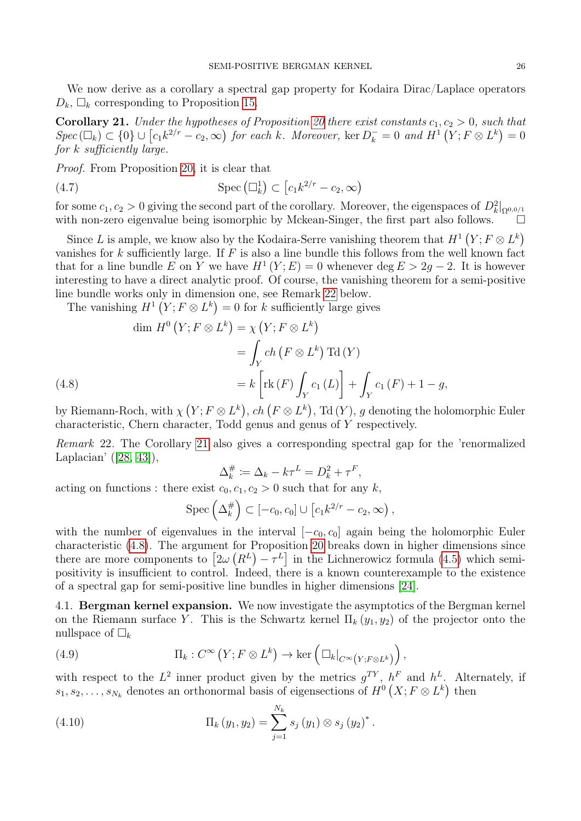We now derive as a corollary a spectral gap property for Kodaira Dirac/Laplace operators  $D_k$ ,  $\Box_k$  corresponding to Proposition [15.](#page-14-5)

<span id="page-25-2"></span>**Corollary 21.** Under the hypotheses of Proposition [20](#page-24-3) there exist constants  $c_1, c_2 > 0$ , such that  $Spec (\Box_k) \subset \{0\} \cup [c_1k^{2/r} - c_2, \infty)$  for each k. Moreover, ker  $D_k^- = 0$  and  $H^1(Y; F \otimes L^k) = 0$ for k sufficiently large.

Proof. From Proposition [20,](#page-24-3) it is clear that

<span id="page-25-6"></span>(4.7) 
$$
\operatorname{Spec} \left( \Box_k^1 \right) \subset \left[ c_1 k^{2/r} - c_2, \infty \right)
$$

for some  $c_1, c_2 > 0$  giving the second part of the corollary. Moreover, the eigenspaces of  $D_k^2|_{\Omega^{0,0/1}}$ with non-zero eigenvalue being isomorphic by Mckean-Singer, the first part also follows.  $\square$ 

Since L is ample, we know also by the Kodaira-Serre vanishing theorem that  $H^1(Y; F \otimes L^k)$ vanishes for k sufficiently large. If  $F$  is also a line bundle this follows from the well known fact that for a line bundle E on Y we have  $H^1(Y; E) = 0$  whenever  $\deg E > 2g - 2$ . It is however interesting to have a direct analytic proof. Of course, the vanishing theorem for a semi-positive line bundle works only in dimension one, see Remark [22](#page-25-1) below.

The vanishing  $H^1(Y; F \otimes L^k) = 0$  for k sufficiently large gives

(4.8)  
\n
$$
\dim H^{0} (Y; F \otimes L^{k}) = \chi (Y; F \otimes L^{k})
$$
\n
$$
= \int_{Y} ch (F \otimes L^{k}) \operatorname{Td} (Y)
$$
\n
$$
= k \left[ \operatorname{rk} (F) \int_{Y} c_{1} (L) \right] + \int_{Y} c_{1} (F) + 1 - g,
$$

<span id="page-25-3"></span>by Riemann-Roch, with  $\chi(Y; F \otimes L^k)$ ,  $ch(F \otimes L^k)$ , Td $(Y)$ , g denoting the holomorphic Euler characteristic, Chern character, Todd genus and genus of Y respectively.

<span id="page-25-1"></span>Remark 22. The Corollary [21](#page-25-2) also gives a corresponding spectral gap for the 'renormalized Laplacian' ([\[28,](#page-47-13) [43\]](#page-48-15)),

$$
\Delta_k^{\#} := \Delta_k - k\tau^L = D_k^2 + \tau^F,
$$

acting on functions : there exist  $c_0, c_1, c_2 > 0$  such that for any k,

$$
\operatorname{Spec} \left( \Delta_k^{\#} \right) \subset [-c_0, c_0] \cup [c_1 k^{2/r} - c_2, \infty),
$$

with the number of eigenvalues in the interval  $[-c_0, c_0]$  again being the holomorphic Euler characteristic [\(4.8\)](#page-25-3). The argument for Proposition [20](#page-24-3) breaks down in higher dimensions since there are more components to  $[2\omega(R^L) - \tau^L]$  in the Lichnerowicz formula [\(4.5\)](#page-24-1) which semipositivity is insufficient to control. Indeed, there is a known counterexample to the existence of a spectral gap for semi-positive line bundles in higher dimensions [\[24\]](#page-47-14).

<span id="page-25-0"></span>4.1. Bergman kernel expansion. We now investigate the asymptotics of the Bergman kernel on the Riemann surface Y. This is the Schwartz kernel  $\Pi_k(y_1, y_2)$  of the projector onto the nullspace of  $\Box_k$ 

<span id="page-25-4"></span>(4.9) 
$$
\Pi_k: C^{\infty}(Y; F \otimes L^k) \to \ker\left(\Box_k|_{C^{\infty}(Y; F \otimes L^k)}\right),
$$

with respect to the  $L^2$  inner product given by the metrics  $g^{TY}$ ,  $h^F$  and  $h^L$ . Alternately, if  $s_1, s_2, \ldots, s_{N_k}$  denotes an orthonormal basis of eigensections of  $H^0(X; F \otimes L^k)$  then

<span id="page-25-5"></span>(4.10) 
$$
\Pi_k(y_1, y_2) = \sum_{j=1}^{N_k} s_j(y_1) \otimes s_j(y_2)^*.
$$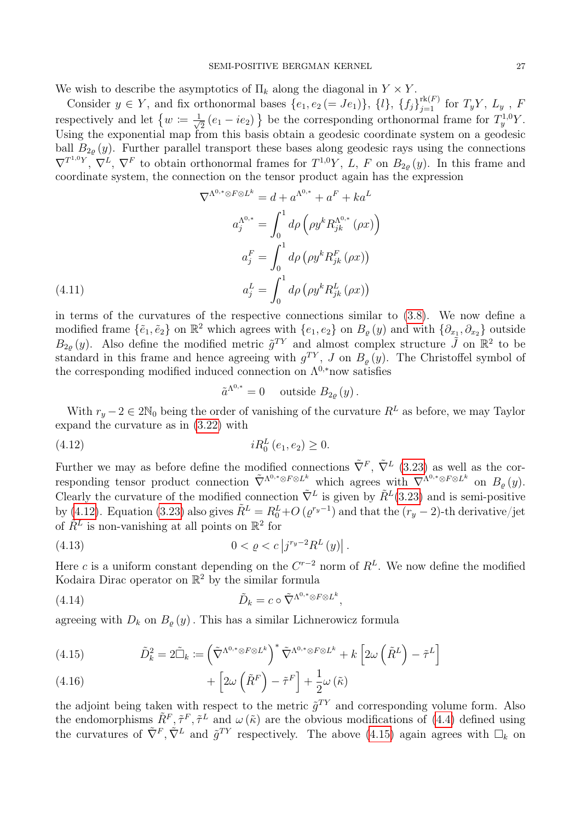We wish to describe the asymptotics of  $\Pi_k$  along the diagonal in  $Y \times Y$ .

Consider  $y \in Y$ , and fix orthonormal bases  $\{e_1, e_2 (= Je_1)\}, \{l\}, \{f_j\}_{j=1}^{\text{rk}(F)}$  for  $T_yY, L_y$ , F respectively and let  $\{w := \frac{1}{\sqrt{2}}\}$  $\frac{1}{2}(e_1 - ie_2)$  } be the corresponding orthonormal frame for  $T_y^{1,0}Y$ . Using the exponential map from this basis obtain a geodesic coordinate system on a geodesic ball  $B_{2\rho}(y)$ . Further parallel transport these bases along geodesic rays using the connections  $\nabla^{T^{1,0}Y}, \nabla^{L}, \nabla^{F}$  to obtain orthonormal frames for  $T^{1,0}Y, L, F$  on  $B_{2g}(y)$ . In this frame and coordinate system, the connection on the tensor product again has the expression

$$
\nabla^{\Lambda^{0,*} \otimes F \otimes L^k} = d + a^{\Lambda^{0,*}} + a^F + ka^L
$$

$$
a_j^{\Lambda^{0,*}} = \int_0^1 d\rho \left(\rho y^k R_{jk}^{\Lambda^{0,*}}(\rho x)\right)
$$

$$
a_j^F = \int_0^1 d\rho \left(\rho y^k R_{jk}^F(\rho x)\right)
$$

$$
a_j^L = \int_0^1 d\rho \left(\rho y^k R_{jk}^L(\rho x)\right)
$$
(4.11)

<span id="page-26-3"></span>in terms of the curvatures of the respective connections similar to [\(3.8\)](#page-14-4). We now define a modified frame  $\{\tilde{e}_1, \tilde{e}_2\}$  on  $\mathbb{R}^2$  which agrees with  $\{e_1, e_2\}$  on  $B_{\varrho}(y)$  and with  $\{\partial_{x_1}, \partial_{x_2}\}$  outside  $B_{2g}(y)$ . Also define the modified metric  $\tilde{g}^{TY}$  and almost complex structure  $\tilde{J}$  on  $\mathbb{R}^2$  to be standard in this frame and hence agreeing with  $g^{TY}$ , J on  $B_{\varrho}(y)$ . The Christoffel symbol of the corresponding modified induced connection on  $\Lambda^{0,*}$  now satisfies

<span id="page-26-4"></span>
$$
\tilde{a}^{\Lambda^{0,*}}=0 \quad \text{ outside } B_{2\varrho}(y) \, .
$$

With  $r_y - 2 \in 2\mathbb{N}_0$  being the order of vanishing of the curvature  $R^L$  as before, we may Taylor expand the curvature as in [\(3.22\)](#page-18-3) with

<span id="page-26-0"></span>(4.12) 
$$
iR_0^L(e_1, e_2) \geq 0.
$$

Further we may as before define the modified connections  $\tilde{\nabla}^F$ ,  $\tilde{\nabla}^L$  [\(3.23\)](#page-19-0) as well as the corresponding tensor product connection  $\tilde{\nabla}^{\Lambda^{0,*} \otimes F \otimes L^{k}}$  which agrees with  $\nabla^{\Lambda^{0,*} \otimes F \otimes L^{k}}$  on  $B_{\varrho}(y)$ . Clearly the curvature of the modified connection  $\tilde{\nabla}^L$  is given by  $\tilde{R}^L(3.23)$  $\tilde{R}^L(3.23)$  and is semi-positive by [\(4.12\)](#page-26-0). Equation [\(3.23\)](#page-19-0) also gives  $\tilde{R}^L = R_0^L + O(q^{r_y-1})$  and that the  $(r_y - 2)$ -th derivative/jet of  $\tilde{R}^L$  is non-vanishing at all points on  $\mathbb{R}^2$  for

(4.13) 
$$
0 < \varrho < c \left| j^{r_y - 2} R^L(y) \right|.
$$

Here c is a uniform constant depending on the  $C^{r-2}$  norm of  $R^L$ . We now define the modified Kodaira Dirac operator on  $\mathbb{R}^2$  by the similar formula

<span id="page-26-2"></span>(4.14) 
$$
\tilde{D}_k = c \circ \tilde{\nabla}^{\Lambda^{0,*} \otimes F \otimes L^k},
$$

agreeing with  $D_k$  on  $B_{\rho}(y)$ . This has a similar Lichnerowicz formula

<span id="page-26-1"></span>(4.15) 
$$
\tilde{D}_k^2 = 2\tilde{\Box}_k := \left(\tilde{\nabla}^{\Lambda^{0,*} \otimes F \otimes L^k}\right)^* \tilde{\nabla}^{\Lambda^{0,*} \otimes F \otimes L^k} + k \left[2\omega \left(\tilde{R}^L\right) - \tilde{\tau}^L\right]
$$

(4.16) 
$$
+\left[2\omega\left(\tilde{R}^{F}\right)-\tilde{\tau}^{F}\right]+\frac{1}{2}\omega\left(\tilde{\kappa}\right)
$$

the adjoint being taken with respect to the metric  $\tilde{g}^{TY}$  and corresponding volume form. Also the endomorphisms  $\tilde{R}^F, \tilde{\tau}^F, \tilde{\tau}^L$  and  $\omega(\tilde{\kappa})$  are the obvious modifications of [\(4.4\)](#page-24-0) defined using the curvatures of  $\tilde{\nabla}^F$ ,  $\tilde{\nabla}^L$  and  $\tilde{g}^{TY}$  respectively. The above [\(4.15\)](#page-26-1) again agrees with  $\Box_k$  on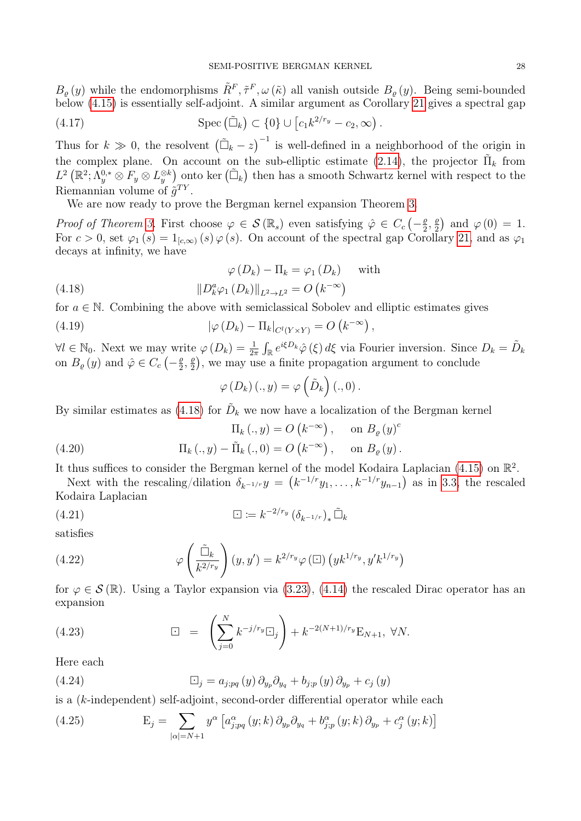$B_{\varrho}(y)$  while the endomorphisms  $\tilde{R}^F, \tilde{\tau}^F, \omega(\tilde{\kappa})$  all vanish outside  $B_{\varrho}(y)$ . Being semi-bounded below [\(4.15\)](#page-26-1) is essentially self-adjoint. A similar argument as Corollary [21](#page-25-2) gives a spectral gap

<span id="page-27-5"></span>(4.17) 
$$
\operatorname{Spec} \left( \tilde{\Box}_k \right) \subset \{0\} \cup \left[ c_1 k^{2/r_y} - c_2, \infty \right).
$$

Thus for  $k \gg 0$ , the resolvent  $(\tilde{\Box}_k - z)^{-1}$  is well-defined in a neighborhood of the origin in the complex plane. On account on the sub-elliptic estimate [\(2.14\)](#page-7-3), the projector  $\tilde{\Pi}_k$  from  $L^2(\mathbb{R}^2;\Lambda_y^{0,*}\otimes F_y\otimes L_y^{\otimes k})$  onto ker  $(\tilde{\Box}_k)$  then has a smooth Schwartz kernel with respect to the Riemannian volume of  $\tilde{g}^{TY}$ .

We are now ready to prove the Bergman kernel expansion Theorem [3.](#page-2-3)

*Proof of Theorem [3.](#page-2-3)* First choose  $\varphi \in \mathcal{S}(\mathbb{R}_s)$  even satisfying  $\hat{\varphi} \in C_c \left(-\frac{\beta}{2}\right)$  $\frac{\varrho}{2}, \frac{\varrho}{2}$  $\frac{\varrho}{2}$  and  $\varphi(0) = 1$ . For  $c > 0$ , set  $\varphi_1(s) = 1_{[c,\infty)}(s) \varphi(s)$ . On account of the spectral gap Corollary [21,](#page-25-2) and as  $\varphi_1$ decays at infinity, we have

<span id="page-27-7"></span>
$$
\varphi(D_k) - \Pi_k = \varphi_1(D_k) \quad \text{with}
$$

<span id="page-27-1"></span>(4.18) 
$$
||D_k^a \varphi_1(D_k)||_{L^2 \to L^2} = O(k^{-\infty})
$$

for  $a \in \mathbb{N}$ . Combining the above with semiclassical Sobolev and elliptic estimates gives

(4.19) 
$$
|\varphi(D_k) - \Pi_k|_{C^l(Y \times Y)} = O(k^{-\infty}),
$$

 $\forall l \in \mathbb{N}_0$ . Next we may write  $\varphi(D_k) = \frac{1}{2\pi} \int_{\mathbb{R}} e^{i\xi D_k} \hat{\varphi}(\xi) d\xi$  via Fourier inversion. Since  $D_k = \tilde{D}_k$ on  $B_{\varrho}(y)$  and  $\hat{\varphi} \in C_c \left(-\frac{\varrho}{2}\right)$  $\frac{\varrho}{2}, \frac{\varrho}{2}$  $\frac{g}{2}$ , we may use a finite propagation argument to conclude

<span id="page-27-4"></span>
$$
\varphi(D_k)(.,y) = \varphi(\tilde{D}_k)(.,0).
$$

By similar estimates as [\(4.18\)](#page-27-1) for  $D_k$  we now have a localization of the Bergman kernel

<span id="page-27-8"></span>(4.20) 
$$
\Pi_k(., y) = O(k^{-\infty}), \text{ on } B_{\varrho}(y)^c
$$

$$
\Pi_k(., y) - \tilde{\Pi}_k(., 0) = O(k^{-\infty}), \text{ on } B_{\varrho}(y).
$$

It thus suffices to consider the Bergman kernel of the model Kodaira Laplacian  $(4.15)$  on  $\mathbb{R}^2$ .

Next with the rescaling/dilation  $\delta_{k^{-1/r}} y = (k^{-1/r} y_1, \ldots, k^{-1/r} y_{n-1})$  as in [3.3,](#page-18-0) the rescaled Kodaira Laplacian

$$
(4.21) \qquad \qquad \Box := k^{-2/r_y} \left( \delta_{k^{-1/r}} \right)_* \tilde{\Box}_k
$$

satisfies

<span id="page-27-6"></span>(4.22) 
$$
\varphi\left(\frac{\tilde{\Box}_k}{k^{2/r_y}}\right)(y, y') = k^{2/r_y} \varphi\left(\Xi\right)\left(yk^{1/r_y}, y'k^{1/r_y}\right)
$$

for  $\varphi \in \mathcal{S}(\mathbb{R})$ . Using a Taylor expansion via [\(3.23\)](#page-19-0), [\(4.14\)](#page-26-2) the rescaled Dirac operator has an expansion

<span id="page-27-0"></span>(4.23) 
$$
\Box = \left( \sum_{j=0}^{N} k^{-j/r_y} \Box_j \right) + k^{-2(N+1)/r_y} E_{N+1}, \ \forall N.
$$

Here each

<span id="page-27-2"></span>(4.24) 
$$
\Box_j = a_{j;pq}(y) \, \partial_{y_p} \partial_{y_q} + b_{j;p}(y) \, \partial_{y_p} + c_j(y)
$$

is a (k-independent) self-adjoint, second-order differential operator while each

<span id="page-27-3"></span>(4.25) 
$$
E_j = \sum_{|\alpha|=N+1} y^{\alpha} \left[ a_{j;pq}^{\alpha} (y;k) \partial_{y_p} \partial_{y_q} + b_{j;p}^{\alpha} (y;k) \partial_{y_p} + c_j^{\alpha} (y;k) \right]
$$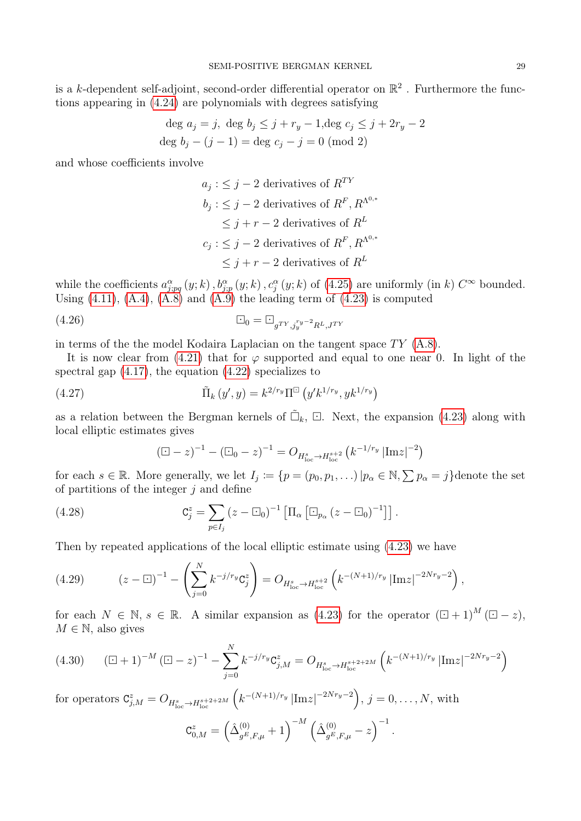is a k-dependent self-adjoint, second-order differential operator on  $\mathbb{R}^2$ . Furthermore the functions appearing in [\(4.24\)](#page-27-2) are polynomials with degrees satisfying

$$
\deg a_j = j, \deg b_j \le j + r_y - 1, \deg c_j \le j + 2r_y - 2
$$
  

$$
\deg b_j - (j - 1) = \deg c_j - j = 0 \pmod{2}
$$

and whose coefficients involve

<span id="page-28-3"></span>
$$
a_j : \leq j - 2 \text{ derivatives of } R^{TY}
$$
  
\n
$$
b_j : \leq j - 2 \text{ derivatives of } R^F, R^{\Lambda^{0,*}}
$$
  
\n
$$
\leq j + r - 2 \text{ derivatives of } R^L
$$
  
\n
$$
c_j : \leq j - 2 \text{ derivatives of } R^F, R^{\Lambda^{0,*}}
$$
  
\n
$$
\leq j + r - 2 \text{ derivatives of } R^L
$$

while the coefficients  $a_{j:pq}^{\alpha}(y;k)$ ,  $b_{j:p}^{\alpha}(y;k)$ ,  $c_j^{\alpha}(y;k)$  of [\(4.25\)](#page-27-3) are uniformly (in k)  $C^{\infty}$  bounded. Using  $(4.11)$ ,  $(A.4)$ ,  $(A.8)$  and  $(A.9)$  the leading term of  $(4.23)$  is computed

$$
\Xi_0 = \Xi_{g^{TY}, j_y^{ry-2}R^L, J^{TY}}
$$

in terms of the the model Kodaira Laplacian on the tangent space  $TY(A.8)$  $TY(A.8)$ .

It is now clear from [\(4.21\)](#page-27-4) that for  $\varphi$  supported and equal to one near 0. In light of the spectral gap [\(4.17\)](#page-27-5), the equation [\(4.22\)](#page-27-6) specializes to

(4.27) 
$$
\tilde{\Pi}_{k}(y', y) = k^{2/r_{y}} \Pi^{\Box}(y' k^{1/r_{y}}, y k^{1/r_{y}})
$$

as a relation between the Bergman kernels of  $\tilde{\Box}_k$ ,  $\Box$ . Next, the expansion [\(4.23\)](#page-27-0) along with local elliptic estimates gives

<span id="page-28-2"></span><span id="page-28-1"></span>
$$
\left(\Box - z\right)^{-1} - \left(\Box_0 - z\right)^{-1} = O_{H_{\text{loc}}^s \to H_{\text{loc}}^{s+2}}\left(k^{-1/r_y} \left|\text{Im}z\right|^{-2}\right)
$$

for each  $s \in \mathbb{R}$ . More generally, we let  $I_j \coloneqq \{p = (p_0, p_1, \ldots) | p_\alpha \in \mathbb{N}, \sum p_\alpha = j\}$ denote the set of partitions of the integer  $j$  and define

(4.28) 
$$
\mathbf{C}_j^z = \sum_{p \in I_j} (z - \Xi_0)^{-1} \left[ \Pi_\alpha \left[ \Xi_{p_\alpha} (z - \Xi_0)^{-1} \right] \right].
$$

Then by repeated applications of the local elliptic estimate using [\(4.23\)](#page-27-0) we have

$$
(4.29) \qquad (z - \Xi)^{-1} - \left(\sum_{j=0}^{N} k^{-j/r_y} C_j^z\right) = O_{H_{\text{loc}}^s \to H_{\text{loc}}^{s+2}}\left(k^{-(N+1)/r_y} |\text{Im} z|^{-2Nr_y-2}\right),
$$

for each  $N \in \mathbb{N}$ ,  $s \in \mathbb{R}$ . A similar expansion as [\(4.23\)](#page-27-0) for the operator  $(\Box + 1)^M (\Box - z)$ ,  $M \in \mathbb{N}$ , also gives

<span id="page-28-0"></span>
$$
(4.30) \qquad (\square + 1)^{-M} \left( \square - z \right)^{-1} - \sum_{j=0}^{N} k^{-j/r_y} \mathcal{C}_{j,M}^z = O_{H_{\text{loc}}^s \to H_{\text{loc}}^{s+2+2M}} \left( k^{-(N+1)/r_y} \left| \text{Im} z \right|^{-2Nr_y-2} \right)
$$

for operators  $C_{j,M}^z = O_{H_{\text{loc}}^{s} \to H_{\text{loc}}^{s+2+2M}}\left(k^{-(N+1)/r_y}|\text{Im}z|^{-2Nr_y-2}\right), j = 0, \ldots, N$ , with  $\mathtt{C}_{0,M}^{z}=\left( \hat{\Delta}_{g^{E},F,\mu}^{(0)}+1\right) ^{-M}\left( \hat{\Delta}_{g^{E},F,\mu}^{(0)}-z\right) ^{-1}.$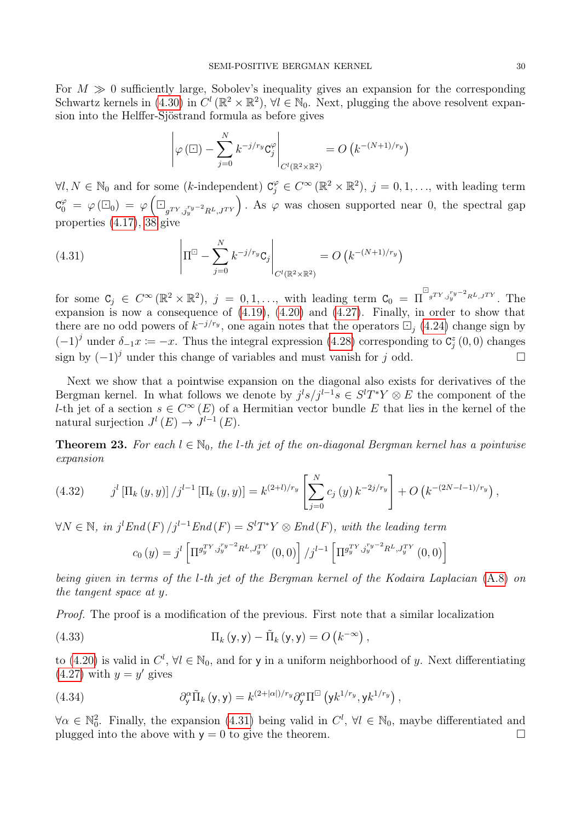For  $M \gg 0$  sufficiently large, Sobolev's inequality gives an expansion for the corresponding Schwartz kernels in [\(4.30\)](#page-28-0) in  $C^l$  ( $\mathbb{R}^2 \times \mathbb{R}^2$ ),  $\forall l \in \mathbb{N}_0$ . Next, plugging the above resolvent expansion into the Helffer-Sjöstrand formula as before gives

<span id="page-29-0"></span>
$$
\left|\varphi\left(\Xi\right)-\sum_{j=0}^N k^{-j/r_y} \mathcal{C}_j^{\varphi}\right|_{C^l(\mathbb{R}^2\times\mathbb{R}^2)}=O\left(k^{-(N+1)/r_y}\right)
$$

 $\forall l, N \in \mathbb{N}_0$  and for some (k-independent)  $C_j^{\varphi} \in C^{\infty}(\mathbb{R}^2 \times \mathbb{R}^2)$ ,  $j = 0, 1, ...,$  with leading term  $C_0^{\varphi} = \varphi(\Box_0) = \varphi\left(\Box_{g^{TY},j_y^{ry-2}R^L,J^{TY}}\right)$ . As  $\varphi$  was chosen supported near 0, the spectral gap properties [\(4.17\)](#page-27-5), [38](#page-45-1) give

(4.31) 
$$
\left| \Pi^{\boxdot} - \sum_{j=0}^{N} k^{-j/r_y} C_j \right|_{C^l(\mathbb{R}^2 \times \mathbb{R}^2)} = O\left( k^{-(N+1)/r_y} \right)
$$

for some  $C_j \in C^{\infty}(\mathbb{R}^2 \times \mathbb{R}^2)$ ,  $j = 0, 1, \ldots$ , with leading term  $C_0 = \Pi$  $\Xi_{g^{TY},j_{y}^{r_y-2}R^L,J^{TY}}$ . The expansion is now a consequence of  $(4.19)$ ,  $(4.20)$  and  $(4.27)$ . Finally, in order to show that there are no odd powers of  $k^{-j/r_y}$ , one again notes that the operators  $\Box_j$  [\(4.24\)](#page-27-2) change sign by  $(-1)^j$  under  $\delta_{-1}x := -x$ . Thus the integral expression [\(4.28\)](#page-28-2) corresponding to  $C_j^z(0,0)$  changes sign by  $(-1)^{j}$  under this change of variables and must vanish for j odd.

Next we show that a pointwise expansion on the diagonal also exists for derivatives of the Bergman kernel. In what follows we denote by  $j^{l}s/j^{l-1}s \in S^{l}T^{*}Y \otimes E$  the component of the l-th jet of a section  $s \in C^{\infty}(E)$  of a Hermitian vector bundle E that lies in the kernel of the natural surjection  $J^l(E) \to J^{l-1}(E)$ .

<span id="page-29-1"></span>**Theorem 23.** For each  $l \in \mathbb{N}_0$ , the l-th jet of the on-diagonal Bergman kernel has a pointwise expansion

(4.32) 
$$
j^{l} \left[\Pi_{k}(y, y)\right] / j^{l-1} \left[\Pi_{k}(y, y)\right] = k^{(2+l)/r_{y}} \left[\sum_{j=0}^{N} c_{j}(y) k^{-2j/r_{y}}\right] + O\left(k^{-(2N-l-1)/r_{y}}\right),
$$

 $\forall N \in \mathbb{N}, \ in \ j^{l}End(F)/j^{l-1}End(F) = S^{l}T^{*}Y \otimes End(F), \ with \ the \ leading \ term$ 

$$
c_0(y) = j^l \left[ \Pi^{g_y^{TY}, j_y^{ry-2} R^L, J_y^{TY}}(0,0) \right] / j^{l-1} \left[ \Pi^{g_y^{TY}, j_y^{ry-2} R^L, J_y^{TY}}(0,0) \right]
$$

being given in terms of the l-th jet of the Bergman kernel of the Kodaira Laplacian [\(A.8\)](#page-44-0) on the tangent space at y.

Proof. The proof is a modification of the previous. First note that a similar localization

(4.33) 
$$
\Pi_k(y, y) - \tilde{\Pi}_k(y, y) = O\left(k^{-\infty}\right),
$$

to [\(4.20\)](#page-27-8) is valid in  $C^l$ ,  $\forall l \in \mathbb{N}_0$ , and for y in a uniform neighborhood of y. Next differentiating  $(4.27)$  with  $y = y'$  gives

(4.34) 
$$
\partial_y^{\alpha} \tilde{\Pi}_k(y, y) = k^{(2+|\alpha|)/r_y} \partial_y^{\alpha} \Pi^{\boxdot} (yk^{1/r_y}, yk^{1/r_y}),
$$

 $\forall \alpha \in \mathbb{N}_0^2$ . Finally, the expansion [\(4.31\)](#page-29-0) being valid in  $C^l$ ,  $\forall l \in \mathbb{N}_0$ , maybe differentiated and plugged into the above with  $y = 0$  to give the theorem.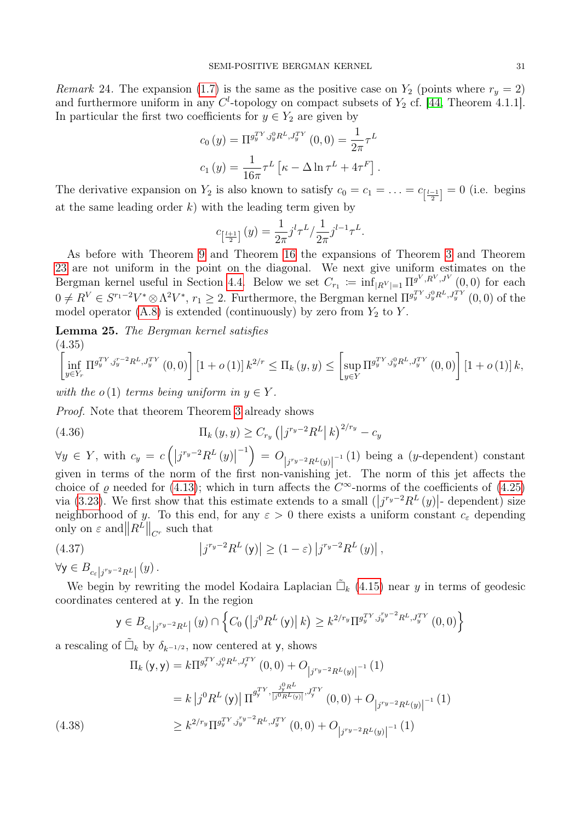<span id="page-30-3"></span>Remark 24. The expansion [\(1.7\)](#page-2-1) is the same as the positive case on  $Y_2$  (points where  $r_y = 2$ ) and furthermore uniform in any  $C^l$ -topology on compact subsets of  $Y_2$  cf. [\[44,](#page-48-1) Theorem 4.1.1]. In particular the first two coefficients for  $y \in Y_2$  are given by

$$
c_0(y) = \Pi^{g_y^{TY}, j_y^{0} R^L, J_y^{TY}}(0,0) = \frac{1}{2\pi} \tau^L
$$
  

$$
c_1(y) = \frac{1}{16\pi} \tau^L \left[ \kappa - \Delta \ln \tau^L + 4\tau^F \right].
$$

The derivative expansion on  $Y_2$  is also known to satisfy  $c_0 = c_1 = \ldots = c_{\left[\frac{l-1}{2}\right]} = 0$  (i.e. begins at the same leading order  $k$ ) with the leading term given by

$$
c_{\left[\frac{l+1}{2}\right]}(y) = \frac{1}{2\pi} j^l \tau^L / \frac{1}{2\pi} j^{l-1} \tau^L.
$$

As before with Theorem [9](#page-10-2) and Theorem [16](#page-15-0) the expansions of Theorem [3](#page-2-3) and Theorem [23](#page-29-1) are not uniform in the point on the diagonal. We next give uniform estimates on the Bergman kernel useful in Section [4.4.](#page-39-0) Below we set  $C_{r_1} := \inf_{|R^V|=1} \prod^{g^V, R^V, J^V} (0,0)$  for each  $0 \neq R^V \in S^{r_1-2}V^* \otimes \Lambda^2 V^*, r_1 \geq 2.$  Furthermore, the Bergman kernel  $\Pi^{g_y^{T Y}, j_y^0 R^L, J_y^{T Y}}(0,0)$  of the model operator  $(A.8)$  is extended (continuously) by zero from  $Y_2$  to Y.

<span id="page-30-5"></span>Lemma 25. The Bergman kernel satisfies

$$
(4.35)
$$

<span id="page-30-2"></span>
$$
\left[\inf_{y \in Y_r} \Pi^{g_y^{TY}, j_y^{r-2} R^L, J_y^{TY}}(0,0)\right] [1+o(1)] k^{2/r} \le \Pi_k(y,y) \le \left[\sup_{y \in Y} \Pi^{g_y^{TY}, j_y^{0} R^L, J_y^{TY}}(0,0)\right] [1+o(1)] k,
$$

with the  $o(1)$  terms being uniform in  $y \in Y$ .

Proof. Note that theorem Theorem [3](#page-2-3) already shows

<span id="page-30-0"></span>(4.36) 
$$
\Pi_k(y, y) \ge C_{r_y} (|j^{r_y - 2} R^L| k)^{2/r_y} - c_y
$$

 $\forall y \in Y$ , with  $c_y = c \left( \left| j^{r_y - 2} R^L(y) \right| \right)$  $\binom{-1}{j^{r_y-2}R^L(y)}$ <sup>-1</sup> (1) being a (y-dependent) constant given in terms of the norm of the first non-vanishing jet. The norm of this jet affects the choice of  $\varrho$  needed for [\(4.13\)](#page-26-4); which in turn affects the C<sup> $\infty$ </sup>-norms of the coefficients of [\(4.25\)](#page-27-3) via [\(3.23\)](#page-19-0). We first show that this estimate extends to a small  $(|j^{r_y-2}R^L(y)|$ - dependent) size neighborhood of y. To this end, for any  $\varepsilon > 0$  there exists a uniform constant  $c_{\varepsilon}$  depending only on  $\varepsilon$  and  $||R^L||_{C^r}$  such that

(4.37) 
$$
\left|j^{r_y-2}R^L(y)\right| \ge (1-\varepsilon)\left|j^{r_y-2}R^L(y)\right|,
$$

 $\forall y \in B_{c_{\varepsilon} \left| j^{r_y-2} R^{L} \right|} \left( y \right).$ 

We begin by rewriting the model Kodaira Laplacian  $\tilde{\Box}_k$  [\(4.15\)](#page-26-1) near y in terms of geodesic coordinates centered at y. In the region

<span id="page-30-1"></span>
$$
\mathbf{y} \in B_{c_{\varepsilon} \left| j^{r_y - 2} R^{L} \right|} \left( y \right) \cap \left\{ C_0 \left( \left| j^0 R^L \left( y \right) \right| k \right) \geq k^{2/r_y} \Pi^{g_y^{TY}, j_y^{r_y - 2} R^L, J_y^{TY}} \left( 0, 0 \right) \right\}
$$

a rescaling of  $\tilde{\Box}_k$  by  $\delta_{k^{-1/2}}$ , now centered at y, shows

<span id="page-30-4"></span>
$$
\Pi_{k}(\mathbf{y}, \mathbf{y}) = k \Pi^{g_{y}^{TY}, j_{y}^{0} R^{L}, J_{y}^{TY}}(0, 0) + O_{\left|j^{r_{y}-2} R^{L}(y)\right|^{-1}}(1)
$$
\n
$$
= k \left|j^{0} R^{L}(\mathbf{y})\right| \Pi^{g_{y}^{TY}, \frac{j_{y}^{0} R^{L}}{\left|j^{0} R^{L}(y)\right|}, J_{y}^{TY}}(0, 0) + O_{\left|j^{r_{y}-2} R^{L}(y)\right|^{-1}}(1)
$$
\n
$$
\geq k^{2/r_{y}} \Pi^{g_{y}^{TY}, j_{y}^{r_{y}-2} R^{L}, J_{y}^{TY}}(0, 0) + O_{\left|j^{r_{y}-2} R^{L}(y)\right|^{-1}}(1)
$$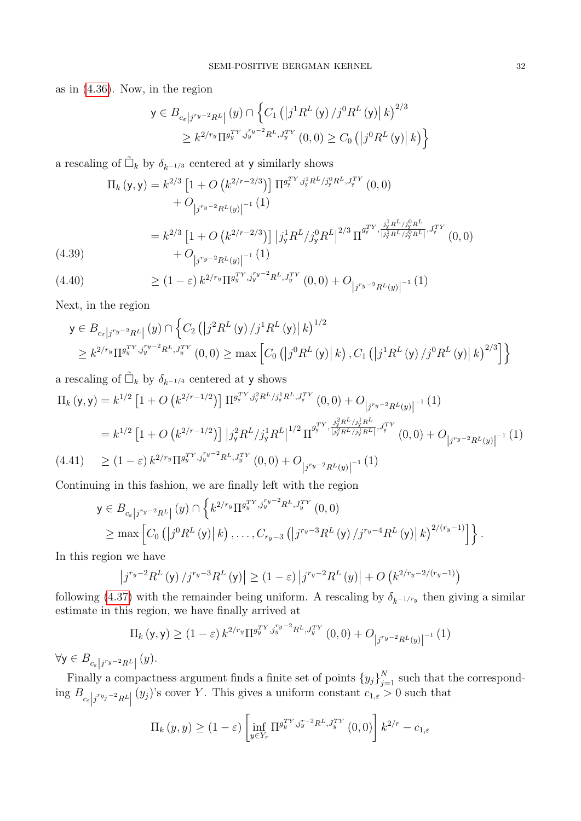as in [\(4.36\)](#page-30-0). Now, in the region

$$
\mathsf{y} \in B_{c_{\varepsilon} | j^{r_y - 2} R^L} (y) \cap \left\{ C_1 (|j^1 R^L(y) / j^0 R^L(y) | k)^{2/3} \right\}
$$
  

$$
\geq k^{2/r_y} \Pi^{g_y^{TY}, j_y^{r_y - 2} R^L, J_y^{TY}} (0, 0) \geq C_0 (|j^0 R^L(y)| k) \right\}
$$

a rescaling of  $\tilde{\Box}_k$  by  $\delta_{k^{-1/3}}$  centered at y similarly shows

$$
\Pi_{k}(y, y) = k^{2/3} \left[ 1 + O\left( k^{2/r - 2/3} \right) \right] \Pi^{g_{y}^{TV}, j_{y}^{1} R^{L}/j_{y}^{0} R^{L}, J_{y}^{TV}}(0, 0)
$$
  
+  $O_{\left| j^{r_{y} - 2} R^{L}(y) \right|^{-1}}(1)$   
=  $k^{2/3} \left[ 1 + O\left( k^{2/r - 2/3} \right) \right] \left| j_{y}^{1} R^{L}/j_{y}^{0} R^{L} \right|^{2/3} \Pi^{g_{y}^{TV}, \frac{j_{y}^{1} R^{L}/j_{y}^{0} R^{L}}{j_{y}^{1} R^{L}/j_{y}^{0} R^{L}} \right|^{J_{y}^{TV}}(0, 0)$   
+  $O_{\left| j^{r_{y} - 2} R^{L}(y) \right|^{-1}}(1)$ 

<span id="page-31-0"></span>(4.40) 
$$
\geq (1 - \varepsilon) k^{2/r_y} \Pi^{g_y^{TY}, j_y^{r_y - 2} R^L, J_y^{TY}} (0, 0) + O_{\left|j^{r_y - 2} R^L(y)\right|^{-1}} (1)
$$

Next, in the region

$$
y \in B_{c_{\varepsilon}|j^{r_y-2}R^{L}|}(y) \cap \left\{ C_2 \left( \left| j^2 R^{L}(y) / j^1 R^{L}(y) \right| k \right)^{1/2} \right\}
$$
  
\n
$$
\geq k^{2/r_y} \prod^{q_y^{T} y} j_y^{r_y-2} R^{L} y_{y}^{T^{Y}}(0,0) \geq \max \left[ C_0 \left( \left| j^0 R^{L}(y) \right| k \right), C_1 \left( \left| j^1 R^{L}(y) / j^0 R^{L}(y) \right| k \right)^{2/3} \right] \right\}
$$

a rescaling of 
$$
\tilde{\Box}_k
$$
 by  $\delta_{k^{-1/4}}$  centered at y shows  
\n
$$
\Pi_k(y, y) = k^{1/2} \left[ 1 + O\left( k^{2/r - 1/2} \right) \right] \Pi^{g_y^{TY}, j_y^2 R^L / j_y^1 R^L, J_y^{TY}}(0, 0) + O_{\left| j^{ry} - 2R^L(y) \right|^{-1}}(1)
$$
\n
$$
= k^{1/2} \left[ 1 + O\left( k^{2/r - 1/2} \right) \right] \left| j_y^2 R^L / j_y^1 R^L \right|^{1/2} \Pi^{g_y^{TY}, \frac{j_y^2 R^L / j_y^1 R^L}{\left| j_y^2 R^L / j_y^1 R^L \right|}, J_y^{TY}(0, 0) + O_{\left| j^{ry} - 2R^L(y) \right|^{-1}}(1)
$$
\n
$$
(4.41) \geq (1 - \varepsilon) k^{2/r_y} \Pi^{g_y^{TY}, j_y^{ry} - 2R^L, J_y^{TY}}(0, 0) + O_{\left| j^{ry} - 2R^L(y) \right|^{-1}}(1)
$$

Continuing in this fashion, we are finally left with the region

$$
y \in B_{c_{\varepsilon}|j^{ry-2}R^{L}|}(y) \cap \left\{ k^{2/r_{y}} \Pi^{g_{y}^{TY},j_{y}^{ry-2}R^{L},J_{y}^{TY}}(0,0) \right\}
$$
  
\n
$$
\geq \max \left[ C_{0} (|j^{0}R^{L}(y)|k), \ldots, C_{r_{y}-3} (|j^{r_{y}-3}R^{L}(y)/j^{r_{y}-4}R^{L}(y)|k)^{2/(r_{y}-1)} \right] \right\}.
$$

In this region we have

$$
\left|j^{r_y-2}R^L\left(\mathbf{y}\right)/j^{r_y-3}R^L\left(\mathbf{y}\right)\right| \geq \left(1-\varepsilon\right)\left|j^{r_y-2}R^L\left(\mathbf{y}\right)\right| + O\left(k^{2/r_y-2/(r_y-1)}\right)
$$

following [\(4.37\)](#page-30-1) with the remainder being uniform. A rescaling by  $\delta_{k^{-1/r_y}}$  then giving a similar estimate in this region, we have finally arrived at

$$
\Pi_{k}(y, y) \ge (1 - \varepsilon) k^{2/r_{y}} \Pi^{g_{y}^{TY}, j_{y}^{ry-2} R^{L}, J_{y}^{TY}}(0, 0) + O_{\left|j^{r_{y}-2} R^{L}(y)\right|^{-1}}(1)
$$

 $\forall {\sf y} \in B_{c_\varepsilon \left| j^{ry-2}R^L \right|} \left( y \right)$ .

Finally a compactness argument finds a finite set of points  ${y_j}_{j=1}^N$  such that the corresponding  $B_{c_{\varepsilon}|j^{r_{y_j}-2}R^L}$  $(y_j)$ 's cover Y. This gives a uniform constant  $c_{1,\varepsilon} > 0$  such that

$$
\Pi_{k}(y, y) \ge (1 - \varepsilon) \left[ \inf_{y \in Y_r} \Pi^{g_y^{TY}, j_y^{r-2} R^L, J_y^{TY}}(0, 0) \right] k^{2/r} - c_{1, \varepsilon}
$$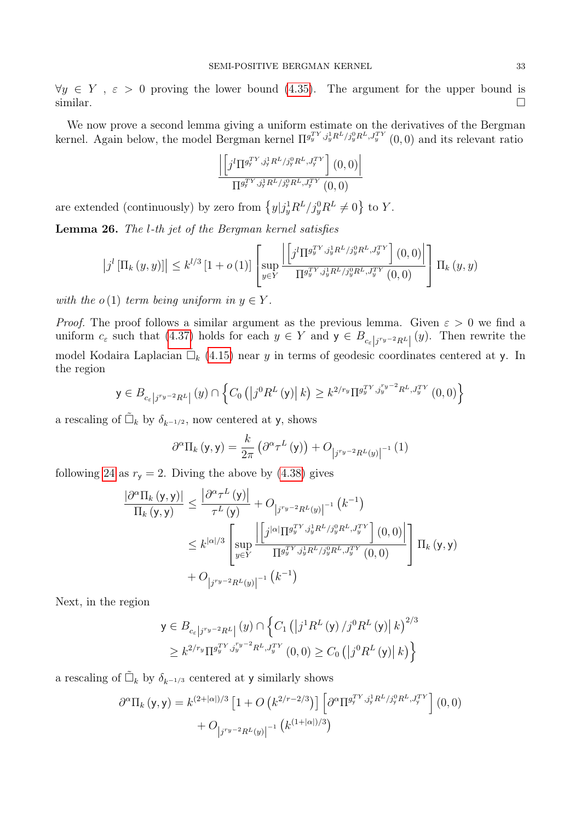$\forall y \in Y$ ,  $\varepsilon > 0$  proving the lower bound [\(4.35\)](#page-30-2). The argument for the upper bound is  $\Box$ similar.

We now prove a second lemma giving a uniform estimate on the derivatives of the Bergman kernel. Again below, the model Bergman kernel  $\Pi^{g_y^{TY}, j_y^1 R^L/j_y^0 R^L, J_y^{TY}}(0,0)$  and its relevant ratio

$$
\frac{\left| \left[ j^l \prod g_y^{TY}, j_\mathbf{y}^1 R^L / j_\mathbf{y}^0 R^L, J_\mathbf{y}^{TY} \right] (0,0) \right|}{\prod g_y^{TY}, j_\mathbf{y}^1 R^L / j_\mathbf{y}^0 R^L, J_\mathbf{y}^{TY} (0,0)}
$$

are extended (continuously) by zero from  $\{y|j_y^1R^L/j_y^0R^L \neq 0\}$  to Y.

<span id="page-32-0"></span>Lemma 26. The l-th jet of the Bergman kernel satisfies

$$
\left|j^{l}\left[\Pi_{k}\left(y,y\right)\right]\right| \leq k^{l/3}\left[1+o\left(1\right)\right] \left[\sup_{y \in Y} \frac{\left|\left[j^{l}\Pi^{g_{y}^{TY},j_{y}^{1}R^{L}/j_{y}^{0}R^{L},J_{y}^{TY}Y}\right](0,0)\right|}{\Pi^{g_{y}^{TY},j_{y}^{1}R^{L}/j_{y}^{0}R^{L},J_{y}^{TY}}(0,0)}\right] \Pi_{k}\left(y,y\right)
$$

with the  $o(1)$  term being uniform in  $y \in Y$ .

*Proof.* The proof follows a similar argument as the previous lemma. Given  $\varepsilon > 0$  we find a uniform  $c_{\varepsilon}$  such that [\(4.37\)](#page-30-1) holds for each  $y \in Y$  and  $y \in B_{c_{\varepsilon}}|j^{r_y-2}R^L|(y)$ . Then rewrite the model Kodaira Laplacian  $\tilde{\Box}_k$  [\(4.15\)](#page-26-1) near y in terms of geodesic coordinates centered at y. In the region

$$
y \in B_{c_{\varepsilon} | j^{r_y - 2} R^L |} (y) \cap \left\{ C_0 (|j^0 R^L (y)| k) \geq k^{2/r_y} \Pi^{g_y^{T Y}, j_y^{r_y - 2} R^L, J_y^{T Y}} (0, 0) \right\}
$$

a rescaling of  $\tilde{\Box}_k$  by  $\delta_{k^{-1/2}}$ , now centered at y, shows

$$
\partial^{\alpha} \Pi_{k} \left( \mathbf{y}, \mathbf{y} \right) = \frac{k}{2\pi} \left( \partial^{\alpha} \tau^{L} \left( \mathbf{y} \right) \right) + O_{\left| j^{ry-2} R^{L} \left( y \right) \right|^{-1}} \left( 1 \right)
$$

following [24](#page-30-3) as  $r_{y} = 2$ . Diving the above by [\(4.38\)](#page-30-4) gives

$$
\frac{\left|\partial^{\alpha}\Pi_{k}\left(y,y\right)\right|}{\Pi_{k}\left(y,y\right)} \leq \frac{\left|\partial^{\alpha}\tau^{L}\left(y\right)\right|}{\tau^{L}\left(y\right)} + O_{\left|j^{r_{y}-2}R^{L}\left(y\right)\right|^{-1}}\left(k^{-1}\right)
$$
\n
$$
\leq k^{|\alpha|/3} \left[\sup_{y\in Y} \frac{\left|\left[j^{|\alpha|}\Pi^{g_{y}^{TY},j_{y}^{1}R^{L}/j_{y}^{0}R^{L},J_{y}^{TY}\right]}(0,0)\right|}{\Pi^{g_{y}^{TY},j_{y}^{1}R^{L}/j_{y}^{0}R^{L},J_{y}^{TY}}\left(0,0\right)}\right] \Pi_{k}\left(y,y\right)
$$
\n
$$
+ O_{\left|j^{r_{y}-2}R^{L}\left(y\right)\right|^{-1}}\left(k^{-1}\right)
$$

Next, in the region

$$
y \in B_{c_{\varepsilon}|j^{r_y-2}R^{L}|}(y) \cap \left\{C_1\left(|j^1R^{L}(y)/j^0R^{L}(y)|k\right)^{2/3}\right\}
$$
  

$$
\geq k^{2/r_y} \Pi^{g_y^{TY}, j_y^{r_y-2}R^{L}, J_y^{TY}}(0,0) \geq C_0\left(|j^0R^{L}(y)|k\right)\right\}
$$

a rescaling of  $\tilde{\Box}_k$  by  $\delta_{k^{-1/3}}$  centered at y similarly shows

$$
\partial^{\alpha} \Pi_{k} (\mathbf{y}, \mathbf{y}) = k^{(2+|\alpha|)/3} \left[ 1 + O\left( k^{2/r - 2/3} \right) \right] \left[ \partial^{\alpha} \Pi^{g_{y}^{TY}, j_{y}^{1} R^{L} / j_{y}^{0} R^{L}, J_{y}^{TY}} \right] (0, 0)
$$

$$
+ O_{\left| j^{ry - 2} R^{L}(y) \right|^{-1}} \left( k^{(1+|\alpha|)/3} \right)
$$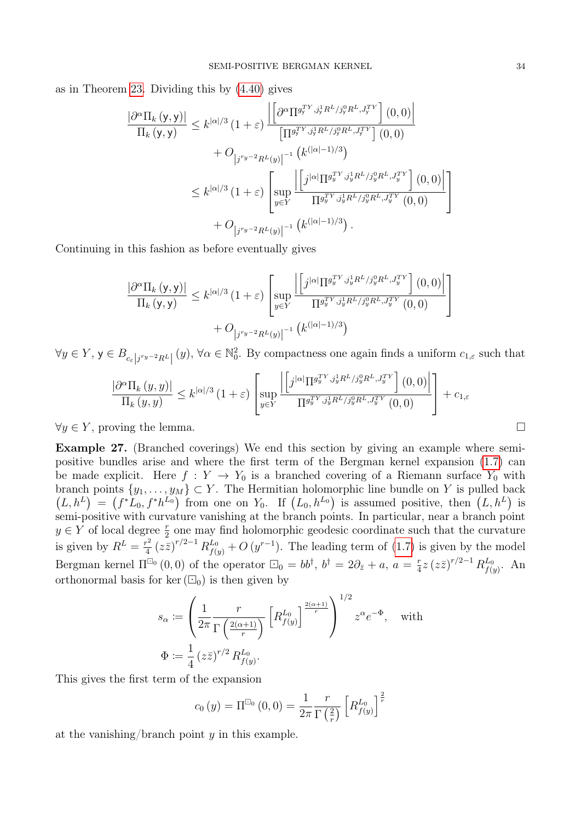as in Theorem [23.](#page-29-1) Dividing this by [\(4.40\)](#page-31-0) gives

$$
\frac{|\partial^{\alpha}\Pi_{k}(y,y)|}{\Pi_{k}(y,y)} \leq k^{|\alpha|/3} (1+\varepsilon) \frac{\left| \left[\partial^{\alpha}\Pi^{g_{y}^{TV},j_{y}^{1}R^{L}/j_{y}^{0}R^{L},J_{y}^{TV}\right](0,0)}{\left[\Pi^{g_{y}^{TV},j_{y}^{1}R^{L}/j_{y}^{0}R^{L},J_{y}^{TV}\right](0,0)} \right|}{\left[\Pi^{g_{y}^{TV},j_{y}^{1}R^{L}/j_{y}^{0}R^{L},J_{y}^{TV}\right](0,0)} + O_{\left|j^{r}y^{-2}R^{L}(y)\right|^{-1}} \left(k^{(|\alpha|-1)/3}\right)
$$
\n
$$
\leq k^{|\alpha|/3} (1+\varepsilon) \left[\sup_{y\in Y} \frac{\left| \left[j^{|\alpha|}\Pi^{g_{y}^{TV},j_{y}^{1}R^{L}/j_{y}^{0}R^{L},J_{y}^{TV}\right](0,0)}{\Pi^{g_{y}^{TV},j_{y}^{1}R^{L}/j_{y}^{0}R^{L},J_{y}^{TV}}(0,0)}\right] \right] + O_{\left|j^{r}y^{-2}R^{L}(y)\right|^{-1}} \left(k^{(|\alpha|-1)/3}\right).
$$

Continuing in this fashion as before eventually gives

$$
\frac{|\partial^{\alpha} \Pi_{k}(y, y)|}{\Pi_{k}(y, y)} \leq k^{|\alpha|/3} (1 + \varepsilon) \left[ \sup_{y \in Y} \frac{\left| \left[ j^{|\alpha|} \Pi^{g_{y}^{TY}, j_{y}^{1} R^{L} / j_{y}^{0} R^{L}, J_{y}^{TY} \right] (0, 0) \right|}{\Pi^{g_{y}^{TY}, j_{y}^{1} R^{L} / j_{y}^{0} R^{L}, J_{y}^{TY}} (0, 0)} \right] + O_{\left| j^{r_{y} - 2} R^{L}(y) \right|^{-1}} \left( k^{(|\alpha| - 1)/3} \right)
$$

 $\forall y \in Y, y \in B_{c_{\varepsilon}|j^{ry-2}R^L}((y), \forall \alpha \in \mathbb{N}_0^2$ . By compactness one again finds a uniform  $c_{1,\varepsilon}$  such that

$$
\frac{\left|\partial^{\alpha}\Pi_{k}\left(y,y\right)\right|}{\Pi_{k}\left(y,y\right)} \leq k^{|\alpha|/3} \left(1+\varepsilon\right) \left[\sup_{y\in Y} \frac{\left|\left[j^{|\alpha|}\Pi^{g_{y}^{TY},j_{y}^{1}R^{L}/j_{y}^{0}R^{L},J_{y}^{TY}}\right](0,0)\right|}{\Pi^{g_{y}^{TY},j_{y}^{1}R^{L}/j_{y}^{0}R^{L},J_{y}^{TY}}\left(0,0\right)}\right] + c_{1,\varepsilon}
$$
  
  $\forall y \in Y$ , proving the lemma.

<span id="page-33-0"></span>Example 27. (Branched coverings) We end this section by giving an example where semipositive bundles arise and where the first term of the Bergman kernel expansion [\(1.7\)](#page-2-1) can be made explicit. Here  $f: Y \to Y_0$  is a branched covering of a Riemann surface  $Y_0$  with branch points  $\{y_1, \ldots, y_M\} \subset Y$ . The Hermitian holomorphic line bundle on Y is pulled back  $(L, h^L) = (f^*L_0, f^*h^{L_0})$  from one on  $Y_0$ . If  $(L_0, h^{L_0})$  is assumed positive, then  $(L, h^L)$  is semi-positive with curvature vanishing at the branch points. In particular, near a branch point  $y \in Y$  of local degree  $\frac{r}{2}$  one may find holomorphic geodesic coordinate such that the curvature is given by  $R^L = \frac{r^2}{4}$  $\frac{f^{2}}{4}(z\bar{z})^{r/2-1}R^{L_{0}}_{f(y)}+O(y^{r-1}).$  The leading term of  $(1.7)$  is given by the model Bergman kernel  $\Pi^{\Box_0}(0,0)$  of the operator  $\Box_0 = bb^{\dagger}$ ,  $b^{\dagger} = 2\partial_{\bar{z}} + a$ ,  $a = \frac{r}{4}$  $\frac{r}{4}z\left(z\bar{z}\right)^{r/2-1}R_{f(}^{L_{0}}% -\frac{1}{2}z^{L_{0}}% -\left( \frac{z}{z}\right) ^{r/2}\cdot R_{f(}^{L_{0}}% -\left( \frac{z}{z}\right) ^{r/2}\cdot R_{f(}^{L_{0}}% -\left( \frac{z}{z}\right) ^{r/2}\cdot R_{f(}^{L_{0}}% -\left( \frac{z}{z}\right) ^{r/2}\cdot R_{f(}^{L_{0}}% -\left( \frac{z}{z}\right) ^{r/2}\cdot R_{f(}^{L_{0}}% -\left( \frac{z}{z}\right) ^$  $\frac{L_0}{f(y)}$ . An orthonormal basis for ker $(\Xi_0)$  is then given by

$$
s_{\alpha} := \left(\frac{1}{2\pi} \frac{r}{\Gamma\left(\frac{2(\alpha+1)}{r}\right)} \left[R_{f(y)}^{L_0}\right]^{\frac{2(\alpha+1)}{r}}\right)^{1/2} z^{\alpha} e^{-\Phi}, \text{ with}
$$
  

$$
\Phi := \frac{1}{4} \left(z\bar{z}\right)^{r/2} R_{f(y)}^{L_0}.
$$

This gives the first term of the expansion

$$
c_0(y) = \Pi^{\Box_0}(0,0) = \frac{1}{2\pi} \frac{r}{\Gamma(\frac{2}{r})} \left[ R_{f(y)}^{L_0} \right]^{\frac{2}{r}}
$$

at the vanishing/branch point  $y$  in this example.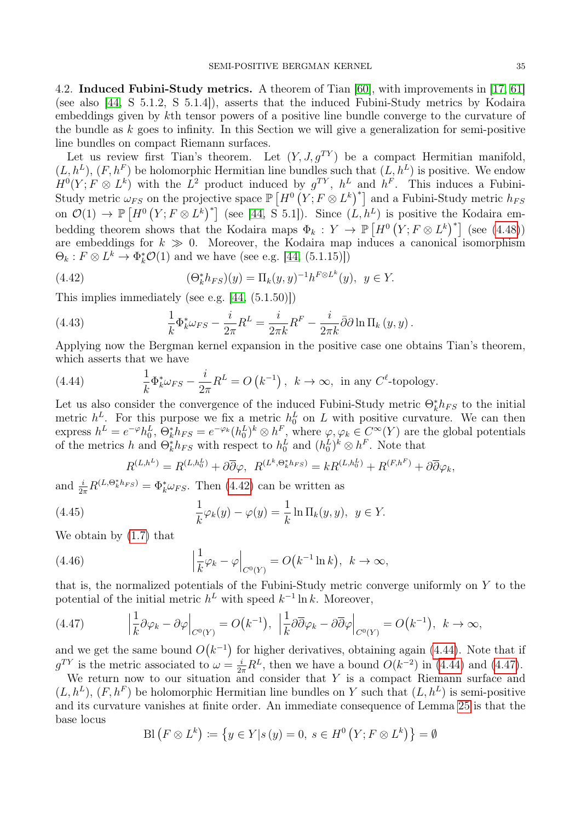<span id="page-34-0"></span>4.2. Induced Fubini-Study metrics. A theorem of Tian [\[60\]](#page-48-3), with improvements in [\[17,](#page-47-1) [61\]](#page-48-2) (see also [\[44,](#page-48-1) S 5.1.2, S 5.1.4]), asserts that the induced Fubini-Study metrics by Kodaira embeddings given by kth tensor powers of a positive line bundle converge to the curvature of the bundle as  $k$  goes to infinity. In this Section we will give a generalization for semi-positive line bundles on compact Riemann surfaces.

Let us review first Tian's theorem. Let  $(Y, J, g^{TY})$  be a compact Hermitian manifold,  $(L, h^L)$ ,  $(F, h^F)$  be holomorphic Hermitian line bundles such that  $(L, h^L)$  is positive. We endow  $H^0(Y; F \otimes L^k)$  with the  $L^2$  product induced by  $g^{TY}$ ,  $h^L$  and  $h^F$ . This induces a Fubini-Study metric  $\omega_{FS}$  on the projective space  $\mathbb{P}\left[H^0(Y;F\otimes L^k)^*\right]$  and a Fubini-Study metric  $h_{FS}$ on  $\mathcal{O}(1) \to \mathbb{P}\left[H^0(Y; F \otimes L^k)^*\right]$  (see [\[44,](#page-48-1) S 5.1]). Since  $(L, h^L)$  is positive the Kodaira embedding theorem shows that the Kodaira maps  $\Phi_k : Y \to \mathbb{P}\left[H^0(Y; F \otimes L^k)^*\right]$  (see [\(4.48\)](#page-35-0)) are embeddings for  $k \gg 0$ . Moreover, the Kodaira map induces a canonical isomorphism  $\Theta_k : F \otimes L^k \to \Phi_k^* \mathcal{O}(1)$  and we have (see e.g. [\[44,](#page-48-1) (5.1.15)])

<span id="page-34-1"></span>(4.42) 
$$
(\Theta_k^* h_{FS})(y) = \Pi_k(y, y)^{-1} h^{F \otimes L^k}(y), \ \ y \in Y.
$$

This implies immediately (see e.g. [\[44,](#page-48-1) (5.1.50)])

<span id="page-34-5"></span>(4.43) 
$$
\frac{1}{k} \Phi_k^* \omega_{FS} - \frac{i}{2\pi} R^L = \frac{i}{2\pi k} R^F - \frac{i}{2\pi k} \bar{\partial} \partial \ln \Pi_k(y, y).
$$

Applying now the Bergman kernel expansion in the positive case one obtains Tian's theorem, which asserts that we have

<span id="page-34-2"></span>(4.44) 
$$
\frac{1}{k} \Phi_k^* \omega_{FS} - \frac{i}{2\pi} R^L = O\left(k^{-1}\right), \ k \to \infty, \text{ in any } C^{\ell}\text{-topology}.
$$

Let us also consider the convergence of the induced Fubini-Study metric  $\Theta_k^* h_{FS}$  to the initial metric  $h^L$ . For this purpose we fix a metric  $h_0^L$  on L with positive curvature. We can then  $\text{express } h^L = e^{-\varphi}h_0^L, \ \Theta_k^*h_{FS} = e^{-\varphi_k}(h_0^L)^k \otimes h^F, \ \text{where } \varphi, \varphi_k \in C^{\infty}(Y) \text{ are the global potentials.}$ of the metrics h and  $\Theta_k^* h_{FS}$  with respect to  $h_0^L$  and  $(h_0^L)^k \otimes h^F$ . Note that

<span id="page-34-6"></span><span id="page-34-4"></span>
$$
R^{(L,h^L)} = R^{(L,h_0^L)} + \partial \overline{\partial} \varphi, \ R^{(L^k, \Theta_k^* h_{FS})} = kR^{(L,h_0^L)} + R^{(F,h^F)} + \partial \overline{\partial} \varphi_k,
$$

and  $\frac{i}{2\pi}R^{(L,\Theta_k^*h_{FS})} = \Phi_k^*\omega_{FS}$ . Then [\(4.42\)](#page-34-1) can be written as

(4.45) 
$$
\frac{1}{k}\varphi_k(y) - \varphi(y) = \frac{1}{k}\ln \Pi_k(y, y), \quad y \in Y.
$$

We obtain by [\(1.7\)](#page-2-1) that

(4.46) 
$$
\left|\frac{1}{k}\varphi_k - \varphi\right|_{C^0(Y)} = O(k^{-1}\ln k), \quad k \to \infty,
$$

that is, the normalized potentials of the Fubini-Study metric converge uniformly on Y to the potential of the initial metric  $h^L$  with speed  $k^{-1} \ln k$ . Moreover,

<span id="page-34-3"></span>(4.47) 
$$
\left| \frac{1}{k} \partial \varphi_k - \partial \varphi \right|_{C^0(Y)} = O(k^{-1}), \ \left| \frac{1}{k} \partial \overline{\partial} \varphi_k - \partial \overline{\partial} \varphi \right|_{C^0(Y)} = O(k^{-1}), \ k \to \infty,
$$

and we get the same bound  $O(k^{-1})$  for higher derivatives, obtaining again [\(4.44\)](#page-34-2). Note that if  $g^{TY}$  is the metric associated to  $\omega = \frac{i}{2\pi} R^L$ , then we have a bound  $O(k^{-2})$  in [\(4.44\)](#page-34-2) and [\(4.47\)](#page-34-3).

We return now to our situation and consider that Y is a compact Riemann surface and  $(L, h^L)$ ,  $(F, h^F)$  be holomorphic Hermitian line bundles on Y such that  $(L, h^L)$  is semi-positive and its curvature vanishes at finite order. An immediate consequence of Lemma [25](#page-30-5) is that the base locus

$$
\mathrm{Bl}\left(F\otimes L^{k}\right)\coloneqq\left\{ y\in Y|s\left(y\right)=0,\ s\in H^{0}\left(Y;F\otimes L^{k}\right)\right\} =\emptyset
$$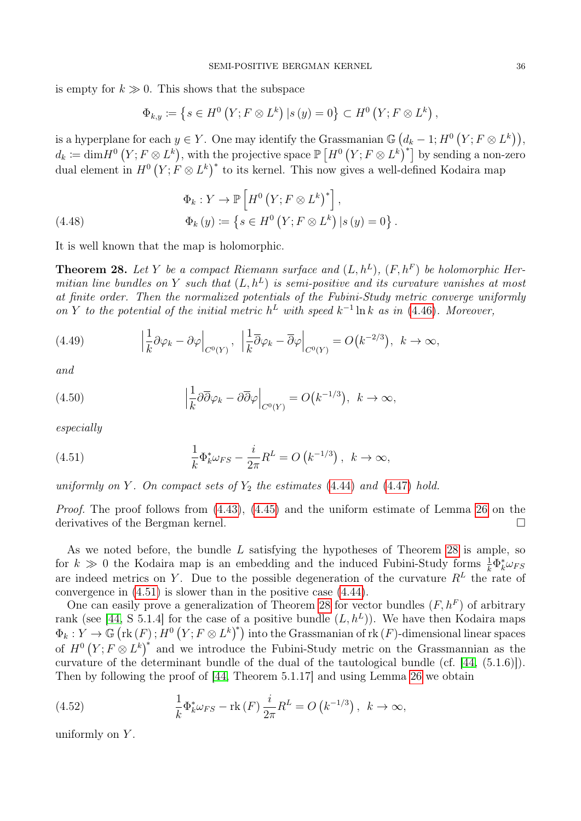is empty for  $k \gg 0$ . This shows that the subspace

$$
\Phi_{k,y} := \{ s \in H^0 \left( Y; F \otimes L^k \right) \mid s(y) = 0 \} \subset H^0 \left( Y; F \otimes L^k \right),
$$

is a hyperplane for each  $y \in Y$ . One may identify the Grassmanian  $\mathbb{G}\left(d_k - 1; H^0\left(Y; F \otimes L^k\right)\right)$ ,  $d_k := \dim H^0(Y; F \otimes L^k)$ , with the projective space  $\mathbb{P}\left[H^0(Y; F \otimes L^k)^*\right]$  by sending a non-zero dual element in  $H^0(Y; F \otimes L^k)^*$  to its kernel. This now gives a well-defined Kodaira map

<span id="page-35-0"></span>(4.48) 
$$
\Phi_k: Y \to \mathbb{P}\left[H^0\left(Y; F \otimes L^k\right)^*\right],
$$

$$
\Phi_k\left(y\right) := \left\{s \in H^0\left(Y; F \otimes L^k\right) \mid s\left(y\right) = 0\right\}.
$$

It is well known that the map is holomorphic.

<span id="page-35-1"></span>**Theorem 28.** Let Y be a compact Riemann surface and  $(L, h^L)$ ,  $(F, h^F)$  be holomorphic Hermitian line bundles on Y such that  $(L, h^L)$  is semi-positive and its curvature vanishes at most at finite order. Then the normalized potentials of the Fubini-Study metric converge uniformly on Y to the potential of the initial metric  $h^L$  with speed  $k^{-1} \ln k$  as in [\(4.46\)](#page-34-4). Moreover,

(4.49) 
$$
\left| \frac{1}{k} \partial \varphi_k - \partial \varphi \right|_{C^0(Y)}, \ \left| \frac{1}{k} \overline{\partial} \varphi_k - \overline{\partial} \varphi \right|_{C^0(Y)} = O(k^{-2/3}), \ k \to \infty,
$$

and

(4.50) 
$$
\left|\frac{1}{k}\partial\overline{\partial}\varphi_k - \partial\overline{\partial}\varphi\right|_{C^0(Y)} = O(k^{-1/3}), \ k \to \infty,
$$

especially

<span id="page-35-2"></span>(4.51) 
$$
\frac{1}{k} \Phi_k^* \omega_{FS} - \frac{i}{2\pi} R^L = O\left(k^{-1/3}\right), \ k \to \infty,
$$

uniformly on Y. On compact sets of  $Y_2$  the estimates [\(4.44\)](#page-34-2) and [\(4.47\)](#page-34-3) hold.

Proof. The proof follows from  $(4.43)$ ,  $(4.45)$  and the uniform estimate of Lemma [26](#page-32-0) on the derivatives of the Bergman kernel.

As we noted before, the bundle  $L$  satisfying the hypotheses of Theorem [28](#page-35-1) is ample, so for  $k \gg 0$  the Kodaira map is an embedding and the induced Fubini-Study forms  $\frac{1}{k} \Phi_k^* \omega_{FS}$ are indeed metrics on Y. Due to the possible degeneration of the curvature  $R<sup>L</sup>$  the rate of convergence in [\(4.51\)](#page-35-2) is slower than in the positive case [\(4.44\)](#page-34-2).

One can easily prove a generalization of Theorem [28](#page-35-1) for vector bundles  $(F, h^F)$  of arbitrary rank (see [\[44,](#page-48-1) S 5.1.4] for the case of a positive bundle  $(L, h^L)$ ). We have then Kodaira maps  $\Phi_k: Y \to \mathbb{G} \left( \text{rk}(F) \, ; H^0 \left( Y; F \otimes L^k \right)^* \right)$  into the Grassmanian of rk  $(F)$ -dimensional linear spaces of  $H^0(Y; F \otimes L^k)^*$  and we introduce the Fubini-Study metric on the Grassmannian as the curvature of the determinant bundle of the dual of the tautological bundle (cf. [\[44,](#page-48-1) (5.1.6)]). Then by following the proof of [\[44,](#page-48-1) Theorem 5.1.17] and using Lemma [26](#page-32-0) we obtain

(4.52) 
$$
\frac{1}{k} \Phi_k^* \omega_{FS} - \text{rk}(F) \frac{i}{2\pi} R^L = O\left(k^{-1/3}\right), \ k \to \infty,
$$

uniformly on  $Y$ .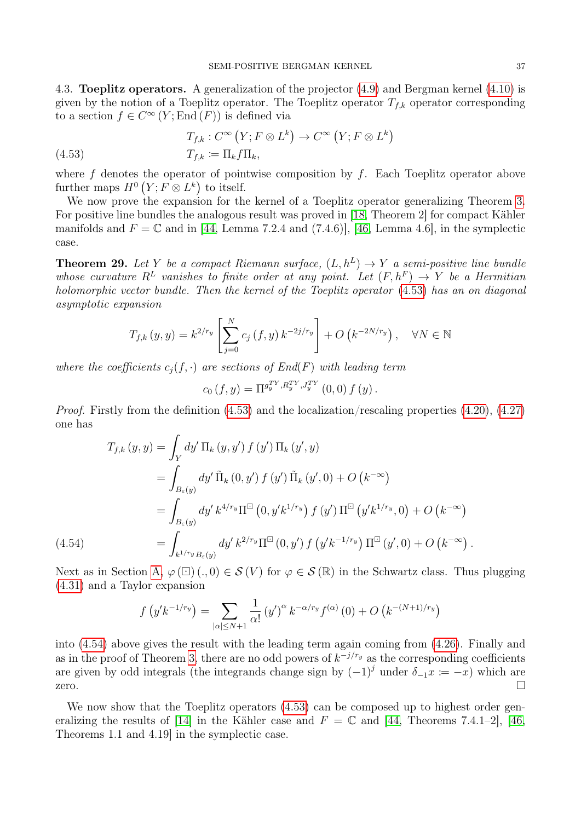<span id="page-36-0"></span>4.3. Toeplitz operators. A generalization of the projector [\(4.9\)](#page-25-4) and Bergman kernel [\(4.10\)](#page-25-5) is given by the notion of a Toeplitz operator. The Toeplitz operator  $T_{f,k}$  operator corresponding to a section  $f \in C^{\infty}(Y; \text{End}(F))$  is defined via

<span id="page-36-1"></span>(4.53) 
$$
T_{f,k}: C^{\infty}(Y; F \otimes L^{k}) \to C^{\infty}(Y; F \otimes L^{k})
$$

$$
T_{f,k} := \Pi_{k} f \Pi_{k},
$$

where f denotes the operator of pointwise composition by f. Each Toeplitz operator above further maps  $H^0(Y; F \otimes L^k)$  to itself.

We now prove the expansion for the kernel of a Toeplitz operator generalizing Theorem [3.](#page-2-3) For positive line bundles the analogous result was proved in [\[18,](#page-47-15) Theorem 2] for compact Kähler manifolds and  $F = \mathbb{C}$  and in [\[44,](#page-48-1) Lemma 7.2.4 and (7.4.6)], [\[46,](#page-48-17) Lemma 4.6], in the symplectic case.

<span id="page-36-3"></span>**Theorem 29.** Let Y be a compact Riemann surface,  $(L, h^L) \rightarrow Y$  a semi-positive line bundle whose curvature  $R^L$  vanishes to finite order at any point. Let  $(F, h^F) \to Y$  be a Hermitian holomorphic vector bundle. Then the kernel of the Toeplitz operator [\(4.53\)](#page-36-1) has an on diagonal asymptotic expansion

$$
T_{f,k}(y,y) = k^{2/r_y} \left[ \sum_{j=0}^{N} c_j(f,y) k^{-2j/r_y} \right] + O\left( k^{-2N/r_y} \right), \quad \forall N \in \mathbb{N}
$$

where the coefficients  $c_i(f, \cdot)$  are sections of End(F) with leading term

$$
c_0(f, y) = \Pi^{g_y^{TY}, R_y^{TY}, J_y^{TY}}(0,0) f(y).
$$

Proof. Firstly from the definition [\(4.53\)](#page-36-1) and the localization/rescaling properties [\(4.20\)](#page-27-8), [\(4.27\)](#page-28-1) one has

$$
T_{f,k}(y,y) = \int_{Y} dy' \Pi_{k}(y,y') f(y') \Pi_{k}(y',y)
$$
  
\n
$$
= \int_{B_{\varepsilon}(y)} dy' \tilde{\Pi}_{k}(0,y') f(y') \tilde{\Pi}_{k}(y',0) + O(k^{-\infty})
$$
  
\n
$$
= \int_{B_{\varepsilon}(y)} dy' k^{4/r_{y}} \Pi^{\Box}(0, y' k^{1/r_{y}}) f(y') \Pi^{\Box}(y' k^{1/r_{y}}, 0) + O(k^{-\infty})
$$
  
\n(4.54) 
$$
= \int_{k^{1/r_{y}} B_{\varepsilon}(y)} dy' k^{2/r_{y}} \Pi^{\Box}(0, y') f(y' k^{-1/r_{y}}) \Pi^{\Box}(y', 0) + O(k^{-\infty}).
$$

<span id="page-36-2"></span>

Next as in Section [A,](#page-43-0)  $\varphi(\square)(.,0) \in \mathcal{S}(V)$  for  $\varphi \in \mathcal{S}(\mathbb{R})$  in the Schwartz class. Thus plugging [\(4.31\)](#page-29-0) and a Taylor expansion

$$
f(y'k^{-1/r_y}) = \sum_{|\alpha| \le N+1} \frac{1}{\alpha!} (y')^{\alpha} k^{-\alpha/r_y} f^{(\alpha)}(0) + O(k^{-(N+1)/r_y})
$$

into [\(4.54\)](#page-36-2) above gives the result with the leading term again coming from [\(4.26\)](#page-28-3). Finally and as in the proof of Theorem [3,](#page-2-3) there are no odd powers of  $k^{-j/r_y}$  as the corresponding coefficients are given by odd integrals (the integrands change sign by  $(-1)^j$  under  $\delta_{-1}x := -x$ ) which are zero.  $\Box$ 

We now show that the Toeplitz operators  $(4.53)$  can be composed up to highest order gen-eralizing the results of [\[14\]](#page-47-16) in the Kähler case and  $F = \mathbb{C}$  and [\[44,](#page-48-1) Theorems 7.4.1–2], [\[46,](#page-48-17) Theorems 1.1 and 4.19] in the symplectic case.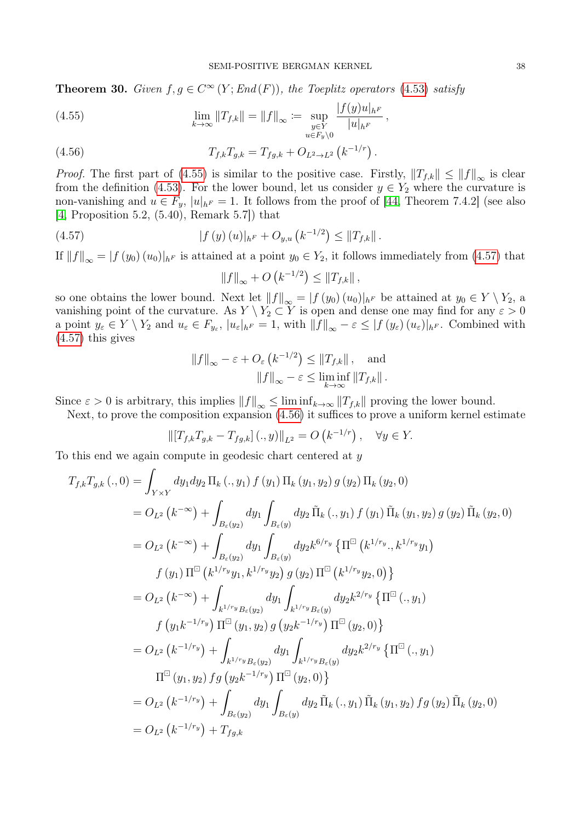**Theorem 30.** Given  $f, g \in C^{\infty}(Y; End(F))$ , the Toeplitz operators [\(4.53\)](#page-36-1) satisfy

<span id="page-37-0"></span>(4.55) 
$$
\lim_{k \to \infty} ||T_{f,k}|| = ||f||_{\infty} := \sup_{\substack{y \in Y \\ u \in F_v \setminus 0}} \frac{|f(y)u|_{h^F}}{|u|_{h^F}},
$$

<span id="page-37-2"></span>(4.56) 
$$
T_{f,k}T_{g,k} = T_{fg,k} + O_{L^2 \to L^2}(k^{-1/r}).
$$

*Proof.* The first part of [\(4.55\)](#page-37-0) is similar to the positive case. Firstly,  $||T_{f,k}|| \le ||f||_{\infty}$  is clear from the definition [\(4.53\)](#page-36-1). For the lower bound, let us consider  $y \in Y_2$  where the curvature is non-vanishing and  $u \in F_y$ ,  $|u|_{h^F} = 1$ . It follows from the proof of [\[44,](#page-48-1) Theorem 7.4.2] (see also [\[4,](#page-46-7) Proposition 5.2, (5.40), Remark 5.7]) that

(4.57) 
$$
|f(y)(u)|_{h^F} + O_{y,u}(k^{-1/2}) \leq ||T_{f,k}||.
$$

If  $||f||_{\infty} = |f(y_0)(u_0)|_{h^F}$  is attained at a point  $y_0 \in Y_2$ , it follows immediately from [\(4.57\)](#page-37-1) that

<span id="page-37-1"></span>
$$
||f||_{\infty} + O(k^{-1/2}) \le ||T_{f,k}||
$$
,

so one obtains the lower bound. Next let  $||f||_{\infty} = |f(y_0)(u_0)|_{h^F}$  be attained at  $y_0 \in Y \setminus Y_2$ , a vanishing point of the curvature. As  $Y \setminus Y_2 \subset Y$  is open and dense one may find for any  $\varepsilon > 0$ a point  $y_{\varepsilon} \in Y \setminus Y_2$  and  $u_{\varepsilon} \in F_{y_{\varepsilon}}, |u_{\varepsilon}|_{h^F} = 1$ , with  $||f||_{\infty} - \varepsilon \leq |f(y_{\varepsilon}) (u_{\varepsilon})|_{h^F}$ . Combined with [\(4.57\)](#page-37-1) this gives

$$
||f||_{\infty} - \varepsilon + O_{\varepsilon} (k^{-1/2}) \le ||T_{f,k}||, \text{ and}
$$

$$
||f||_{\infty} - \varepsilon \le \liminf_{k \to \infty} ||T_{f,k}||.
$$

Since  $\varepsilon > 0$  is arbitrary, this implies  $||f||_{\infty} \leq \liminf_{k \to \infty} ||T_{f,k}||$  proving the lower bound.

Next, to prove the composition expansion [\(4.56\)](#page-37-2) it suffices to prove a uniform kernel estimate

 $\left\| [T_{f,k}T_{g,k} - T_{fg,k}] (.,y) \right\|_{L^2} = O(k^{-1/r}), \quad \forall y \in Y.$ 

To this end we again compute in geodesic chart centered at  $y$ 

$$
T_{f,k}T_{g,k}(.,0) = \int_{Y\times Y} dy_1 dy_2 \Pi_k(.,y_1) f (y_1) \Pi_k (y_1, y_2) g (y_2) \Pi_k (y_2, 0)
$$
  
\n
$$
= O_{L^2}(k^{-\infty}) + \int_{B_{\varepsilon}(y_2)} dy_1 \int_{B_{\varepsilon}(y)} dy_2 \tilde{\Pi}_k(.,y_1) f (y_1) \tilde{\Pi}_k (y_1, y_2) g (y_2) \tilde{\Pi}_k (y_2, 0)
$$
  
\n
$$
= O_{L^2}(k^{-\infty}) + \int_{B_{\varepsilon}(y_2)} dy_1 \int_{B_{\varepsilon}(y)} dy_2 k^{6/r_y} {\Pi^{\Box}}(k^{1/r_y}, k^{1/r_y}y_1)
$$
  
\n
$$
f (y_1) \Pi^{\Box}(k^{1/r_y}y_1, k^{1/r_y}y_2) g (y_2) \Pi^{\Box}(k^{1/r_y}y_2, 0)
$$
  
\n
$$
= O_{L^2}(k^{-\infty}) + \int_{k^{1/r_y}B_{\varepsilon}(y_2)} dy_1 \int_{k^{1/r_y}B_{\varepsilon}(y)} dy_2 k^{2/r_y} {\Pi^{\Box}}(.,y_1)
$$
  
\n
$$
f (y_1 k^{-1/r_y}) \Pi^{\Box}(y_1, y_2) g (y_2 k^{-1/r_y}) \Pi^{\Box}(y_2, 0)
$$
  
\n
$$
= O_{L^2}(k^{-1/r_y}) + \int_{k^{1/r_y}B_{\varepsilon}(y_2)} dy_1 \int_{k^{1/r_y}B_{\varepsilon}(y)} dy_2 k^{2/r_y} {\Pi^{\Box}}(.,y_1)
$$
  
\n
$$
\Pi^{\Box}(y_1, y_2) fg (y_2 k^{-1/r_y}) \Pi^{\Box}(y_2, 0)
$$
  
\n
$$
= O_{L^2}(k^{-1/r_y}) + \int_{B_{\varepsilon}(y_2)} dy_1 \int_{B_{\varepsilon}(y)} dy_2 \tilde{\Pi}_k(.,y_1) \tilde{\Pi}_k(y_1, y_2) fg (y_2) \tilde{\Pi}_k (y_2, 0)
$$
  
\n
$$
= O_{L^2}(k^{-1/r_y}) + T_{fg,k}
$$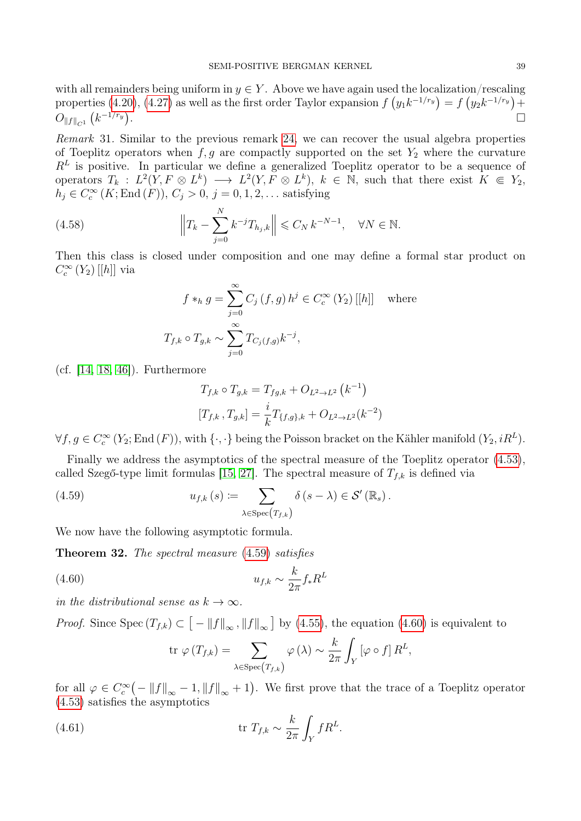with all remainders being uniform in  $y \in Y$ . Above we have again used the localization/rescaling properties [\(4.20\)](#page-27-8), [\(4.27\)](#page-28-1) as well as the first order Taylor expansion  $f(y_1k^{-1/r_y}) = f(y_2k^{-1/r_y}) +$  $O_{\|f\|_{C^1}}\left( k^{-1/r_y} \right)$ . In the second control of the second control of the second control of the second control of the second control of

Remark 31. Similar to the previous remark [24,](#page-30-3) we can recover the usual algebra properties of Toeplitz operators when  $f, g$  are compactly supported on the set  $Y_2$  where the curvature  $R<sup>L</sup>$  is positive. In particular we define a generalized Toeplitz operator to be a sequence of operators  $T_k : L^2(Y, F \otimes L^k) \longrightarrow L^2(Y, F \otimes L^k)$ ,  $k \in \mathbb{N}$ , such that there exist  $K \in Y_2$ ,  $h_j \in C_c^{\infty} (K; \text{End} (F)), C_j > 0, j = 0, 1, 2, ...$  satisfying

(4.58) 
$$
\left\|T_{k} - \sum_{j=0}^{N} k^{-j} T_{h_{j},k} \right\| \leq C_{N} k^{-N-1}, \quad \forall N \in \mathbb{N}.
$$

Then this class is closed under composition and one may define a formal star product on  $C_c^{\infty}(Y_2)$  [[h]] via

<span id="page-38-3"></span>
$$
f *_{h} g = \sum_{j=0}^{\infty} C_{j} (f, g) h^{j} \in C_{c}^{\infty} (Y_{2}) [[h]] \quad \text{where}
$$

$$
T_{f,k} \circ T_{g,k} \sim \sum_{j=0}^{\infty} T_{C_{j}(f,g)} k^{-j},
$$

(cf. [\[14,](#page-47-16) [18,](#page-47-15) [46\]](#page-48-17)). Furthermore

<span id="page-38-0"></span>
$$
T_{f,k} \circ T_{g,k} = T_{fg,k} + O_{L^2 \to L^2} (k^{-1})
$$
  

$$
[T_{f,k}, T_{g,k}] = \frac{i}{k} T_{\{f,g\},k} + O_{L^2 \to L^2}(k^{-2})
$$

 $\forall f, g \in C_c^{\infty}(Y_2; \text{End}(F))$ , with  $\{\cdot, \cdot\}$  being the Poisson bracket on the Kähler manifold  $(Y_2, iR^L)$ .

Finally we address the asymptotics of the spectral measure of the Toeplitz operator [\(4.53\)](#page-36-1), called Szegő-type limit formulas [\[15,](#page-47-17) [27\]](#page-47-18). The spectral measure of  $T_{f,k}$  is defined via

(4.59) 
$$
u_{f,k}(s) \coloneqq \sum_{\lambda \in \text{Spec}(T_{f,k})} \delta(s - \lambda) \in \mathcal{S}'(\mathbb{R}_s).
$$

We now have the following asymptotic formula.

Theorem 32. The spectral measure [\(4.59\)](#page-38-0) satisfies

$$
(4.60) \t\t u_{f,k} \sim \frac{k}{2\pi} f_* R^L
$$

in the distributional sense as  $k \to \infty$ .

*Proof.* Since  $Spec(T_{f,k}) \subset [-\|f\|_{\infty}, \|f\|_{\infty}]$  by [\(4.55\)](#page-37-0), the equation [\(4.60\)](#page-38-1) is equivalent to

<span id="page-38-2"></span><span id="page-38-1"></span>
$$
\operatorname{tr} \varphi(T_{f,k}) = \sum_{\lambda \in \operatorname{Spec}(T_{f,k})} \varphi(\lambda) \sim \frac{k}{2\pi} \int_Y \left[\varphi \circ f\right] R^L,
$$

for all  $\varphi \in C_c^{\infty}(-||f||_{\infty}-1, ||f||_{\infty}+1)$ . We first prove that the trace of a Toeplitz operator [\(4.53\)](#page-36-1) satisfies the asymptotics

(4.61) 
$$
\operatorname{tr} T_{f,k} \sim \frac{k}{2\pi} \int_Y f R^L.
$$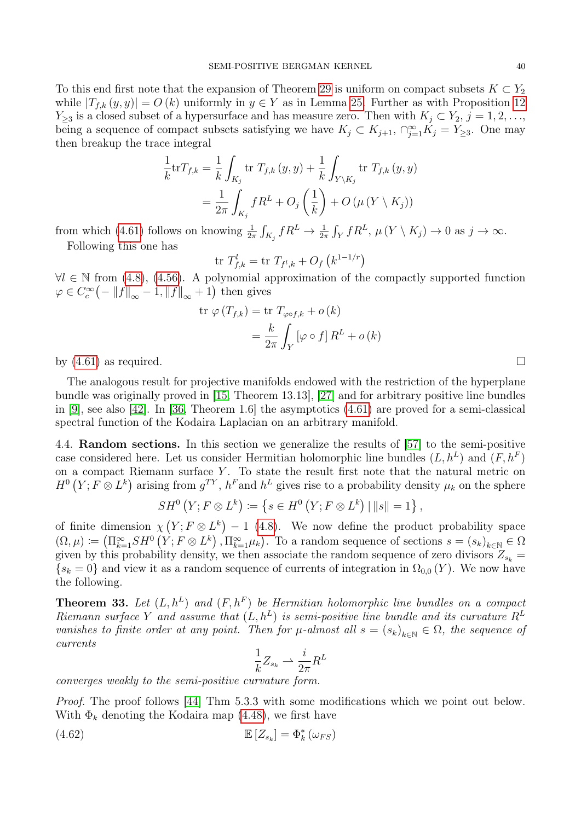To this end first note that the expansion of Theorem [29](#page-36-3) is uniform on compact subsets  $K \subset Y_2$ while  $|T_{f,k}(y, y)| = O(k)$  uniformly in  $y \in Y$  as in Lemma [25.](#page-30-5) Further as with Proposition [12](#page-13-2)  $Y_{\geq 3}$  is a closed subset of a hypersurface and has measure zero. Then with  $K_j \subset Y_2$ ,  $j = 1, 2, \ldots$ , being a sequence of compact subsets satisfying we have  $K_j \subset K_{j+1}, \cap_{j=1}^{\infty} K_j = Y_{\geq 3}$ . One may then breakup the trace integral

$$
\frac{1}{k} \text{tr} T_{f,k} = \frac{1}{k} \int_{K_j} \text{tr} \ T_{f,k} \left( y, y \right) + \frac{1}{k} \int_{Y \setminus K_j} \text{tr} \ T_{f,k} \left( y, y \right)
$$
\n
$$
= \frac{1}{2\pi} \int_{K_j} f R^L + O_j \left( \frac{1}{k} \right) + O \left( \mu \left( Y \setminus K_j \right) \right)
$$

from which [\(4.61\)](#page-38-2) follows on knowing  $\frac{1}{2\pi} \int_{K_j} f R^L \to \frac{1}{2\pi} \int_Y f R^L$ ,  $\mu(Y \setminus K_j) \to 0$  as  $j \to \infty$ .

Following this one has

$$
\text{tr } T_{f,k}^l = \text{tr } T_{f^l,k} + O_f\left(k^{1-1/r}\right)
$$

 $\forall l \in \mathbb{N}$  from [\(4.8\)](#page-25-3), [\(4.56\)](#page-37-2). A polynomial approximation of the compactly supported function  $\varphi \in C_c^{\infty}(-\left \| f \right \|_{\infty} - 1, \left \| f \right \|_{\infty} + 1)$  then gives

$$
\operatorname{tr} \varphi(T_{f,k}) = \operatorname{tr} T_{\varphi \circ f,k} + o(k)
$$

$$
= \frac{k}{2\pi} \int_Y \left[ \varphi \circ f \right] R^L + o(k)
$$

by  $(4.61)$  as required.

The analogous result for projective manifolds endowed with the restriction of the hyperplane bundle was originally proved in [\[15,](#page-47-17) Theorem 13.13], [\[27\]](#page-47-18) and for arbitrary positive line bundles in  $|9|$ , see also  $|42|$ . In  $|36$ , Theorem 1.6 the asymptotics  $(4.61)$  are proved for a semi-classical spectral function of the Kodaira Laplacian on an arbitrary manifold.

<span id="page-39-0"></span>4.4. Random sections. In this section we generalize the results of [\[57\]](#page-48-19) to the semi-positive case considered here. Let us consider Hermitian holomorphic line bundles  $(L, h^L)$  and  $(F, h^F)$ on a compact Riemann surface  $Y$ . To state the result first note that the natural metric on  $H^0(Y; F \otimes L^k)$  arising from  $g^{TY}$ ,  $h^F$  and  $h^L$  gives rise to a probability density  $\mu_k$  on the sphere

$$
SH^0(Y; F \otimes L^k) \coloneqq \{ s \in H^0(Y; F \otimes L^k) \mid ||s|| = 1 \},
$$

of finite dimension  $\chi(Y; F \otimes L^k) - 1$  [\(4.8\)](#page-25-3). We now define the product probability space  $(\Omega, \mu) \coloneqq (\prod_{k=1}^{\infty} SH^0(Y; F \otimes L^k), \prod_{k=1}^{\infty} \mu_k)$ . To a random sequence of sections  $s = (s_k)_{k \in \mathbb{N}} \in \Omega$ given by this probability density, we then associate the random sequence of zero divisors  $Z_{s_k}$  =  ${s_k = 0}$  and view it as a random sequence of currents of integration in  $\Omega_{0,0}(Y)$ . We now have the following.

<span id="page-39-2"></span>**Theorem 33.** Let  $(L, h^L)$  and  $(F, h^F)$  be Hermitian holomorphic line bundles on a compact Riemann surface Y and assume that  $(L, h^L)$  is semi-positive line bundle and its curvature  $R^L$ vanishes to finite order at any point. Then for  $\mu$ -almost all  $s = (s_k)_{k \in \mathbb{N}} \in \Omega$ , the sequence of currents

<span id="page-39-1"></span>
$$
\frac{1}{k}Z_{s_k}\rightharpoonup \frac{i}{2\pi}R^L
$$

converges weakly to the semi-positive curvature form.

Proof. The proof follows [\[44\]](#page-48-1) Thm 5.3.3 with some modifications which we point out below. With  $\Phi_k$  denoting the Kodaira map [\(4.48\)](#page-35-0), we first have

$$
\mathbb{E}\left[Z_{s_k}\right] = \Phi_k^* \left(\omega_{FS}\right)
$$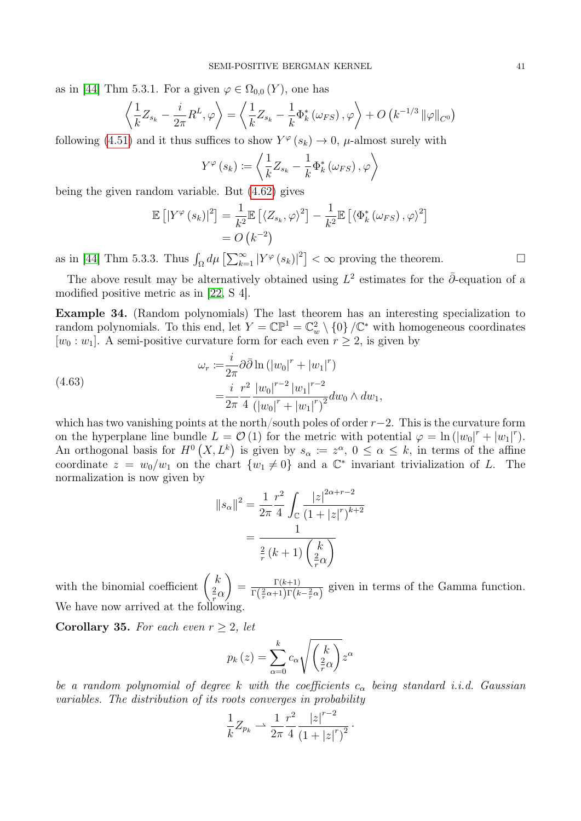as in [\[44\]](#page-48-1) Thm 5.3.1. For a given  $\varphi \in \Omega_{0,0}(Y)$ , one has

$$
\left\langle \frac{1}{k} Z_{s_k} - \frac{i}{2\pi} R^L, \varphi \right\rangle = \left\langle \frac{1}{k} Z_{s_k} - \frac{1}{k} \Phi_k^* \left( \omega_{FS} \right), \varphi \right\rangle + O \left( k^{-1/3} \left\| \varphi \right\|_{C^0} \right)
$$

following [\(4.51\)](#page-35-2) and it thus suffices to show  $Y^{\varphi}(s_k) \to 0$ ,  $\mu$ -almost surely with

$$
Y^{\varphi}\left(s_{k}\right) \coloneqq \left\langle \frac{1}{k} Z_{s_{k}} - \frac{1}{k} \Phi_{k}^{*}\left(\omega_{FS}\right), \varphi \right\rangle
$$

being the given random variable. But [\(4.62\)](#page-39-1) gives

$$
\mathbb{E}\left[|Y^{\varphi}(s_k)|^2\right] = \frac{1}{k^2} \mathbb{E}\left[\langle Z_{s_k}, \varphi \rangle^2\right] - \frac{1}{k^2} \mathbb{E}\left[\langle \Phi_k^*(\omega_{FS}), \varphi \rangle^2\right] \n= O\left(k^{-2}\right)
$$

as in [\[44\]](#page-48-1) Thm 5.3.3. Thus  $\int_{\Omega} d\mu \left[ \sum_{k=1}^{\infty} |Y^{\varphi}(s_k)|^2 \right] < \infty$  proving the theorem.

The above result may be alternatively obtained using  $L^2$  estimates for the  $\bar{\partial}$ -equation of a modified positive metric as in [\[22,](#page-47-20) S 4].

Example 34. (Random polynomials) The last theorem has an interesting specialization to random polynomials. To this end, let  $Y = \mathbb{CP}^1 = \mathbb{C}^2_w \setminus \{0\} / \mathbb{C}^*$  with homogeneous coordinates  $[w_0:w_1]$ . A semi-positive curvature form for each even  $r\geq 2$ , is given by

(4.63)  

$$
\omega_r := \frac{i}{2\pi} \partial \bar{\partial} \ln(|w_0|^r + |w_1|^r)
$$

$$
= \frac{i}{2\pi} \frac{r^2}{4} \frac{|w_0|^{r-2} |w_1|^{r-2}}{\left(|w_0|^r + |w_1|^r\right)^2} dw_0 \wedge dw_1,
$$

which has two vanishing points at the north/south poles of order  $r-2$ . This is the curvature form on the hyperplane line bundle  $L = \mathcal{O}(1)$  for the metric with potential  $\varphi = \ln(|w_0|^r + |w_1|^r)$ . An orthogonal basis for  $H^0(X, L^k)$  is given by  $s_\alpha := z^\alpha$ ,  $0 \leq \alpha \leq k$ , in terms of the affine coordinate  $z = w_0/w_1$  on the chart  $\{w_1 \neq 0\}$  and a  $\mathbb{C}^*$  invariant trivialization of L. The normalization is now given by

$$
||s_{\alpha}||^{2} = \frac{1}{2\pi} \frac{r^{2}}{4} \int_{\mathbb{C}} \frac{|z|^{2\alpha+r-2}}{(1+|z|^{r})^{k+2}}
$$

$$
= \frac{1}{\frac{2}{r}(k+1)\left(\frac{k}{2\alpha}\right)}
$$

with the binomial coefficient  $\begin{pmatrix} k \\ 2 \end{pmatrix}$ 2  $\frac{2}{r}\alpha$  $\setminus$  $=\frac{\Gamma(k+1)}{\Gamma(2k+1)\Gamma(k)}$  $\frac{\Gamma(k+1)}{\Gamma(\frac{2}{r}\alpha+1)\Gamma(k-\frac{2}{r}\alpha)}$  given in terms of the Gamma function. We have now arrived at the following.

<span id="page-40-0"></span>Corollary 35. For each even  $r \geq 2$ , let

$$
p_k(z) = \sum_{\alpha=0}^k c_{\alpha} \sqrt{\binom{k}{\frac{2}{r}\alpha}} z^{\alpha}
$$

be a random polynomial of degree k with the coefficients  $c_{\alpha}$  being standard i.i.d. Gaussian variables. The distribution of its roots converges in probability

$$
\frac{1}{k}Z_{p_k} \rightharpoonup \frac{1}{2\pi} \frac{r^2}{4} \frac{|z|^{r-2}}{(1+|z|^r)^2}.
$$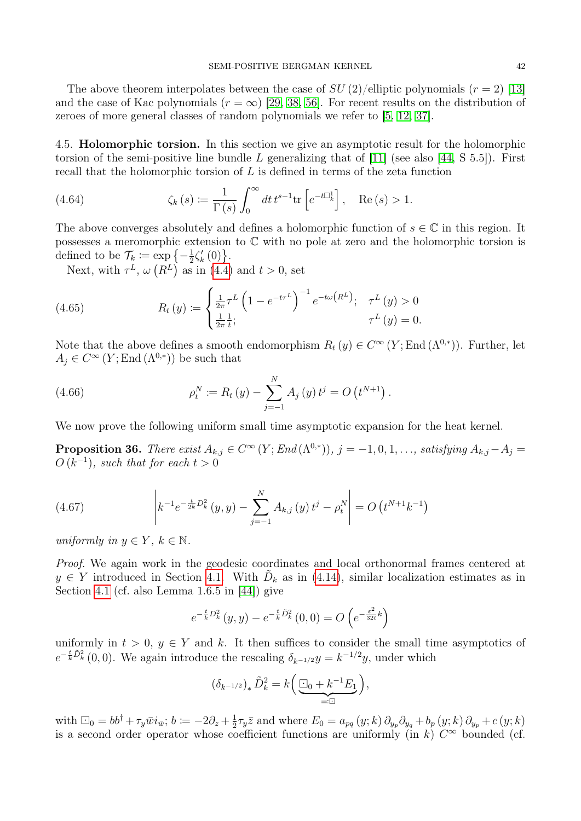The above theorem interpolates between the case of  $SU(2)/$ elliptic polynomials ( $r = 2$ ) [\[13\]](#page-47-21) and the case of Kac polynomials ( $r = \infty$ ) [\[29,](#page-47-22) [38,](#page-48-20) [56\]](#page-48-21). For recent results on the distribution of zeroes of more general classes of random polynomials we refer to [\[5,](#page-46-9) [12,](#page-47-23) [37\]](#page-47-24).

<span id="page-41-0"></span>4.5. Holomorphic torsion. In this section we give an asymptotic result for the holomorphic torsion of the semi-positive line bundle L generalizing that of [\[11\]](#page-47-25) (see also [\[44,](#page-48-1) S 5.5]). First recall that the holomorphic torsion of  $L$  is defined in terms of the zeta function

(4.64) 
$$
\zeta_k(s) \coloneqq \frac{1}{\Gamma(s)} \int_0^\infty dt \, t^{s-1} \text{tr}\left[e^{-t\Box_k^1}\right], \quad \text{Re}(s) > 1.
$$

The above converges absolutely and defines a holomorphic function of  $s \in \mathbb{C}$  in this region. It possesses a meromorphic extension to C with no pole at zero and the holomorphic torsion is defined to be  $\mathcal{T}_k \coloneqq \exp\left\{-\frac{1}{2}\right\}$  $\frac{1}{2}\zeta_{k}'(0)\big\}.$ 

<span id="page-41-3"></span>Next, with  $\tau^L$ ,  $\omega(R^L)$  as in [\(4.4\)](#page-24-0) and  $t > 0$ , set

(4.65) 
$$
R_t(y) := \begin{cases} \frac{1}{2\pi} \tau^L \left(1 - e^{-t\tau^L}\right)^{-1} e^{-t\omega(R^L)}; & \tau^L(y) > 0\\ \frac{1}{2\pi} \frac{1}{t}; & \tau^L(y) = 0. \end{cases}
$$

Note that the above defines a smooth endomorphism  $R_t(y) \in C^{\infty}(Y; \text{End}(\Lambda^{0,*}))$ . Further, let  $A_j \in C^{\infty}(Y; \text{End}(\Lambda^{0,*}))$  be such that

<span id="page-41-1"></span>(4.66) 
$$
\rho_t^N \coloneqq R_t(y) - \sum_{j=-1}^N A_j(y) t^j = O(t^{N+1}).
$$

We now prove the following uniform small time asymptotic expansion for the heat kernel.

**Proposition 36.** There exist  $A_{k,j} \in C^{\infty}(Y; End(\Lambda^{0,*}))$ ,  $j = -1, 0, 1, \ldots$ , satisfying  $A_{k,j} - A_j =$  $O(k^{-1})$ , such that for each  $t > 0$ 

<span id="page-41-2"></span>(4.67) 
$$
\left| k^{-1} e^{-\frac{t}{2k}D_k^2}(y, y) - \sum_{j=-1}^N A_{k,j}(y) t^j - \rho_t^N \right| = O\left(t^{N+1} k^{-1}\right)
$$

uniformly in  $y \in Y$ ,  $k \in \mathbb{N}$ .

Proof. We again work in the geodesic coordinates and local orthonormal frames centered at  $y \in Y$  introduced in Section [4.1.](#page-25-0) With  $\tilde{D}_k$  as in [\(4.14\)](#page-26-2), similar localization estimates as in Section [4.1](#page-25-0) (cf. also Lemma 1.6.5 in [\[44\]](#page-48-1)) give

$$
e^{-\frac{t}{k}D_k^2}(y, y) - e^{-\frac{t}{k}\tilde{D}_k^2}(0, 0) = O\left(e^{-\frac{\varepsilon^2}{32t}k}\right)
$$

uniformly in  $t > 0$ ,  $y \in Y$  and k. It then suffices to consider the small time asymptotics of  $e^{-\frac{t}{k}\tilde{D}_k^2}(0,0)$ . We again introduce the rescaling  $\delta_{k^{-1/2}}y = k^{-1/2}y$ , under which

$$
(\delta_{k^{-1/2}})_*\tilde{D}_k^2 = k \Big(\underbrace{\Box_0 + k^{-1}E_1}_{=: \Box} \Big),
$$

with  $\Box_0 = bb^{\dagger} + \tau_y \bar{w} i_{\bar{w}}$ ;  $b \coloneqq -2\partial_z + \frac{1}{2}$  $\frac{1}{2}\tau_{y}\bar{z}$  and where  $E_{0}=a_{pq}(y;k)\partial_{y_{p}}\partial_{y_{q}}+b_{p}(y;k)\partial_{y_{p}}+c(y;k)$ is a second order operator whose coefficient functions are uniformly (in k)  $C^{\infty}$  bounded (cf.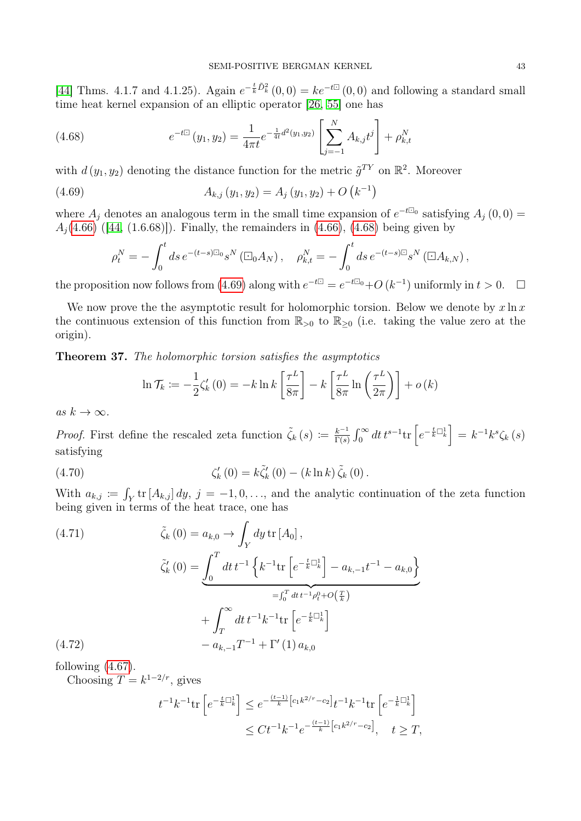[\[44\]](#page-48-1) Thms. 4.1.7 and 4.1.25). Again  $e^{-\frac{t}{k}\tilde{D}_k^2}(0,0) = ke^{-t\Xi}(0,0)$  and following a standard small time heat kernel expansion of an elliptic operator [\[26,](#page-47-26) [55\]](#page-48-22) one has

<span id="page-42-0"></span>(4.68) 
$$
e^{-t\Box}(y_1, y_2) = \frac{1}{4\pi t} e^{-\frac{1}{4t}d^2(y_1, y_2)} \left[ \sum_{j=-1}^N A_{k,j} t^j \right] + \rho_{k,t}^N
$$

with  $d(y_1, y_2)$  denoting the distance function for the metric  $\tilde{g}^{TY}$  on  $\mathbb{R}^2$ . Moreover

(4.69) 
$$
A_{k,j}(y_1, y_2) = A_j(y_1, y_2) + O(k^{-1})
$$

where  $A_j$  denotes an analogous term in the small time expansion of  $e^{-t\Box_0}$  satisfying  $A_j(0,0)$  $A_i(4.66)$  $A_i(4.66)$  ([\[44,](#page-48-1) (1.6.68)]). Finally, the remainders in (4.66), [\(4.68\)](#page-42-0) being given by

<span id="page-42-1"></span>
$$
\rho_t^N = -\int_0^t ds \, e^{-(t-s)\Box_0} s^N \left(\Box_0 A_N\right), \quad \rho_{k,t}^N = -\int_0^t ds \, e^{-(t-s)\Box} s^N \left(\Box A_{k,N}\right),
$$

the proposition now follows from [\(4.69\)](#page-42-1) along with  $e^{-t\Xi} = e^{-t\Xi_0} + O(k^{-1})$  uniformly in  $t > 0$ .  $\Box$ 

We now prove the the asymptotic result for holomorphic torsion. Below we denote by  $x \ln x$ the continuous extension of this function from  $\mathbb{R}_{>0}$  to  $\mathbb{R}_{>0}$  (i.e. taking the value zero at the origin).

Theorem 37. The holomorphic torsion satisfies the asymptotics

<span id="page-42-2"></span>
$$
\ln \mathcal{T}_k := -\frac{1}{2} \zeta'_k(0) = -k \ln k \left[ \frac{\tau^L}{8\pi} \right] - k \left[ \frac{\tau^L}{8\pi} \ln \left( \frac{\tau^L}{2\pi} \right) \right] + o(k)
$$

as  $k \to \infty$ .

*Proof.* First define the rescaled zeta function  $\tilde{\zeta}_k(s) \coloneqq \frac{k^{-1}}{\Gamma(s)}$  $\frac{k^{-1}}{\Gamma(s)} \int_0^\infty dt \, t^{s-1} \text{tr}\left[e^{-\frac{t}{k} \Box^1_k}\right] = k^{-1} k^s \zeta_k(s)$ satisfying

(4.70) 
$$
\zeta'_{k}(0) = k \tilde{\zeta}'_{k}(0) - (k \ln k) \tilde{\zeta}_{k}(0).
$$

With  $a_{k,j} := \int_Y \text{tr}[A_{k,j}] dy$ ,  $j = -1, 0, \ldots$ , and the analytic continuation of the zeta function being given in terms of the heat trace, one has

<span id="page-42-3"></span>(4.71)  
\n
$$
\tilde{\zeta}_{k}(0) = a_{k,0} \rightarrow \int_{Y} dy \operatorname{tr}[A_{0}],
$$
\n
$$
\tilde{\zeta}'_{k}(0) = \underbrace{\int_{0}^{T} dt \, t^{-1} \left\{ k^{-1} \operatorname{tr} \left[ e^{-\frac{t}{k} \square_{k}^{1}} \right] - a_{k,-1} t^{-1} - a_{k,0} \right\}}_{= \int_{0}^{T} dt \, t^{-1} \rho_{t}^{0} + O(\frac{T}{k})}
$$
\n
$$
+ \int_{T}^{\infty} dt \, t^{-1} k^{-1} \operatorname{tr} \left[ e^{-\frac{t}{k} \square_{k}^{1}} \right]
$$
\n(4.72)  
\n
$$
- a_{k,-1} T^{-1} + \Gamma'(1) a_{k,0}
$$

<span id="page-42-4"></span>following  $(4.67)$ .

Choosing  $T = k^{1-2/r}$ , gives

$$
\begin{split} t^{-1}k^{-1}\mathrm{tr}\left[e^{-\frac{t}{k}\square_k^1}\right] &\leq e^{-\frac{(t-1)}{k}\left[c_1k^{2/r}-c_2\right]}t^{-1}k^{-1}\mathrm{tr}\left[e^{-\frac{1}{k}\square_k^1}\right] \\ &\leq Ct^{-1}k^{-1}e^{-\frac{(t-1)}{k}\left[c_1k^{2/r}-c_2\right]}, \quad t\geq T, \end{split}
$$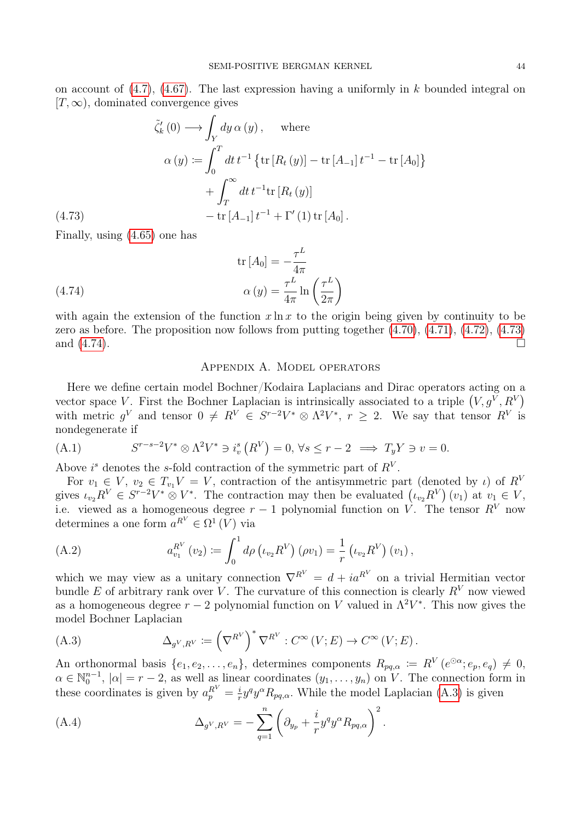on account of  $(4.7)$ ,  $(4.67)$ . The last expression having a uniformly in k bounded integral on  $[T, \infty)$ , dominated convergence gives

$$
\tilde{\zeta}'_k(0) \longrightarrow \int_Y dy \,\alpha(y), \quad \text{where}
$$
\n
$$
\alpha(y) := \int_0^T dt \, t^{-1} \left\{ \text{tr} \left[ R_t(y) \right] - \text{tr} \left[ A_{-1} \right] t^{-1} - \text{tr} \left[ A_0 \right] \right\}
$$
\n
$$
+ \int_T^\infty dt \, t^{-1} \text{tr} \left[ R_t(y) \right]
$$
\n(4.73)\n
$$
- \text{tr} \left[ A_{-1} \right] t^{-1} + \Gamma'(1) \text{tr} \left[ A_0 \right].
$$

<span id="page-43-3"></span>Finally, using [\(4.65\)](#page-41-3) one has

<span id="page-43-4"></span>(4.74) 
$$
\operatorname{tr}\left[A_0\right] = -\frac{\tau^L}{4\pi}
$$

$$
\alpha\left(y\right) = \frac{\tau^L}{4\pi} \ln\left(\frac{\tau^L}{2\pi}\right)
$$

with again the extension of the function  $x \ln x$  to the origin being given by continuity to be zero as before. The proposition now follows from putting together [\(4.70\)](#page-42-2), [\(4.71\)](#page-42-3), [\(4.72\)](#page-42-4), [\(4.73\)](#page-43-3) and  $(4.74)$ .

### Appendix A. Model operators

<span id="page-43-0"></span>Here we define certain model Bochner/Kodaira Laplacians and Dirac operators acting on a vector space V. First the Bochner Laplacian is intrinsically associated to a triple  $(V, g^V, R^V)$ with metric  $g^V$  and tensor  $0 \neq R^V \in S^{r-2}V^* \otimes \Lambda^2V^*$ ,  $r \geq 2$ . We say that tensor  $R^V$  is nondegenerate if

<span id="page-43-6"></span>(A.1) 
$$
S^{r-s-2}V^* \otimes \Lambda^2 V^* \ni i_v^s(R^V) = 0, \forall s \leq r-2 \implies T_y Y \ni v = 0.
$$

Above  $i^s$  denotes the s-fold contraction of the symmetric part of  $R^V$ .

For  $v_1 \in V$ ,  $v_2 \in T_{v_1}V = V$ , contraction of the antisymmetric part (denoted by *ι*) of  $R^V$ gives  $\iota_{v_2} R^V \in S^{r-2}V^* \otimes V^*$ . The contraction may then be evaluated  $(\iota_{v_2} R^V)(v_1)$  at  $v_1 \in V$ , i.e. viewed as a homogeneous degree  $r - 1$  polynomial function on V. The tensor  $R^V$  now determines a one form  $a^{R^V} \in \Omega^1(V)$  via

<span id="page-43-5"></span>(A.2) 
$$
a_{v_1}^{R^V}(v_2) := \int_0^1 d\rho \left( \iota_{v_2} R^V \right) (\rho v_1) = \frac{1}{r} \left( \iota_{v_2} R^V \right) (v_1),
$$

which we may view as a unitary connection  $\nabla^{R^V} = d + i a^{R^V}$  on a trivial Hermitian vector bundle E of arbitrary rank over V. The curvature of this connection is clearly  $R^V$  now viewed as a homogeneous degree  $r-2$  polynomial function on V valued in  $\Lambda^2 V^*$ . This now gives the model Bochner Laplacian

<span id="page-43-1"></span>(A.3) 
$$
\Delta_{g^V,R^V} := (\nabla^{R^V})^* \nabla^{R^V} : C^\infty(V;E) \to C^\infty(V;E).
$$

An orthonormal basis  $\{e_1, e_2, \ldots, e_n\}$ , determines components  $R_{pq,\alpha} := R^V(e^{i\alpha}; e_p, e_q) \neq 0$ ,  $\alpha \in \mathbb{N}_0^{n-1}$ ,  $|\alpha| = r-2$ , as well as linear coordinates  $(y_1, \ldots, y_n)$  on V. The connection form in these coordinates is given by  $a_p^{R^V} = \frac{i}{r}$  $\frac{i}{r}y^q y^{\alpha} R_{pq,\alpha}$ . While the model Laplacian [\(A.3\)](#page-43-1) is given

<span id="page-43-2"></span>(A.4) 
$$
\Delta_{gV,RV} = -\sum_{q=1}^n \left( \partial_{y_p} + \frac{i}{r} y^q y^\alpha R_{pq,\alpha} \right)^2.
$$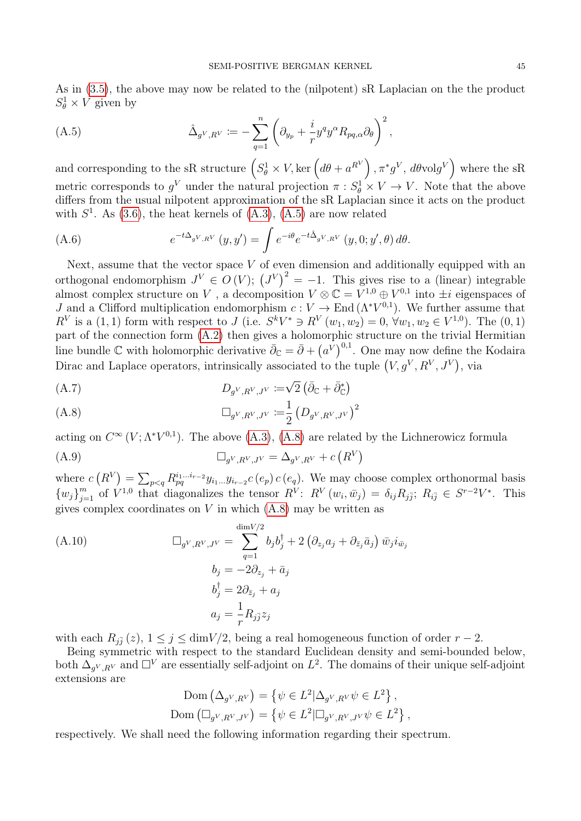As in [\(3.5\)](#page-14-2), the above may now be related to the (nilpotent) sR Laplacian on the the product  $S^1_{\theta} \times V$  given by

<span id="page-44-1"></span>(A.5) 
$$
\hat{\Delta}_{g^V,R^V} := -\sum_{q=1}^n \left( \partial_{y_p} + \frac{i}{r} y^q y^\alpha R_{pq,\alpha} \partial_\theta \right)^2,
$$

and corresponding to the sR structure  $(S^1_\theta \times V, \ker\left(d\theta + a^{R^V}\right), \pi^* g^V, d\theta$ vol $g^V$ ) where the sR metric corresponds to  $g^V$  under the natural projection  $\pi : S^1_{\theta} \times V \to V$ . Note that the above differs from the usual nilpotent approximation of the sR Laplacian since it acts on the product with  $S<sup>1</sup>$ . As [\(3.6\)](#page-14-3), the heat kernels of [\(A.3\)](#page-43-1), [\(A.5\)](#page-44-1) are now related

(A.6) 
$$
e^{-t\Delta_{gV,RV}}(y,y') = \int e^{-i\theta}e^{-t\hat{\Delta}_{gV,RV}}(y,0;y',\theta)d\theta.
$$

Next, assume that the vector space  $V$  of even dimension and additionally equipped with an orthogonal endomorphism  $J^V \in O(V)$ ;  $(J^V)^2 = -1$ . This gives rise to a (linear) integrable almost complex structure on V, a decomposition  $V \otimes \mathbb{C} = V^{1,0} \oplus V^{0,1}$  into  $\pm i$  eigenspaces of J and a Clifford multiplication endomorphism  $c: V \to \text{End}(\Lambda^* V^{0,1})$ . We further assume that  $R^V$  is a  $(1, 1)$  form with respect to J (i.e.  $S^k V^* \ni R^V (w_1, w_2) = 0, \forall w_1, w_2 \in V^{1,0}$ ). The  $(0, 1)$ part of the connection form [\(A.2\)](#page-43-5) then gives a holomorphic structure on the trivial Hermitian line bundle  $\mathbb C$  with holomorphic derivative  $\bar{\partial}_{\mathbb C} = \bar{\partial} + (a^V)^{0,1}$ . One may now define the Kodaira Dirac and Laplace operators, intrinsically associated to the tuple  $(V, g<sup>V</sup>, R<sup>V</sup>, J<sup>V</sup>)$ , via

(A.7) 
$$
D_{g^V,R^V,J^V} := \sqrt{2} \left( \bar{\partial}_{\mathbb{C}} + \bar{\partial}_{\mathbb{C}}^* \right)
$$

<span id="page-44-0"></span>(A.8) 
$$
\Box_{g^V, R^V, J^V} := \frac{1}{2} \left( D_{g^V, R^V, J^V} \right)^2
$$

acting on  $C^{\infty}(V; \Lambda^* V^{0,1})$ . The above  $(A.3)$ ,  $(A.8)$  are related by the Lichnerowicz formula

<span id="page-44-2"></span>
$$
(A.9) \qquad \qquad \Box_{g^V, R^V, J^V} = \Delta_{g^V, R^V} + c(R^V)
$$

where  $c(R^V) = \sum_{p < q} R_{pq}^{i_1...i_{r-2}} y_{i_1...} y_{i_{r-2}} c(e_p) c(e_q)$ . We may choose complex orthonormal basis  ${w_j}_{j=1}^m$  of  $V^{1,0}$  that diagonalizes the tensor  $R^V: R^V(w_i, \bar{w}_j) = \delta_{ij} R_{j\bar{j}}$ ;  $R_{i\bar{j}} \in S^{r-2}V^*$ . This gives complex coordinates on  $V$  in which  $(A.8)$  may be written as

(A.10)  
\n
$$
\Box_{gV,RV,JV} = \sum_{q=1}^{\dim V/2} b_j b_j^{\dagger} + 2 \left( \partial_{z_j} a_j + \partial_{\bar{z}_j} \bar{a}_j \right) \bar{w}_j i_{\bar{w}_j}
$$
\n
$$
b_j = -2 \partial_{z_j} + \bar{a}_j
$$
\n
$$
b_j^{\dagger} = 2 \partial_{\bar{z}_j} + a_j
$$
\n
$$
a_j = \frac{1}{r} R_{j\bar{j}} z_j
$$

with each  $R_{j\bar{j}}(z)$ ,  $1 \le j \le \dim V/2$ , being a real homogeneous function of order  $r-2$ .

Being symmetric with respect to the standard Euclidean density and semi-bounded below, both  $\Delta_{gV,RV}$  and  $\Box^V$  are essentially self-adjoint on  $L^2$ . The domains of their unique self-adjoint extensions are

$$
Dom (\Delta_{g^V,R^V}) = \{ \psi \in L^2 | \Delta_{g^V,R^V} \psi \in L^2 \},
$$
  
Dom 
$$
(\Box_{g^V,R^V,J^V}) = \{ \psi \in L^2 | \Box_{g^V,R^V,J^V} \psi \in L^2 \},
$$

respectively. We shall need the following information regarding their spectrum.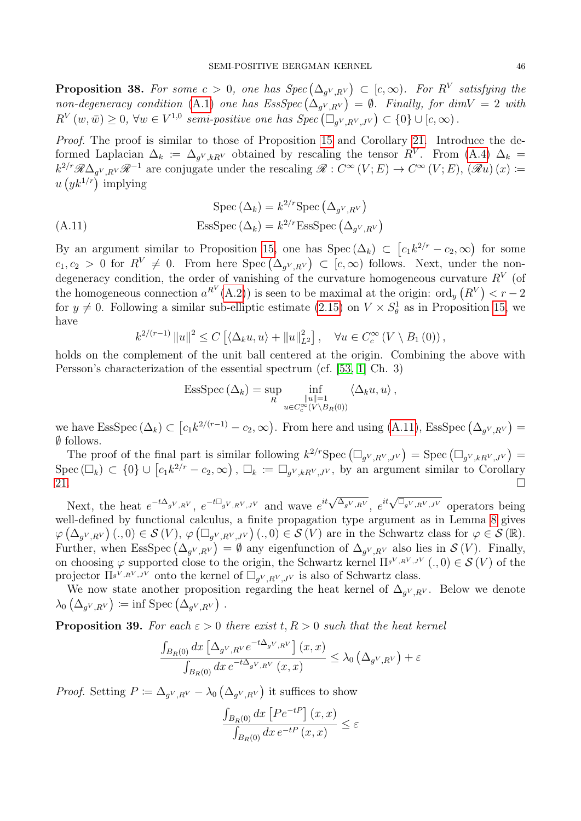<span id="page-45-1"></span>**Proposition 38.** For some  $c > 0$ , one has  $Spec(\Delta_{g^V,R^V}) \subset [c,\infty)$ . For  $R^V$  satisfying the non-degeneracy condition [\(A.1\)](#page-43-6) one has  $EssSpec(\Delta_{g^V,R^V}) = \emptyset$ . Finally, for dim $V = 2$  with  $R^V(w, \bar{w}) \geq 0$ ,  $\forall w \in V^{1,0}$  semi-positive one has  $Spec(\Box_{g^V,R^V,J^V}) \subset \{0\} \cup [c, \infty)$ .

Proof. The proof is similar to those of Proposition [15](#page-14-5) and Corollary [21.](#page-25-2) Introduce the deformed Laplacian  $\Delta_k := \Delta_{g^V, kR^V}$  obtained by rescaling the tensor  $R^V$ . From [\(A.4\)](#page-43-2)  $\Delta_k =$  $k^{2/r}\mathscr{R}\Delta_{g^V,R^V}\mathscr{R}^{-1}$  are conjugate under the rescaling  $\mathscr{R}: C^{\infty}(V;E) \to C^{\infty}(V;E)$ ,  $(\mathscr{R}u)(x) \coloneqq$  $u(yk^{1/r})$  implying

<span id="page-45-2"></span>(A.11) 
$$
Spec (\Delta_k) = k^{2/r} Spec (\Delta_{gV,RV})
$$

$$
EssSpec (\Delta_k) = k^{2/r} EssSpec (\Delta_{gV,RV})
$$

By an argument similar to Proposition [15,](#page-14-5) one has Spec  $(\Delta_k) \subset [c_1k^{2/r} - c_2, \infty)$  for some  $c_1, c_2 > 0$  for  $R^V \neq 0$ . From here Spec  $(\Delta_{g^V,R^V}) \subset [c,\infty)$  follows. Next, under the nondegeneracy condition, the order of vanishing of the curvature homogeneous curvature  $R<sup>V</sup>$  (of the homogeneous connection  $a^{R^V}(A.2)$  $a^{R^V}(A.2)$  is seen to be maximal at the origin: ord<sub>y</sub>  $(R^V) < r - 2$ for  $y \neq 0$ . Following a similar sub-elliptic estimate [\(2.15\)](#page-8-2) on  $V \times S^1_{\theta}$  as in Proposition [15,](#page-14-5) we have

$$
k^{2/(r-1)} \|u\|^2 \leq C \left[ \langle \Delta_k u, u \rangle + \|u\|_{L^2}^2 \right], \quad \forall u \in C_c^{\infty} \left( V \setminus B_1 \left( 0 \right) \right),
$$

holds on the complement of the unit ball centered at the origin. Combining the above with Persson's characterization of the essential spectrum (cf. [\[53,](#page-48-23) [1\]](#page-46-10) Ch. 3)

EssSpec 
$$
(\Delta_k)
$$
 = sup  $\inf_{R} \inf_{\substack{\|u\|=1 \ u \in C_c^{\infty}(V \setminus B_R(0))}} \langle \Delta_k u, u \rangle$ ,

we have  $\text{EssSpec }(\Delta_k) \subset [c_1k^{2/(r-1)} - c_2, \infty)$ . From here and using  $(A.11)$ ,  $\text{EssSpec }(\Delta_{g^V,R^V}) =$ ∅ follows.

The proof of the final part is similar following  $k^{2/r}$ Spec  $(\Box_{g^V,R^V,J^V}) =$  Spec  $(\Box_{g^V,kR^V,J^V}) =$ Spec  $(\Box_k) \subset \{0\} \cup [c_1k^{2/r} - c_2, \infty)$ ,  $\Box_k := \Box_{g^V, kR^V, J^V}$ , by an argument similar to Corollary [21.](#page-25-2)

Next, the heat  $e^{-t\Delta_g V, R^V}$ ,  $e^{-t\Box_g V, R^V, J^V}$  and wave  $e^{it\sqrt{\Delta_g V, R^V}}$ ,  $e^{it\sqrt{\Box_g V, R^V, J^V}}$  operators being well-defined by functional calculus, a finite propagation type argument as in Lemma [8](#page-9-3) gives  $\varphi\left(\Delta_{g^V,R^V}\right)(.,0) \in \mathcal{S}(V), \varphi\left(\Box_{g^V,R^V,J^V}\right)(.,0) \in \mathcal{S}(V)$  are in the Schwartz class for  $\varphi \in \mathcal{S}(\mathbb{R}).$ Further, when EssSpec  $(\Delta_{g^V,R^V}) = \emptyset$  any eigenfunction of  $\Delta_{g^V,R^V}$  also lies in  $\mathcal{S}(V)$ . Finally, on choosing  $\varphi$  supported close to the origin, the Schwartz kernel  $\Pi^{gV, RV, JV}(.,0) \in \mathcal{S}(V)$  of the projector  $\Pi^{gV, RV, JV}$  onto the kernel of  $\Box_{gV, RV, JV}$  is also of Schwartz class.

We now state another proposition regarding the heat kernel of  $\Delta_{g^V,R^V}$ . Below we denote  $\lambda_0\left(\Delta_{g^V,R^V}\right) \coloneqq \inf \operatorname{Spec} \left(\Delta_{g^V,R^V}\right)$ .

<span id="page-45-0"></span>**Proposition 39.** For each  $\varepsilon > 0$  there exist  $t, R > 0$  such that the heat kernel

$$
\frac{\int_{B_R(0)} dx \left[ \Delta_{gV,RV} e^{-t \Delta_{gV,RV}} \right] (x, x)}{\int_{B_R(0)} dx e^{-t \Delta_{gV,RV}} (x, x)} \leq \lambda_0 \left( \Delta_{gV,RV} \right) + \varepsilon
$$

*Proof.* Setting  $P \coloneqq \Delta_{g^V, R^V} - \lambda_0 \left( \Delta_{g^V, R^V} \right)$  it suffices to show

$$
\frac{\int_{B_R(0)} dx \left[ Pe^{-tP} \right](x, x)}{\int_{B_R(0)} dx e^{-tP} (x, x)} \leq \varepsilon
$$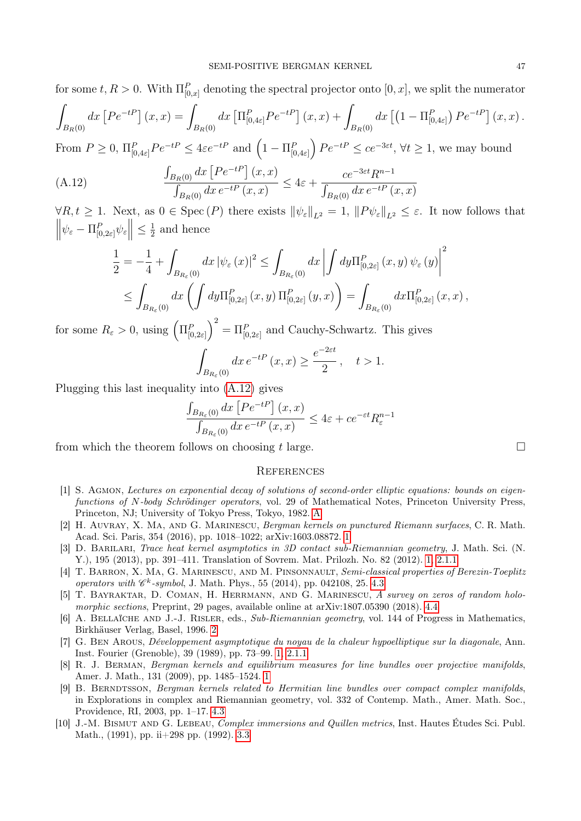for some 
$$
t, R > 0
$$
. With  $\Pi_{[0,x]}^P$  denoting the spectral projector onto  $[0, x]$ , we split the numerator  
\n
$$
\int_{B_R(0)} dx \left[ Pe^{-tP} \right](x, x) = \int_{B_R(0)} dx \left[ \Pi_{[0,4\varepsilon]}^P P e^{-tP} \right](x, x) + \int_{B_R(0)} dx \left[ \left( 1 - \Pi_{[0,4\varepsilon]}^P \right) P e^{-tP} \right](x, x).
$$

From  $P \ge 0$ ,  $\Pi_{[0,4\varepsilon]}^P Pe^{-tP} \le 4\varepsilon e^{-tP}$  and  $\left(1 - \Pi_{[0,4\varepsilon]}^P\right)Pe^{-tP} \le ce^{-3\varepsilon t}$ ,  $\forall t \ge 1$ , we may bound

(A.12) 
$$
\frac{\int_{B_R(0)} dx \left[ Pe^{-tP} \right](x, x)}{\int_{B_R(0)} dx e^{-tP} (x, x)} \leq 4\varepsilon + \frac{ce^{-3\varepsilon t} R^{n-1}}{\int_{B_R(0)} dx e^{-tP} (x, x)}
$$

 $\forall R, t \geq 1$ . Next, as  $0 \in \text{Spec}(P)$  there exists  $\|\psi_{\varepsilon}\|_{L^2} = 1$ ,  $\|P\psi_{\varepsilon}\|_{L^2} \leq \varepsilon$ . It now follows that  $\left\|\psi_{\varepsilon}-\Pi_{[0,2\varepsilon]}^P\psi_{\varepsilon}\right\|\leq \frac{1}{2}$  $\frac{1}{2}$  and hence

<span id="page-46-11"></span>
$$
\frac{1}{2} = -\frac{1}{4} + \int_{B_{R_{\varepsilon}}(0)} dx |\psi_{\varepsilon}(x)|^2 \le \int_{B_{R_{\varepsilon}}(0)} dx \left| \int dy \Pi_{[0,2\varepsilon]}^P(x,y) \psi_{\varepsilon}(y) \right|^2
$$
  

$$
\le \int_{B_{R_{\varepsilon}}(0)} dx \left( \int dy \Pi_{[0,2\varepsilon]}^P(x,y) \Pi_{[0,2\varepsilon]}^P(y,x) \right) = \int_{B_{R_{\varepsilon}}(0)} dx \Pi_{[0,2\varepsilon]}^P(x,x),
$$

for some  $R_{\varepsilon} > 0$ , using  $(\Pi_{[0,2\varepsilon]}^P)^2 = \Pi_{[0,2\varepsilon]}^P$  and Cauchy-Schwartz. This gives

$$
\int_{B_{R_{\varepsilon}}(0)} dx \, e^{-tP} \left( x, x \right) \ge \frac{e^{-2\varepsilon t}}{2}, \quad t > 1.
$$

Plugging this last inequality into [\(A.12\)](#page-46-11) gives

$$
\frac{\int_{B_{R_{\varepsilon}}(0)} dx \left[ P e^{-tP} \right](x, x)}{\int_{B_{R_{\varepsilon}}(0)} dx \, e^{-tP} \left( x, x \right)} \leq 4\varepsilon + c e^{-\varepsilon t} R_{\varepsilon}^{n-1}
$$

from which the theorem follows on choosing t large.  $\Box$ 

#### <span id="page-46-0"></span>**REFERENCES**

- <span id="page-46-10"></span>[1] S. Agmon, Lectures on exponential decay of solutions of second-order elliptic equations: bounds on eigenfunctions of N-body Schrödinger operators, vol. 29 of Mathematical Notes, Princeton University Press, Princeton, NJ; University of Tokyo Press, Tokyo, 1982. [A](#page-45-2)
- <span id="page-46-4"></span>[2] H. Auvray, X. Ma, and G. Marinescu, Bergman kernels on punctured Riemann surfaces, C. R. Math. Acad. Sci. Paris, 354 (2016), pp. 1018–1022; arXiv:1603.08872. [1](#page-2-1)
- <span id="page-46-2"></span>[3] D. BARILARI, Trace heat kernel asymptotics in 3D contact sub-Riemannian geometry, J. Math. Sci. (N. Y.), 195 (2013), pp. 391–411. Translation of Sovrem. Mat. Prilozh. No. 82 (2012). [1,](#page-2-1) [2.1.1](#page-11-3)
- <span id="page-46-7"></span>[4] T. BARRON, X. MA, G. MARINESCU, AND M. PINSONNAULT, Semi-classical properties of Berezin-Toeplitz operators with  $\mathscr{C}^k$ -symbol, J. Math. Phys., 55 (2014), pp. 042108, 25. [4.3](#page-37-2)
- <span id="page-46-9"></span>[5] T. BAYRAKTAR, D. COMAN, H. HERRMANN, AND G. MARINESCU, A survey on zeros of random holomorphic sections, Preprint, 29 pages, available online at arXiv:1807.05390 (2018). [4.4](#page-40-0)
- <span id="page-46-5"></span>[6] A. Bellaïche and J.-J. Risler, eds., Sub-Riemannian geometry, vol. 144 of Progress in Mathematics, Birkhäuser Verlag, Basel, 1996. [2](#page-5-0)
- <span id="page-46-1"></span>[7] G. Ben Arous, Développement asymptotique du noyau de la chaleur hypoelliptique sur la diagonale, Ann. Inst. Fourier (Grenoble), 39 (1989), pp. 73–99. [1,](#page-2-1) [2.1.1](#page-11-3)
- <span id="page-46-3"></span>[8] R. J. Berman, Bergman kernels and equilibrium measures for line bundles over projective manifolds, Amer. J. Math., 131 (2009), pp. 1485–1524. [1](#page-2-1)
- <span id="page-46-8"></span>[9] B. BERNDTSSON, Bergman kernels related to Hermitian line bundles over compact complex manifolds, in Explorations in complex and Riemannian geometry, vol. 332 of Contemp. Math., Amer. Math. Soc., Providence, RI, 2003, pp. 1–17. [4.3](#page-38-2)
- <span id="page-46-6"></span>[10] J.-M. Bismut and G. Lebeau, Complex immersions and Quillen metrics, Inst. Hautes Études Sci. Publ. Math., (1991), pp. ii+298 pp. (1992). [3.3](#page-18-0)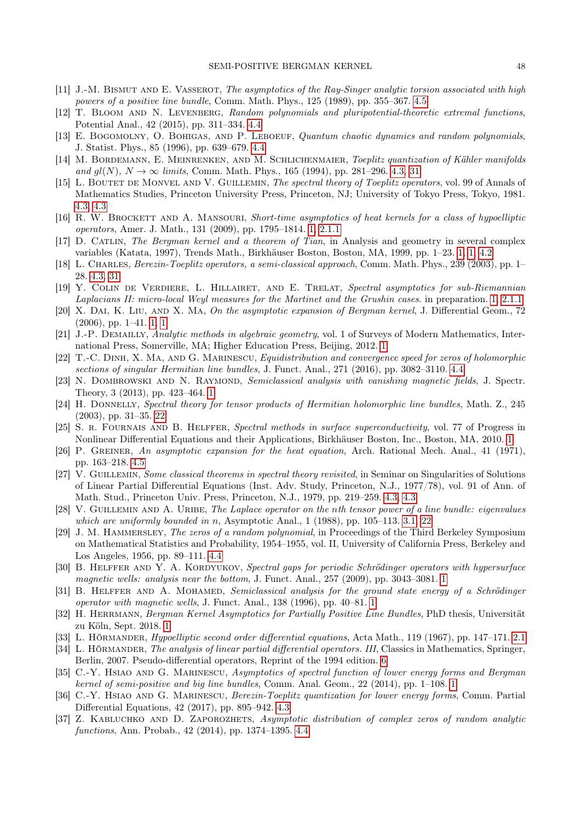- <span id="page-47-25"></span>[11] J.-M. BISMUT AND E. VASSEROT, The asymptotics of the Ray-Singer analytic torsion associated with high powers of a positive line bundle, Comm. Math. Phys., 125 (1989), pp. 355–367. [4.5](#page-41-0)
- <span id="page-47-23"></span>[12] T. BLOOM AND N. LEVENBERG, Random polynomials and pluripotential-theoretic extremal functions, Potential Anal., 42 (2015), pp. 311–334. [4.4](#page-40-0)
- <span id="page-47-21"></span>[13] E. BOGOMOLNY, O. BOHIGAS, AND P. LEBOEUF, Quantum chaotic dynamics and random polynomials, J. Statist. Phys., 85 (1996), pp. 639–679. [4.4](#page-40-0)
- <span id="page-47-16"></span>[14] M. BORDEMANN, E. MEINRENKEN, AND M. SCHLICHENMAIER, Toeplitz quantization of Kähler manifolds and  $gl(N)$ ,  $N \to \infty$  limits, Comm. Math. Phys., 165 (1994), pp. 281–296. [4.3,](#page-36-2) [31](#page-38-3)
- <span id="page-47-17"></span>[15] L. BOUTET DE MONVEL AND V. GUILLEMIN, The spectral theory of Toeplitz operators, vol. 99 of Annals of Mathematics Studies, Princeton University Press, Princeton, NJ; University of Tokyo Press, Tokyo, 1981. [4.3,](#page-38-3) [4.3](#page-38-2)
- <span id="page-47-7"></span>[16] R. W. BROCKETT AND A. MANSOURI, Short-time asymptotics of heat kernels for a class of hypoelliptic operators, Amer. J. Math., 131 (2009), pp. 1795–1814. [1,](#page-2-1) [2.1.1](#page-11-3)
- <span id="page-47-1"></span>[17] D. Catlin, The Bergman kernel and a theorem of Tian, in Analysis and geometry in several complex variables (Katata, 1997), Trends Math., Birkhäuser Boston, Boston, MA, 1999, pp. 1–23. [1,](#page-0-0) [1,](#page-2-1) [4.2](#page-34-0)
- <span id="page-47-15"></span>[18] L. Charles, Berezin-Toeplitz operators, a semi-classical approach, Comm. Math. Phys., 239 (2003), pp. 1– 28. [4.3,](#page-36-1) [31](#page-38-3)
- <span id="page-47-8"></span>[19] Y. COLIN DE VERDIERE, L. HILLAIRET, AND E. TRELAT, Spectral asymptotics for sub-Riemannian Laplacians II: micro-local Weyl measures for the Martinet and the Grushin cases. in preparation. [1,](#page-2-1) [2.1.1](#page-11-3)
- <span id="page-47-2"></span>[20] X. Dai, K. Liu, and X. Ma, On the asymptotic expansion of Bergman kernel, J. Differential Geom., 72 (2006), pp. 1–41. [1,](#page-0-0) [1](#page-2-1)
- <span id="page-47-0"></span>[21] J.-P. Demailly, Analytic methods in algebraic geometry, vol. 1 of Surveys of Modern Mathematics, International Press, Somerville, MA; Higher Education Press, Beijing, 2012. [1](#page-0-0)
- <span id="page-47-20"></span>[22] T.-C. DINH, X. MA, AND G. MARINESCU, *Equidistribution and convergence speed for zeros of holomorphic* sections of singular Hermitian line bundles, J. Funct. Anal., 271 (2016), pp. 3082–3110. [4.4](#page-39-1)
- <span id="page-47-4"></span>[23] N. DOMBROWSKI AND N. RAYMOND, Semiclassical analysis with vanishing magnetic fields, J. Spectr. Theory, 3 (2013), pp. 423–464. [1](#page-2-1)
- <span id="page-47-14"></span>[24] H. Donnelly, Spectral theory for tensor products of Hermitian holomorphic line bundles, Math. Z., 245 (2003), pp. 31–35. [22](#page-25-1)
- <span id="page-47-3"></span>[25] S. R. FOURNAIS AND B. HELFFER, Spectral methods in surface superconductivity, vol. 77 of Progress in Nonlinear Differential Equations and their Applications, Birkhäuser Boston, Inc., Boston, MA, 2010. [1](#page-0-0)
- <span id="page-47-26"></span>[26] P. Greiner, An asymptotic expansion for the heat equation, Arch. Rational Mech. Anal., 41 (1971), pp. 163–218. [4.5](#page-41-2)
- <span id="page-47-18"></span>[27] V. Guillemin, Some classical theorems in spectral theory revisited, in Seminar on Singularities of Solutions of Linear Partial Differential Equations (Inst. Adv. Study, Princeton, N.J., 1977/78), vol. 91 of Ann. of Math. Stud., Princeton Univ. Press, Princeton, N.J., 1979, pp. 219–259. [4.3,](#page-38-3) [4.3](#page-38-2)
- <span id="page-47-13"></span>[28] V. GUILLEMIN AND A. URIBE, The Laplace operator on the nth tensor power of a line bundle: eigenvalues which are uniformly bounded in n, Asymptotic Anal.,  $1$  (1988), pp. 105–113. [3.1,](#page-14-5) [22](#page-25-1)
- <span id="page-47-22"></span>[29] J. M. HAMMERSLEY, *The zeros of a random polynomial*, in Proceedings of the Third Berkeley Symposium on Mathematical Statistics and Probability, 1954–1955, vol. II, University of California Press, Berkeley and Los Angeles, 1956, pp. 89–111. [4.4](#page-40-0)
- <span id="page-47-5"></span>[30] B. HELFFER AND Y. A. KORDYUKOV, Spectral gaps for periodic Schrödinger operators with hypersurface magnetic wells: analysis near the bottom, J. Funct. Anal., 257 (2009), pp. 3043–3081. [1](#page-2-1)
- <span id="page-47-6"></span>[31] B. HELFFER AND A. MOHAMED, Semiclassical analysis for the ground state energy of a Schrödinger operator with magnetic wells, J. Funct. Anal., 138 (1996), pp. 40–81. [1](#page-2-1)
- <span id="page-47-10"></span>[32] H. HERRMANN, Bergman Kernel Asymptotics for Partially Positive Line Bundles, PhD thesis, Universität zu Köln, Sept. 2018. [1](#page-2-1)
- <span id="page-47-11"></span>[33] L. Hörmander, Hypoelliptic second order differential equations, Acta Math., 119 (1967), pp. 147–171. [2.1](#page-7-2)
- <span id="page-47-12"></span>[34] L. HÖRMANDER, The analysis of linear partial differential operators. III, Classics in Mathematics, Springer, Berlin, 2007. Pseudo-differential operators, Reprint of the 1994 edition. [6](#page-8-3)
- <span id="page-47-9"></span>[35] C.-Y. HSIAO AND G. MARINESCU, Asymptotics of spectral function of lower energy forms and Bergman kernel of semi-positive and big line bundles, Comm. Anal. Geom., 22 (2014), pp. 1–108. [1](#page-2-1)
- <span id="page-47-19"></span>[36] C.-Y. HSIAO AND G. MARINESCU, Berezin-Toeplitz quantization for lower energy forms, Comm. Partial Differential Equations, 42 (2017), pp. 895–942. [4.3](#page-38-2)
- <span id="page-47-24"></span>[37] Z. KABLUCHKO AND D. ZAPOROZHETS, Asymptotic distribution of complex zeros of random analytic functions, Ann. Probab., 42 (2014), pp. 1374–1395. [4.4](#page-40-0)